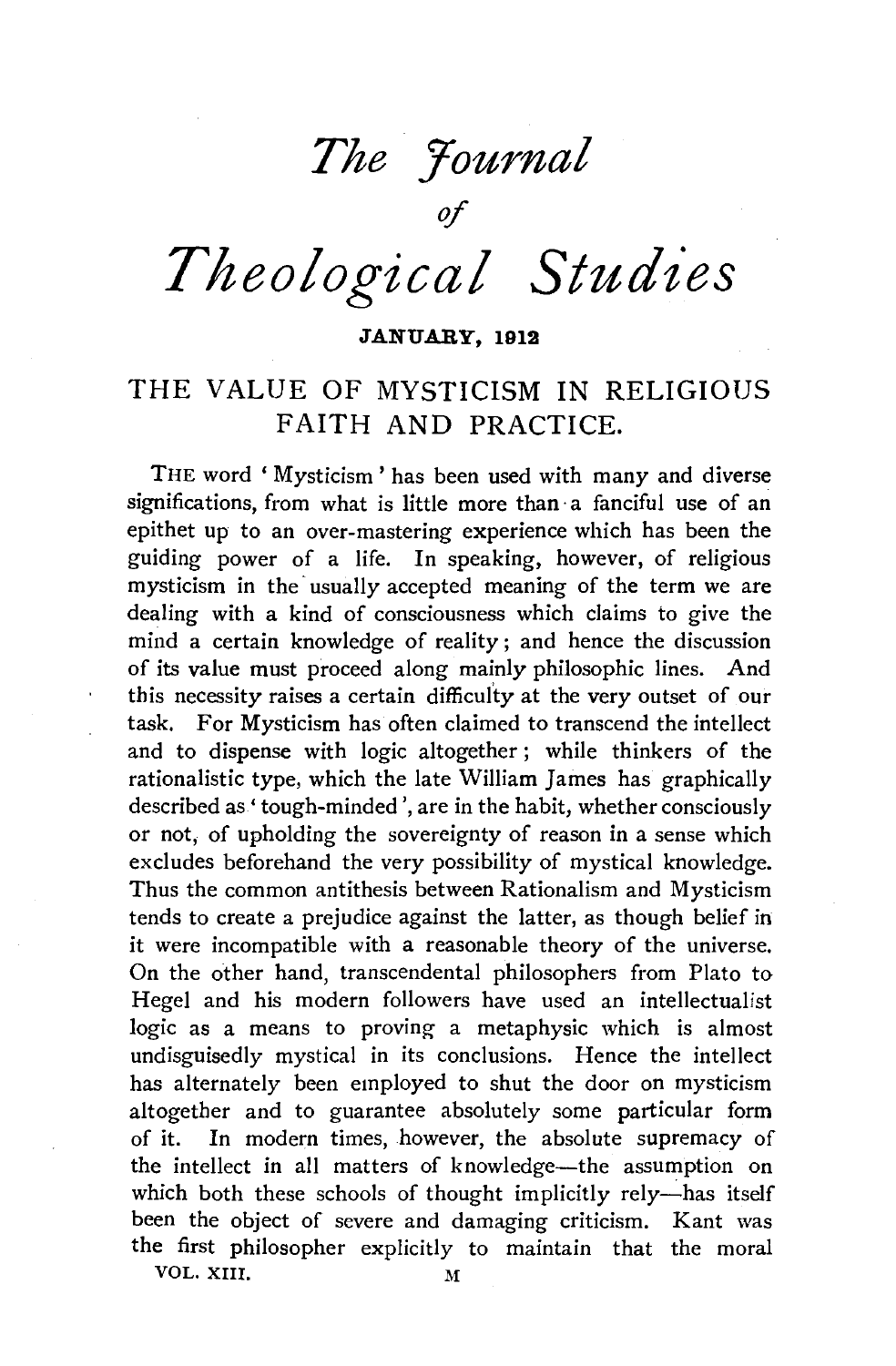# *The Journal*

 $\circ f$ 

# *Theological Studies*

#### JANUARY, 1912

# THE VALUE OF MYSTICISM IN RELIGIOUS FAITH AND PRACTICE.

THE word 'Mysticism' has been used with many and diverse significations, from what is little more than a fanciful use of an epithet up to an over-mastering experience which has been the guiding power of a life. In speaking, however, of religious mysticism in the usually accepted meaning of the term we are dealing with a kind of consciousness which claims to give the mind a certain knowledge of reality; and hence the discussion of its value must proceed along mainly philosophic lines. And this necessity raises a certain difficulty at the very outset of our task. For Mysticism has often claimed to transcend the intellect and to dispense with logic altogether ; while thinkers of the rationalistic type, which the late William James has graphically described as' tough-minded', are in the habit, whether consciously or not, of upholding the sovereignty of reason in a sense which excludes beforehand the very possibility of mystical knowledge. Thus the common antithesis between Rationalism and Mysticism tends to create a prejudice against the latter, as though belief in it were incompatible with a reasonable theory of the universe. On the other hand, transcendental philosophers from Plato to Hegel and his modern followers have used an intellectualist logic as a means to proving a metaphysic which is almost undisguisedly mystical in its conclusions. Hence the intellect has alternately been employed to shut the door on mysticism altogether and to guarantee absolutely some particular form of it. In modern times, however, the absolute supremacy of the intellect in all matters of knowledge-the assumption on which both these schools of thought implicitly rely-has itself been the object of severe and damaging criticism. Kant was the first philosopher explicitly to maintain that the moral VOL. XIII. M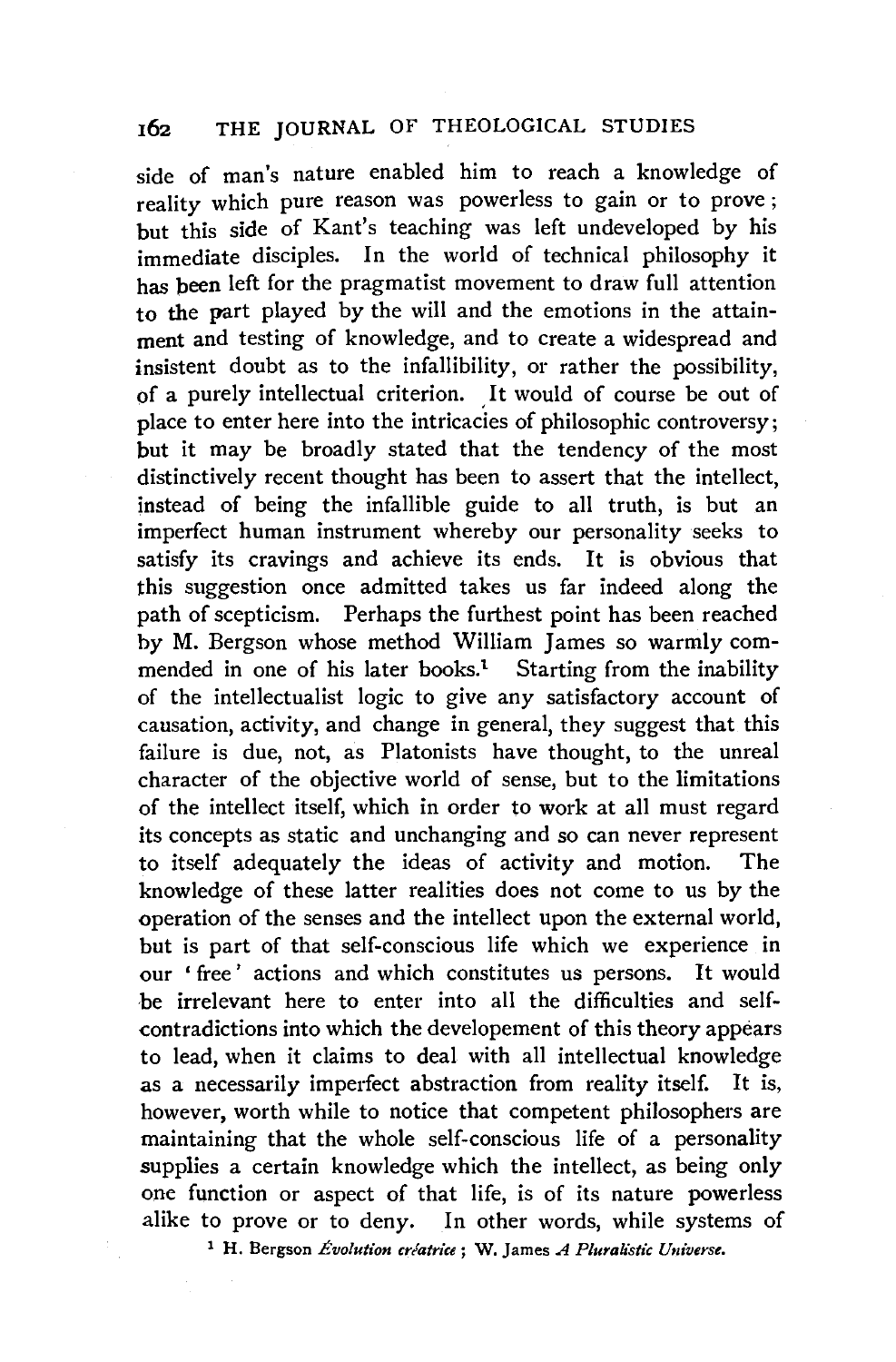side of man's nature enabled him to reach a knowledge of reality which pure reason was powerless to gain or to prove; but this side of Kant's teaching was left undeveloped by his immediate disciples. In the world of technical philosophy it has been left for the pragmatist movement to draw full attention to the part played by the will and the emotions in the attainment and testing of knowledge, and to create a widespread and insistent doubt as to the infallibility, or rather the possibility, of a purely intellectual criterion. *)t* would of course be out of place to enter here into the intricacies of philosophic controversy; but it may be broadly stated that the tendency of the most distinctively recent thought has been to assert that the intellect, instead of being the infallible guide to all truth, is but an imperfect human instrument whereby our personality seeks to satisfy its cravings and achieve its ends. It is obvious that this suggestion once admitted takes us far indeed along the path of scepticism. Perhaps the furthest point has been reached by M. Bergson whose method William James so warmly commended in one of his later books.<sup>1</sup> Starting from the inability of the intellectualist logic to give any satisfactory account of causation, activity, and change in general, they suggest that this failure is due, not, as Platonists have thought, to the unreal character of the objective world of sense, but to the limitations of the intellect itself, which in order to work at all must regard its concepts as static and unchanging and so can never represent to itself adequately the ideas of activity and motion. The knowledge of these latter realities does not come to us by the operation of the senses and the intellect upon the external world, but is part of that self-conscious life which we experience in our ' free' actions and which constitutes us persons. It would be irrelevant here to enter into all the difficulties and selfcontradictions into which the developement of this theory appears to lead, when it claims to deal with all intellectual knowledge as a necessarily imperfect abstraction from reality itself. It is, however, worth while to notice that competent philosophers are maintaining that the whole self-conscious life of a personality supplies a certain knowledge which the intellect, as being only one function or aspect of that life, is of its nature powerless alike to prove or to deny. In other words, while systems of <sup>1</sup> H. Bergson *Évolution créatrice* ; W. James *A Pluralistic Universe*.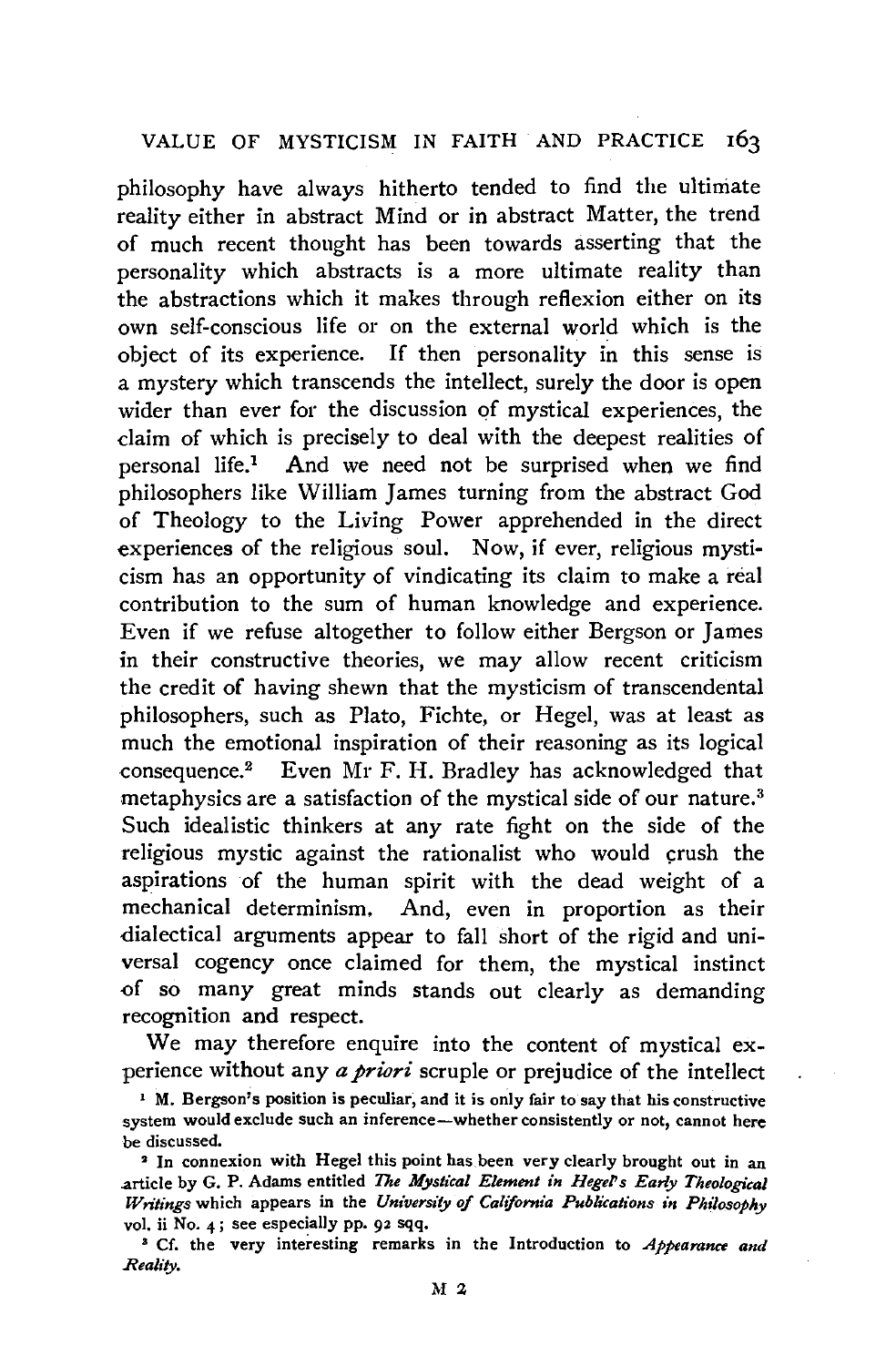philosophy have always hitherto tended to find the ultimate reality either in abstract Mind or in abstract Matter, the trend of much recent thought has been towards asserting that the personality which abstracts is a more ultimate reality than the abstractions which it makes through reflexion either on its own self-conscious life or on the external world which is the object of its experience. If then personality in this sense is a mystery which transcends the intellect, surely the door is open wider than ever for the discussion of mystical experiences, the claim of which is precisely to deal with the deepest realities of personal life.1 And we need not be surprised when we find philosophers like William James turning from the abstract God of Theology to the Living Power apprehended in the direct experiences of the religious soul. Now, if ever, religious mysticism has an opportunity of vindicating its claim to make a real contribution to the sum of human knowledge and experience. Even if we refuse altogether to follow either Bergson or James in their constructive theories, we may allow recent criticism the credit of having shewn that the mysticism of transcendental philosophers, such as Plato, Fichte, or Hegel, was at least as much the emotional inspiration of their reasoning as its logical consequence.<sup>2</sup> Even Mr F. H. Bradley has acknowledged that metaphysics are a satisfaction of the mystical side of our nature.<sup>3</sup> Such idealistic thinkers at any rate fight on the side of the religious mystic against the rationalist who would crush the aspirations of the human spirit with the dead weight of a mechanical determinism. And, even in proportion as their dialectical arguments appear to fall short of the rigid and universal cogency once claimed for them, the mystical instinct -of so many great minds stands out clearly as demanding recognition and respect.

We may therefore enquire into the content of mystical experience without any *a priori* scruple or prejudice of the intellect <sup>1</sup> M. Bergson's position is peculiar, and it is only fair to say that his constructive

<sup>2</sup> In connexion with Hegel this point has been very clearly brought out in an Article by G. P. Adams entitled *The Mystical Element in Hegel's Early Theological Writings* which appears in the *University of California Publications in Philosophy*  vol. ii No. 4; see especially pp. 92 sqq.

<sup>3</sup> Cf. the very interesting remarks in the Introduction to Appearance and *Reality.* 

system would exclude such an inference-whether consistently or not, cannot here be discussed.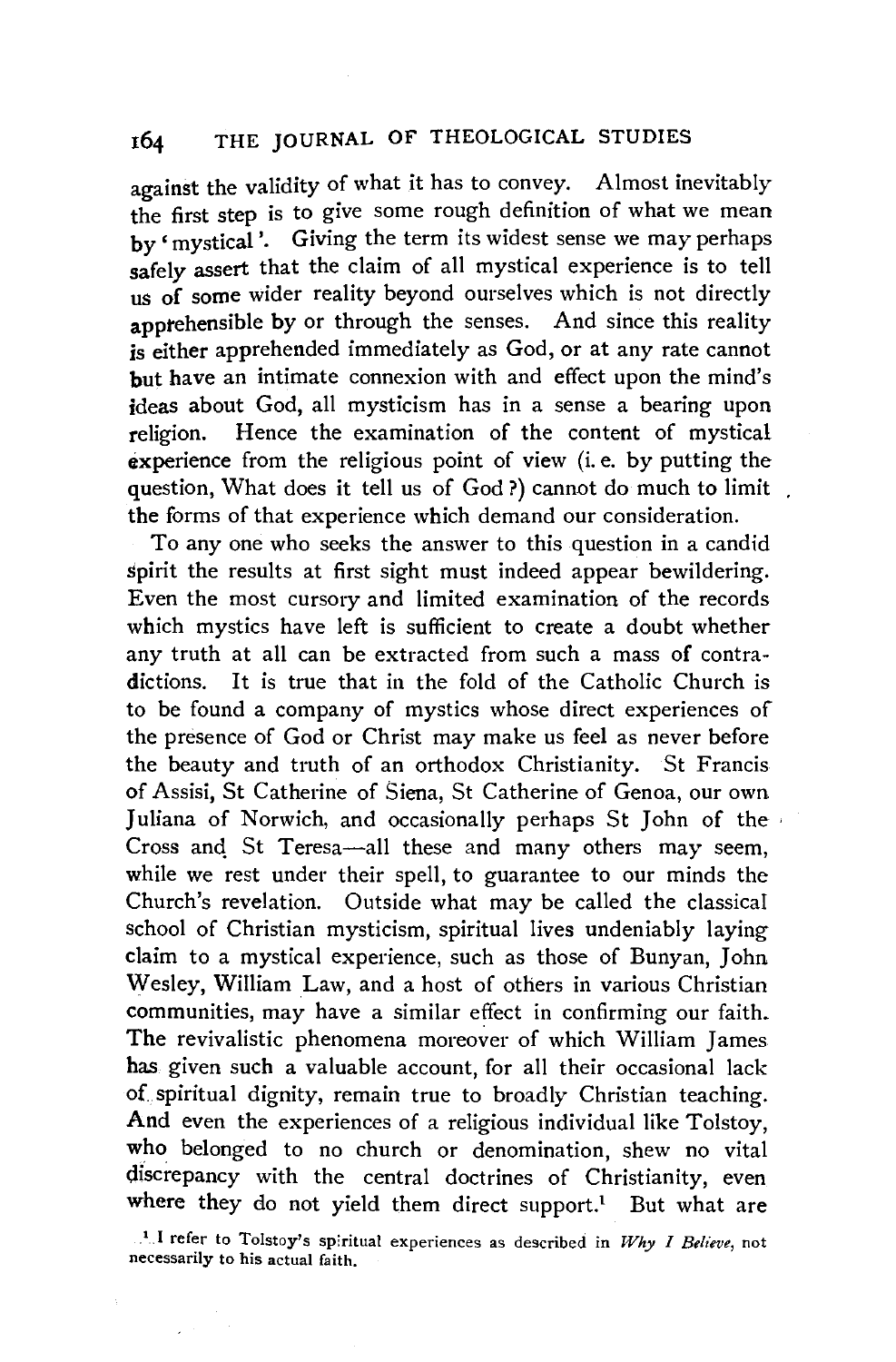against the validity of what it has to convey. Almost inevitably the first step is to give some rough definition of what we mean by' mystical'. Giving the term its widest sense we may perhaps safely assert that the claim of all mystical experience is to tell us of some wider reality beyond ourselves which is not directly apptehensible by or through the senses. And since this reality is either apprehended immediately as God, or at any rate cannot but have an intimate connexion with and effect upon the mind's ideas about God, all mysticism has in a sense a bearing upon religion. Hence the examination of the content of mystical  $\acute{e}x$  perience from the religious point of view (i.e. by putting the question, What does it tell us of God?) cannot do much to limit the forms of that experience which demand our consideration.

To any one who seeks the answer to this question in a candid spirit the results at first sight must indeed appear bewildering. Even the most cursory and limited examination of the records which mystics have left is sufficient to create a doubt whether any truth at all can be extracted from such a mass of contradictions. It is true that in the fold of the Catholic Church is to be found a company of mystics whose direct experiences of the presence of God or Christ may make us feel as never before the beauty and truth of an orthodox Christianity. St Francis of Assisi, St Catherine of Siena, St Catherine of Genoa, our own Juliana of Norwich, and occasionally perhaps St John of the Cross and St Teresa-all these and many others may seem, while we rest under their spell, to guarantee to our minds the Church's revelation. Outside what may be called the classical school of Christian mysticism, spiritual lives undeniably laying claim to a mystical experience, such as those of Bunyan, John W esley, William Law, and a host of others in various Christian communities, may have a similar effect in confirming our faith. The revivalistic phenomena moreover of which William James has given such a valuable account, for all their occasional lack of spiritual dignity, remain true to broadly Christian teaching. And even the experiences of a religious individual like Tolstoy, who belonged to no church or denomination, shew no vital discrepancy with the central doctrines of Christianity, even where they do not yield them direct support.<sup>1</sup> But what are

 $l$ <sup>1</sup>. I refer to Tolstoy's spiritual experiences as described in *Why I Believe*, not necessarily to his actual faith.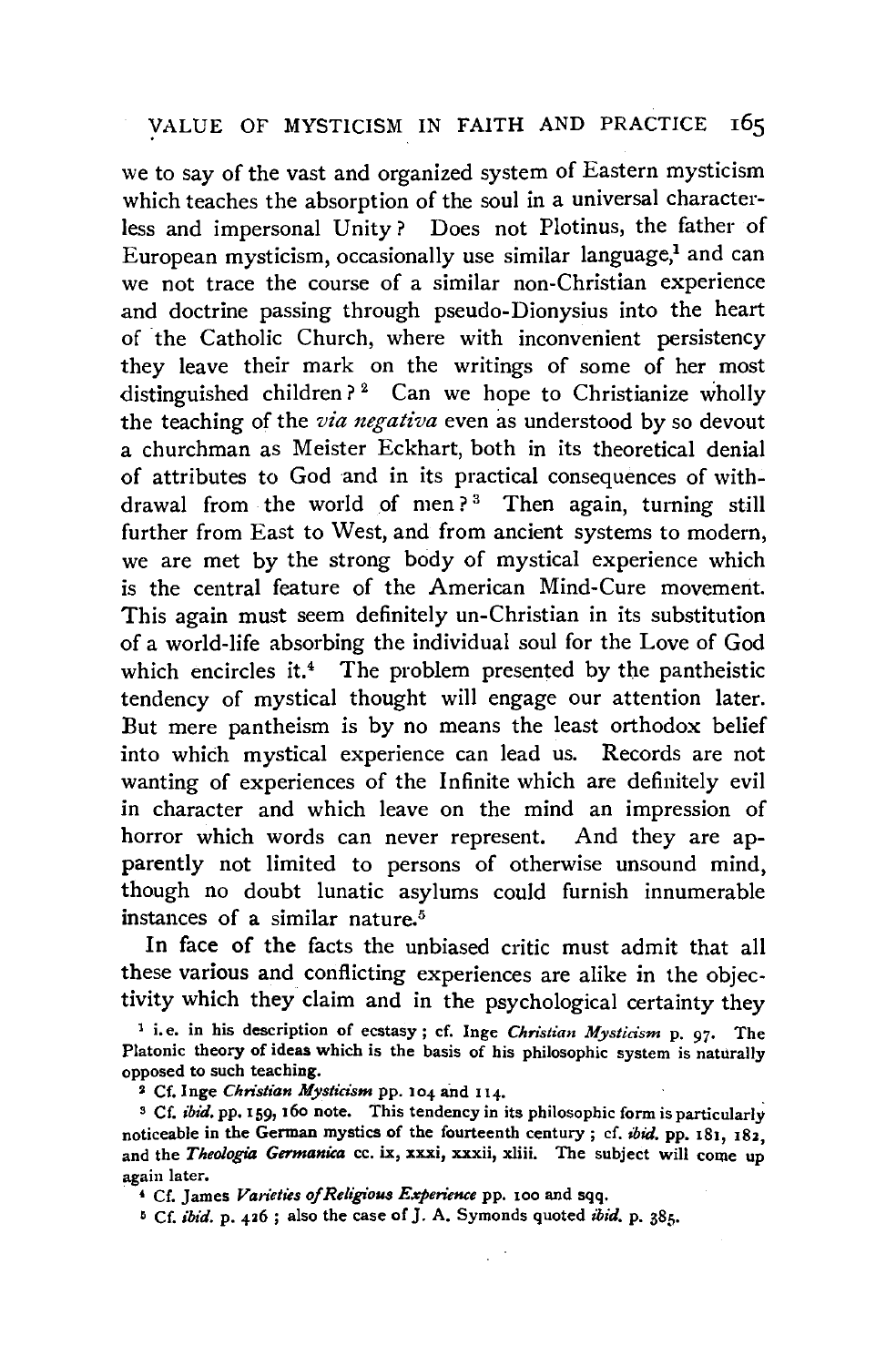we to say of the vast and organized system of Eastern mysticism which teaches the absorption of the soul in a universal characterless and impersonal Unity? Does not Plotinus, the father of European mysticism, occasionally use similar language, $1$  and can we not trace the course of a similar non-Christian experience and doctrine passing through pseudo-Dionysius into the heart of the Catholic Church, where with inconvenient persistency they leave their mark on the writings of some of her most distinguished children?<sup>2</sup> Can we hope to Christianize wholly the teaching of the *via negativa* even as understood by so devout a churchman as Meister Eckhart, both in its theoretical denial of attributes to God and in its practical consequences of withdrawal from the world of men ? 3 Then again, turning still further from East to West, and from ancient systems to modem, we are met by the strong body of mystical experience which is the central feature of the American Mind-Cure movement. This again must seem definitely un-Christian in its substitution of a world-life absorbing the individual soul for the Love of God which encircles it.<sup>4</sup> The problem presented by the pantheistic tendency of mystical thought will engage our attention later. But mere pantheism is by no means the least orthodox belief into whieh mystical experience can lead us. Records are not wanting of experiences of the Infinite which are definitely evil in character and which leave on the mind an impression of horror which words can never represent. And they are apparently not limited to persons of otherwise unsound mind, though no doubt lunatic asylums could furnish innumerable instances of a similar nature.<sup>5</sup>

In face of the facts the unbiased critic must admit that all these various and conflicting experiences are alike in the objectivity which they claim and in the psychological certainty they

1 i.e. in his description of ecstasy; cf. lnge *Christian Mysticism* p. 97· The Platonic theory of ideas which is the basis of his philosophic system is naturally opposed to such teaching.

2 Cf. lnge *Christian Mysticism* pp. 104 and 114.

s Cf. *ibid.* pp. 159, 160 note. This tendency in its philosophic form is particularly noticeable in the German mystics of the fourteenth century; cf. *ibid.* pp. 181, 182. and the *Theologia Germanica* cc. ix, xxxi, xxxii, xliii. The subject will come up again later,

• Cf. James *Varieties of Religious Experience* pp. 100 and sqq.

5 Cf. *ibid.* p. 426; also the case of J. A. Symonds quoted *ibid.* p. 385.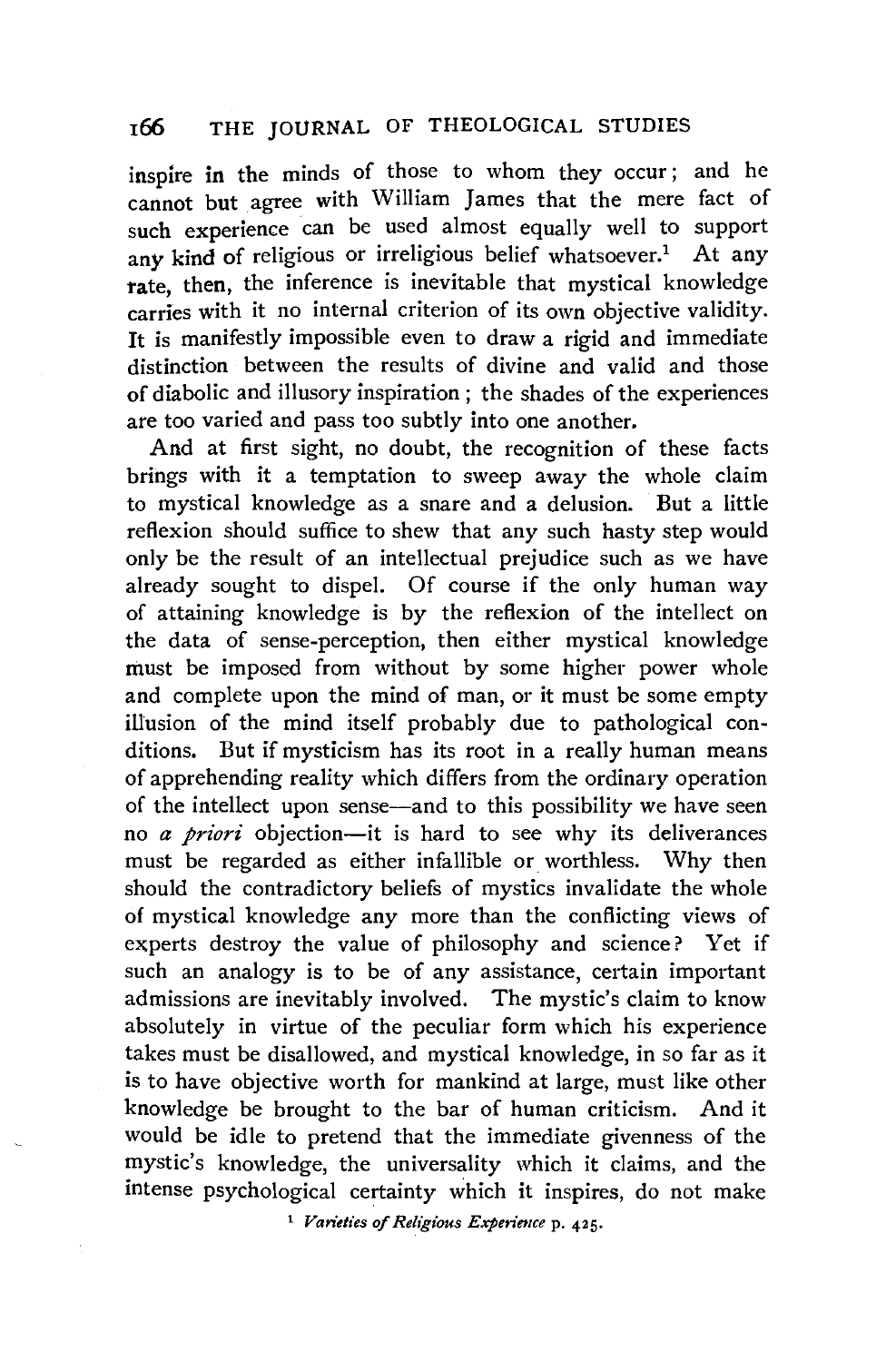inspire in the minds of those to whom they occur ; and he cannot but agree with William James that the mere fact of such experience can be used almost equally well to support any kind of religious or irreligious belief whatsoever.<sup>1</sup> At any rate, then, the inference is inevitable that mystical knowledge carries with it no internal criterion of its own objective validity. It is manifestly impossible even to draw a rigid and immediate distinction between the results of divine and valid and those of diabolic and illusory inspiration ; the shades of the experiences are too varied and pass too subtly into one another.

And at first sight, no doubt, the recognition of these facts brings with it a temptation to sweep away the whole claim to mystical knowledge as a snare and a delusion. But a little reflexion should suffice to shew that any such hasty step would only be the result of an intellectual prejudice such as we have already sought to dispel. Of course if the only human way of attaining knowledge is by the reflexion of the intellect on the data of sense-perception, then either mystical knowledge must be imposed from without by some higher power whole and complete upon the mind of man, or it must be some empty illusion of the mind itself probably due to pathological conditions. But if mysticism has its root in a really human means of apprehending reality which differs from the ordinary operation of the intellect upon sense-and to this possibility we have seen no *a priori* objection-it is hard to see why its deliverances must be regarded as either infallible or worthless. Why then should the contradictory beliefs of mystics invalidate the whole of mystical knowledge any more than the conflicting views of experts destroy the value of philosophy and science? Yet if such an analogy is to be of any assistance, certain important admissions are inevitably involved. The mystic's claim to know absolutely in virtue of the peculiar form which his experience takes must be disallowed, and mystical knowledge, in so far as it is to have objective worth for mankind at large, must like other knowledge be brought to the bar of human criticism. And it would be idle to pretend that the immediate givenness of the mystic's knowledge, the universality which it claims, and the intense psychological certainty which it inspires, do not make

1 *Varieties of Religious Experimce* p. 425.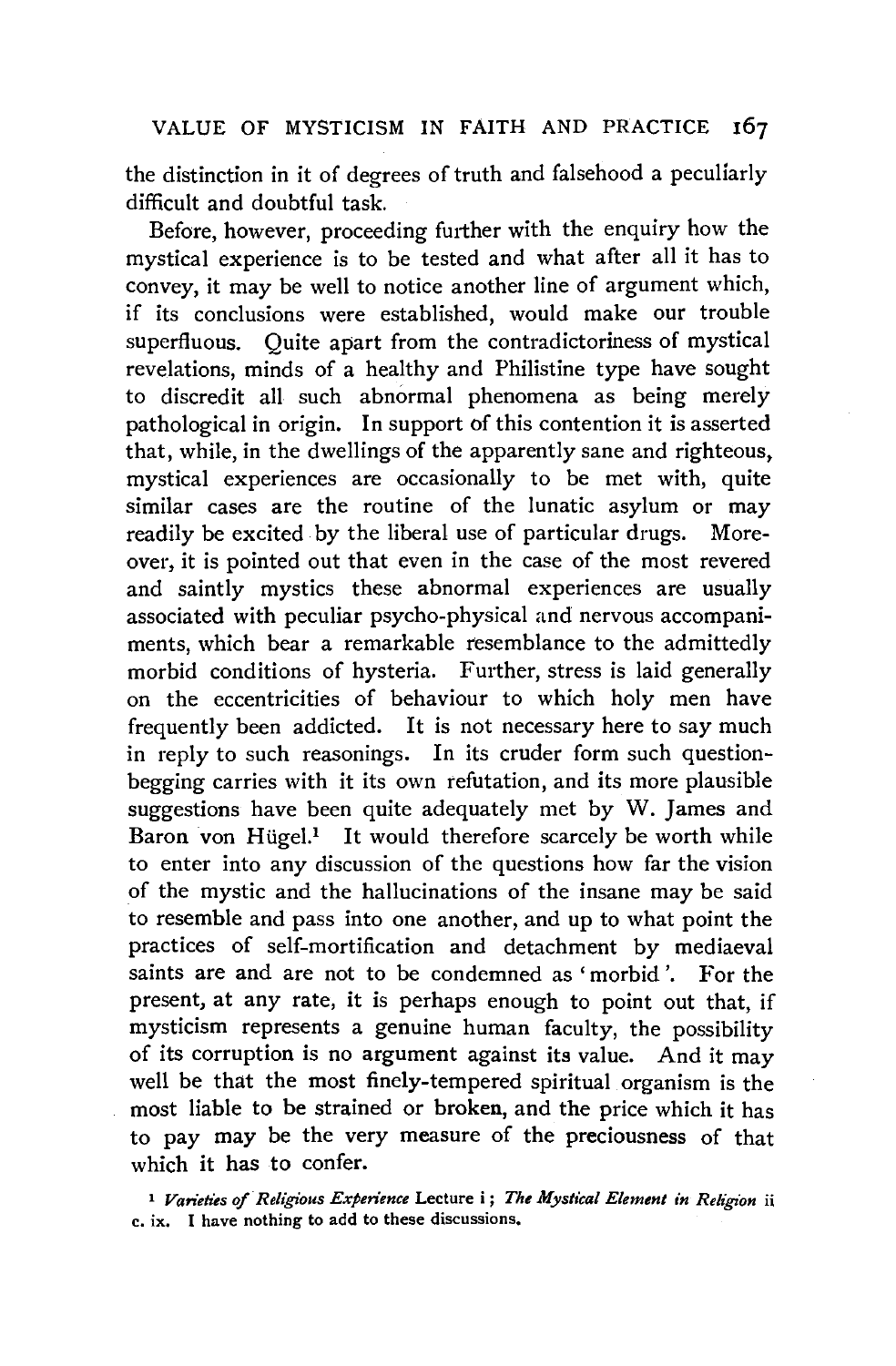the distinction in it of degrees of truth and falsehood a peculiarly difficult and doubtful task.

Before, however, proceeding futther with the enquiry how the mystical experience is to be tested and what after all it has to convey, it may be well to notice another line of argument which, if its conclusions were established, would make our trouble superfluous. Quite apart from the contradictoriness of mystical revelations, minds of a healthy and Philistine type have sought to discredit all such abnormal phenomena as being merely pathological in origin. In support of this contention it is asserted that, while, in the dwellings of the apparently sane and righteous. mystical experiences are occasionally to be met with, quite similar cases are the routine of the lunatic asylum or may readily be excited by the liberal use of particular drugs. Moreover, it is pointed out that even in the case of the most revered and saintly mystics these abnormal experiences are usually associated with peculiar psycho-physical and nervous accompaniments, which bear a remarkable resemblance to the admittedly morbid conditions of hysteria. Further, stress is laid generally on the eccentricities of behaviour to which holy men have frequently been addicted. It is not necessary here to say much in reply to such reasonings. In its cruder form such questionbegging carries with it its own refutation, and its more plausible suggestions have been quite adequately met by W. James and Baron von Hügel.<sup>1</sup> It would therefore scarcely be worth while to enter into any discussion of the questions how far the vision of the mystic and the hallucinations of the insane may be said to resemble and pass into one another, and up to what point the practices of self-mortification and detachment by mediaeval saints are and are not to be condemned as' morbid'. For the present, at any rate, it is perhaps enough to point out that, if mysticism represents a genuine human faculty, the possibility of its corruption is no argument against its value. And it may well be that the most finely-tempered spiritual organism is the most liable to be strained or broken, and the price which it has to pay may be the very measure of the preciousness of that which it has to confer.

<sup>1</sup> Varieties of Religious Experience Lecture *i*; The Mystical Element in Religion ii c. ix. I have nothing to add to these discussions.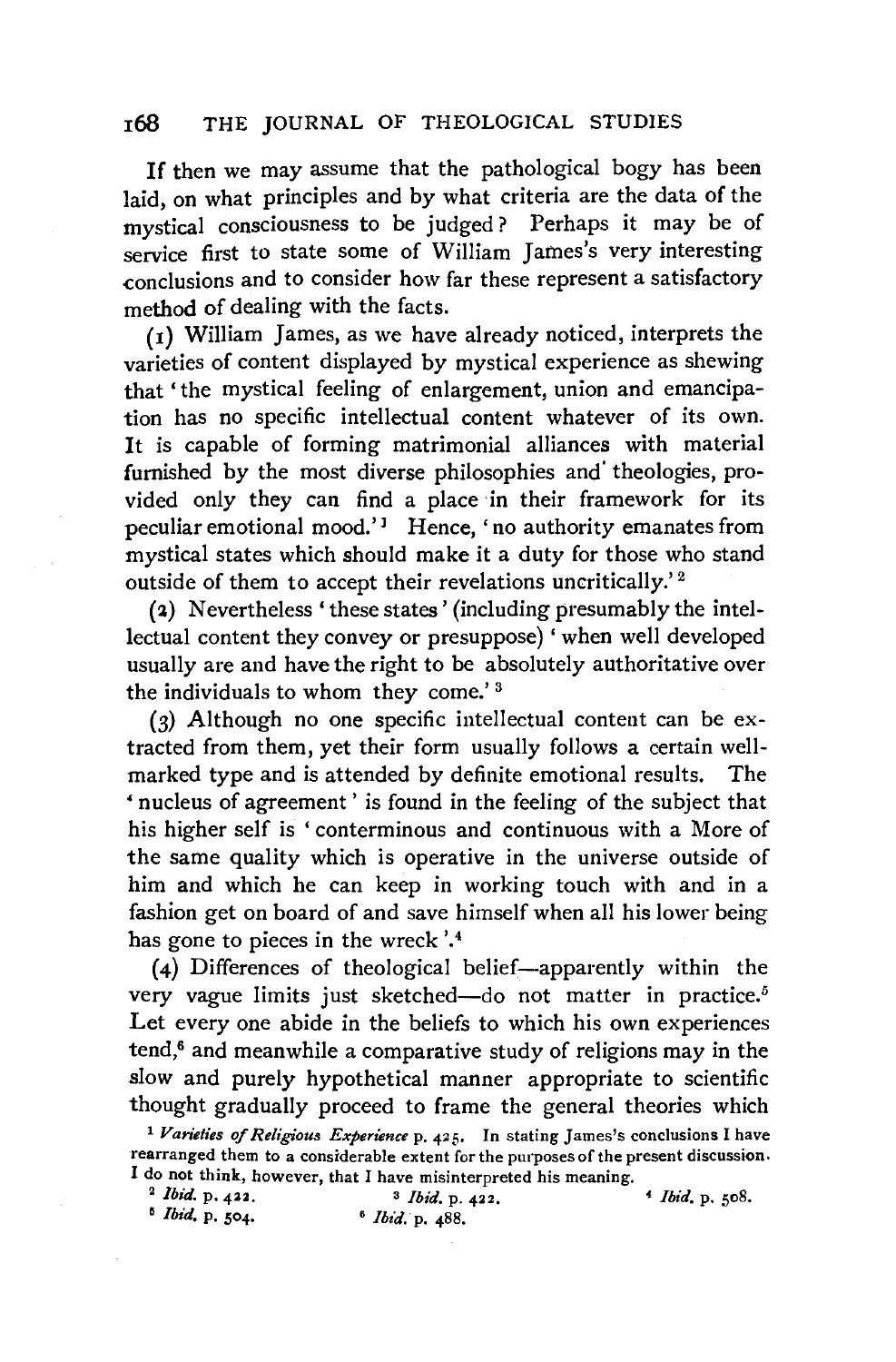If then we may assume that the pathological bogy has been laid, on what principles and by what criteria are the data of the mystical consciousness to be judged? Perhaps it may be of service first to state some of William James's very interesting -conclusions and to consider how far these represent a satisfactory method of dealing with the facts.

(1) William James, as we have already noticed, interprets the varieties of content displayed by mystical experience as shewing that 'the mystical feeling of enlargement, union and emancipation has no specific intellectual content whatever of its own. It is capable of forming matrimonial alliances with material furnished by the most diverse philosophies and' theologies, provided only they can find a place in their framework for its peculiar emotional mood.'<sup>1</sup> Hence, 'no authority emanates from mystical states which should make it a duty for those who stand outside of them to accept their revelations uncritically.<sup>'2</sup>

(2) Nevertheless 'these states' (including presumably the intellectual content they convey or presuppose)' when well developed usually are and have the right to be absolutely authoritative over the individuals to whom they come.' 3

(3) Although no one specific intellectual content can be extracted from them, yet their form usually follows a certain wellmarked type and is attended by definite emotional results. The ' nucleus of agreement ' is found in the feeling of the subject that his higher self is ' conterminous and continuous with a More of the same quality which is operative in the universe outside of him and which he can keep in working touch with and in a fashion get on board of and save himself when all his lower being has gone to pieces in the wreck '.<sup>4</sup>

(4) Differences of theological belief-apparently within the very vague limits just sketched-do not matter in practice.<sup>5</sup> Let every one abide in the beliefs to which his own experiences tend, $6$  and meanwhile a comparative study of religions may in the slow and purely hypothetical manner appropriate to scientific thought gradually proceed to frame the general theories which

| $^{2}$ <i>Ibid.</i> p. 422. | $3$ <i>Ibid</i> , p. 422.          | $4$ <i>Ibid</i> , p. 508. |
|-----------------------------|------------------------------------|---------------------------|
| $10id$ , p. 504.            | $\frac{6}{3}$ <i>Ibid.</i> p. 488. |                           |

<sup>1</sup> *Varieties of Religious Experience* p. 425. In stating James's conclusions I have rearranged them to a considerable extent for the purposes of the present discussion. I do not think, however, that I have misinterpreted his meaning.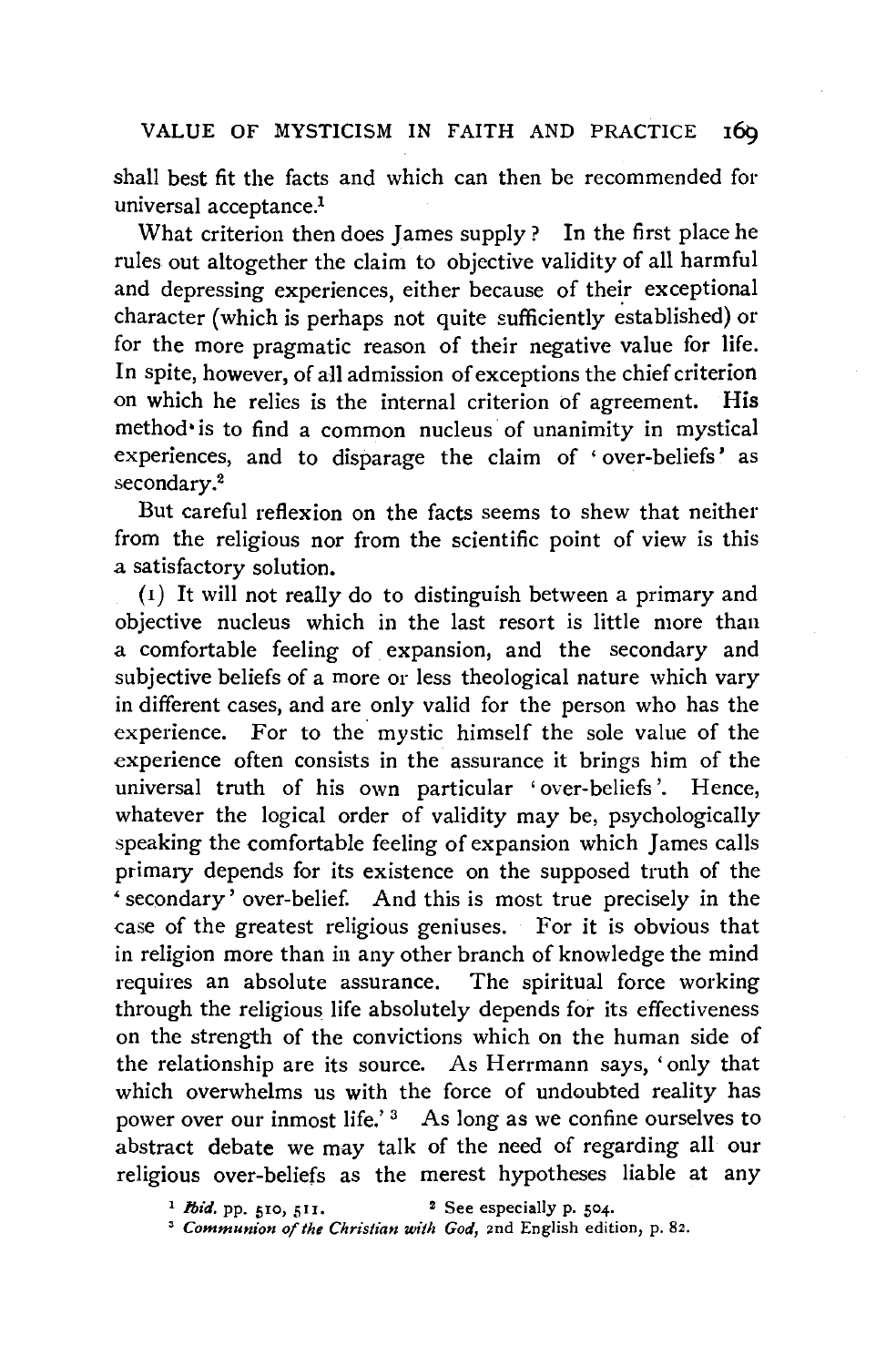shall best fit the facts and which can then be recommended for universal acceptance.<sup>1</sup>

What criterion then does James supply ? In the first place he rules out altogether the claim to objective validity of all harmful and depressing experiences, either because of their exceptional character (which is perhaps not quite sufficiently established) or for the more pragmatic reason of their negative value for life. In spite, however, of all admission of exceptions the chief criterion on which he relies is the internal criterion of agreement. His method• is to find a common nucleus of unanimity in mystical experiences, and to disparage the claim of ' over-beliefs' as secondary.2

But careful reflexion on the facts seems to shew that neither from the religious nor from the scientific point of view is this a satisfactory solution.

(r) It will not really do to distinguish between a primary and objective nucleus which in the last resort is little more than a comfortable feeling of expansion, and the secondary and subjective beliefs of a more or less theological nature which vary in different cases, and are only valid for the person who has the experience. For to the mystic himself the sole value of the experience often consists in the assurance it brings him of the universal truth of his own particular 'over-beliefs'. Hence, whatever the logical order of validity may be, psychologically speaking the comfortable feeling of expansion which James calls primary depends for its existence on the supposed truth of the • secondary' over-belie£ And this is most true precisely in the case of the greatest religious geniuses. For it is obvious that in religion more than in any other branch of knowledge the mind requires an absolute assurance. The spiritual force working through the religious life absolutely depends for its effectiveness on the strength of the convictions which on the human side of the relationship are its source. As Herrmann says, 'only that which overwhelms us with the force of undoubted reality has power over our inmost life.' <sup>3</sup> As long as we confine ourselves to abstract debate we may talk of the need of regarding all our religious over-beliefs as the merest hypotheses liable at any

<sup>1</sup>*Ibid.* pp. 510, 51I. 2 See especially p. 504. 3 *Communion of the Christian with God,* 2nd English edition, p. 82.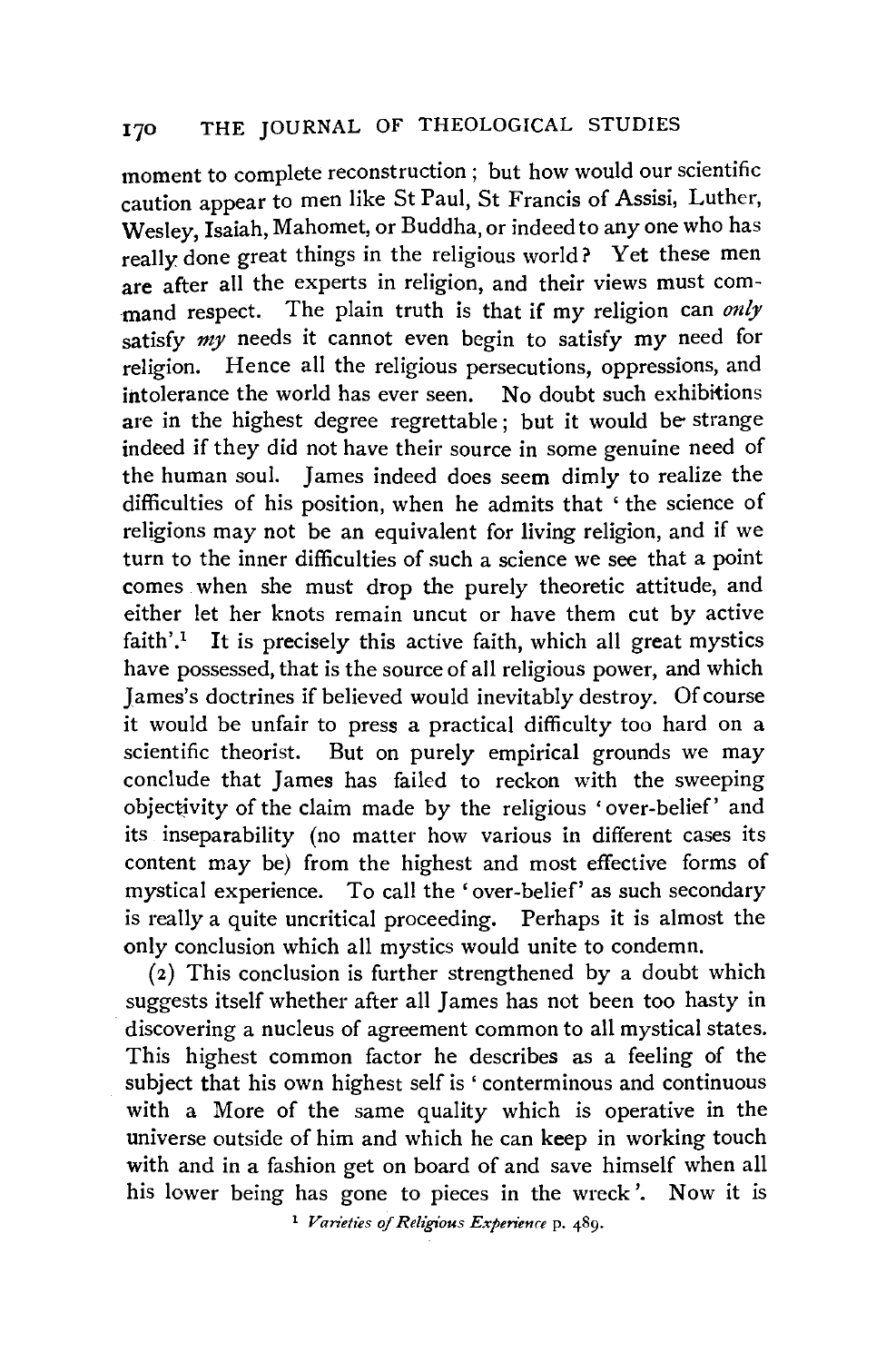moment to complete reconstruction ; but how would our scientific caution appear to men like St Paul, St Francis of Assisi, Luther, Wesley, Isaiah, Mahomet, or Buddha, or indeed to any one who has really done great things in the religious world? Yet these men are after all the experts in religion, and their views must command respect. The plain truth is that if my religion can *only*  satisfy  $m\dot{y}$  needs it cannot even begin to satisfy my need for religion. Hence all the religious persecutions, oppressions, and<br>intolerance the world has ever seen. No doubt such exhibitions intolerance the world has ever seen. are in the highest degree regrettable : but it would be strange indeed if they did not have their source in some genuine need of the human soul. James indeed does seem dimly to realize the difficulties of his position, when he admits that ' the science of religions may not be an equivalent for living religion, and if we turn to the inner difficulties of such a science we see that a point comes when she must drop the purely theoretic attitude, and either let her knots remain uncut or have them cut by active faith'.<sup>1</sup> It is precisely this active faith, which all great mystics have possessed, that is the source of all religious power, and which James's doctrines if believed would inevitably destroy. Of course it would be unfair to press a practical difficulty too hard on a scientific theorist. But on purely empirical grounds we may conclude that James has failed to reckon with the sweeping objectjvity of the claim made by the religious 'over-belief' and its inseparability (no matter how various in different cases its content may be) from the highest and most effective forms of mystical experience. To call the 'over-belief' as such secondary is really a quite uncritical proceeding. Perhaps it is almost the only conclusion which all mystics would unite to condemn.

 $(2)$  This conclusion is further strengthened by a doubt which suggests itself whether after all James has not been too hasty in discovering a nucleus of agreement common to all mystical states. This highest common factor he describes as a feeling of the subject that his own highest self is 'conterminous and continuous with a More of the same quality which is operative in the universe outside of him and which he can keep in working touch with and in a fashion get on board of and save himself when all his lower being has gone to pieces in the wreck '. Now it is

1 *Van'eties of Religious Experience* p. 489.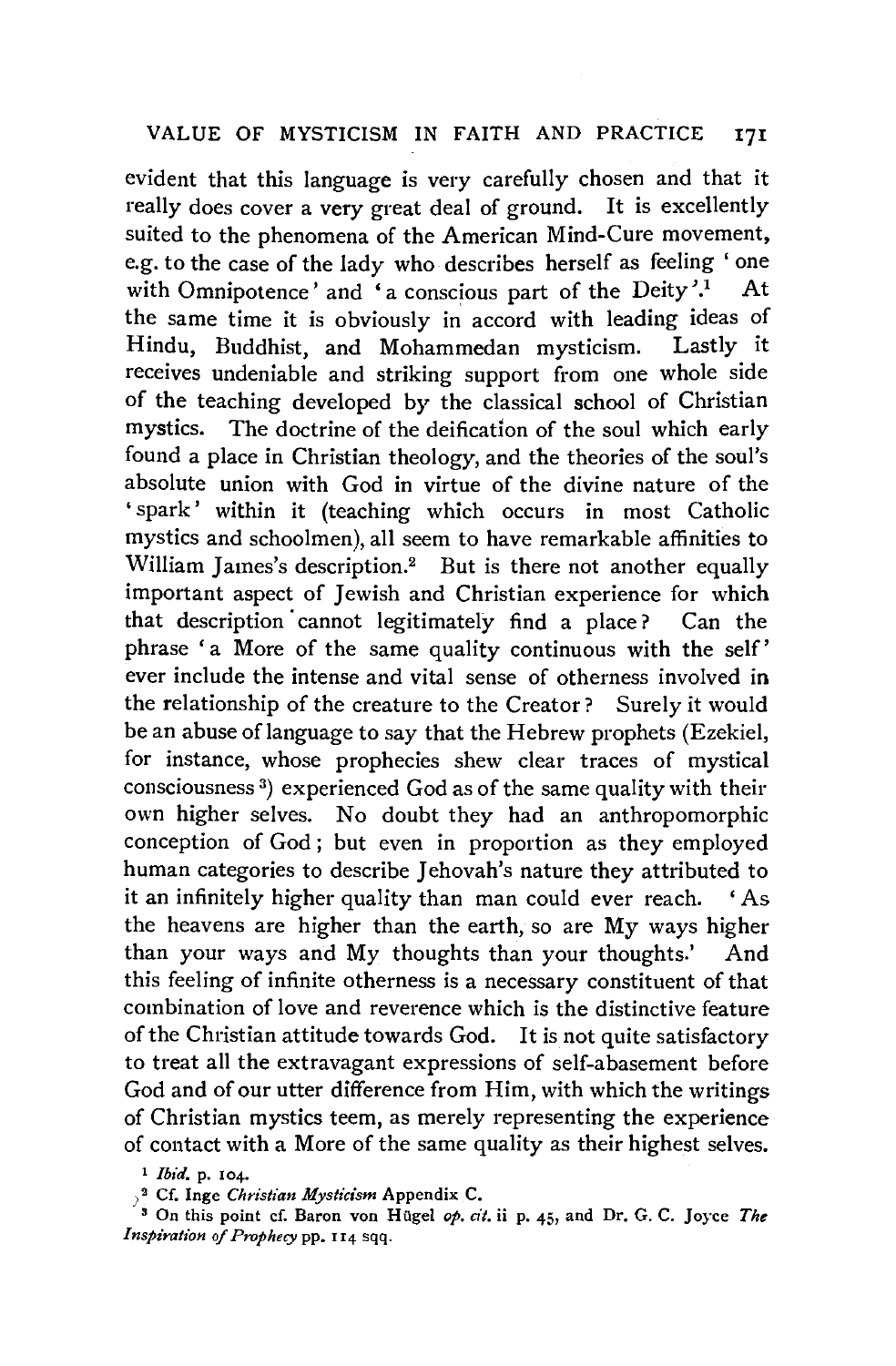evident that this language is very carefully chosen and that it really does cover a very great deal of ground. It is excellently suited to the phenomena of the American Mind-Cure movement, e.g. to the case of the lady who describes herself as feeling ' one with Omnipotence' and 'a conscious part of the Deity'.<sup>1</sup> At the same time it is obviously in accord with leading ideas of Hindu, Buddhist, and Mohammedan mysticism. Lastly it receives undeniable and striking support from one whole side of the teaching developed by the classical school of Christian mystics. The doctrine of the deification of the soul which early found a place in Christian theology, and the theories of the soul's absolute union with God in virtue of the divine nature of the 'spark' within it (teaching which occurs in most Catholic mystics and schoolmen), all seem to have remarkable affinities to William James's description.<sup>2</sup> But is there not another equally important aspect of Jewish and Christian experience for which that description· cannot legitimately find a place? Can the phrase 'a More of the same quality continuous with the self' ever include the intense and vital sense of otherness involved in the relationship of the creature to the Creator? Surely it would be an abuse of language to say that the Hebrew prophets (Ezekiel, for instance, whose prophecies shew clear traces of mystical consciousness 3) experienced God as of the same quality with their own higher selves. No doubt they had an anthropomorphic conception of God; but even in proportion as they employed human categories to describe Jehovah's nature they attributed to it an infinitely higher quality than man could ever reach. 'As the heavens are higher than the earth, so are My ways higher than your ways and My thoughts than your thoughts.' And this feeling of infinite otherness is a necessary constituent of that combination of love and reverence which is the distinctive feature of the Christian attitude towards God. It is not quite satisfactory to treat all the extravagant expressions of self-abasement before God and of our utter difference from Him, with which the writings of Christian mystics teem, as merely representing the experience of contact with a More of the same quality as their highest selves.

<sup>&</sup>lt;sup>1</sup> *Ibid.* p. 104.<br>
<sup>2</sup> Cf. Inge Christian Mysticism Appendix C.

<sup>&</sup>lt;sup>3</sup> On this point cf. Baron von Hügel *op. cit.* ii p. 45, and Dr. G. C. Joyce *The Inspiration of Prophecy* pp. II4 sqq.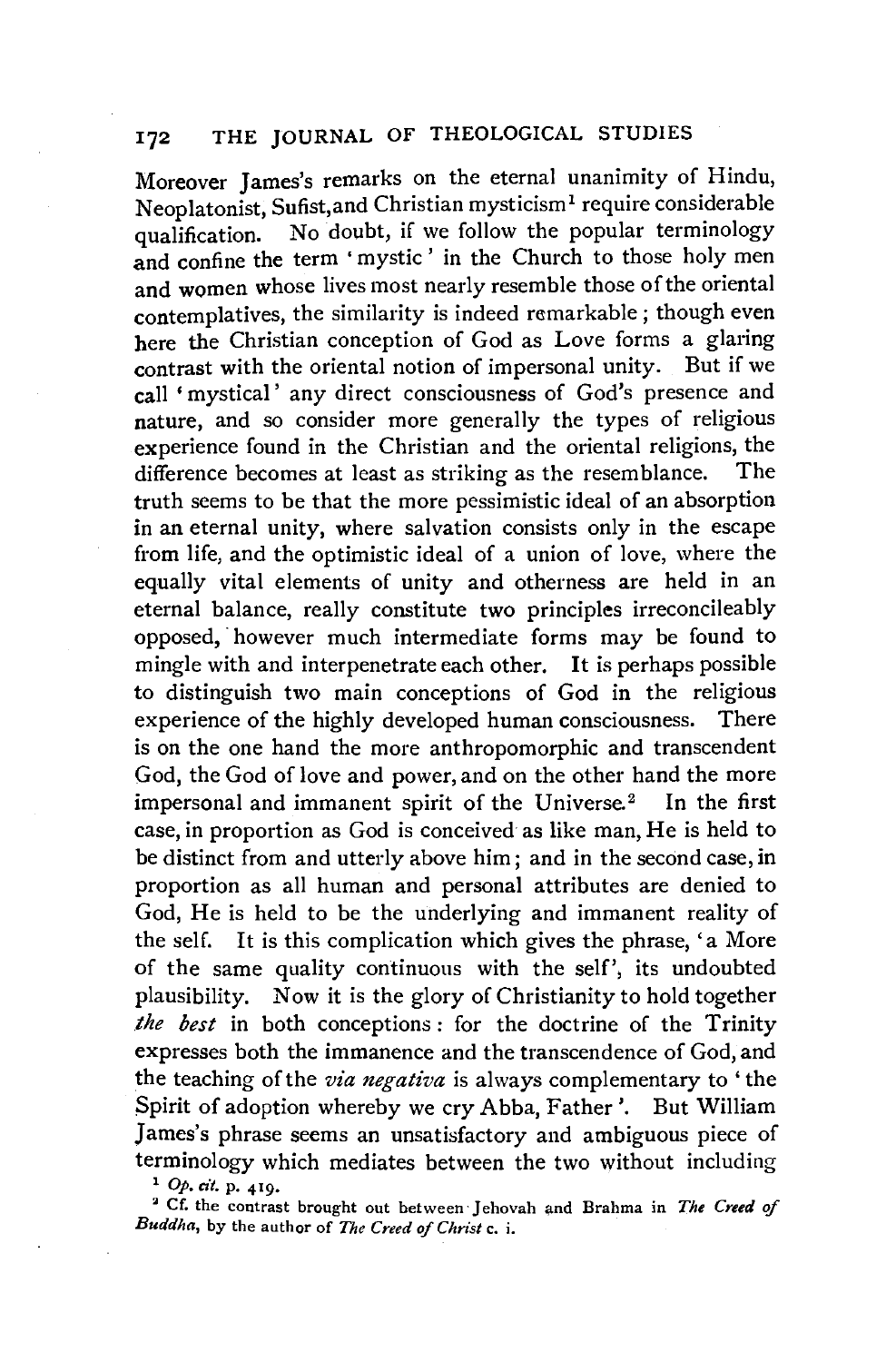Moreover James's remarks on the eternal unanimity of Hindu, Neoplatonist, Sufist,and Christian mysticism 1 require considerable qualification. No doubt, if we follow the popular terminology and confine the term ' mystic ' in the Church to those holy men and women whose lives most nearly resemble those of the oriental contemplatives, the similarity is indeed remarkable ; though even here the Christian conception of God as Love forms a glaring contrast with the oriental notion of impersonal unity. But if we call 'mystical' any direct consciousness of God's presence and nature, and so consider more generally the types of religious experience found in the Christian and the oriental religions, the difference becomes at least as striking as the resemblance. The truth seems to be that the more pessimistic ideal of an absorption in an eternal unity, where salvation consists only in the escape from life, and the optimistic ideal of a union of love, where the equally vital elements of unity and otherness are held in an eternal balance, really constitute two principles irreconcileably opposed, however much intermediate forms may be found to mingle with and interpenetrate each other. It is perhaps possible to distinguish two main conceptions of God in the religious experience of the highly developed human consciousness. There is on the one hand the more anthropomorphic and transcendent God, the God of love and power, and on the other hand the more impersonal and immanent spirit of the Universe.<sup>2</sup> In the first case, in proportion as God is conceived as like man, He is held to be distinct from and utterly above him; and in the second case, in proportion as all human and personal attributes are denied to God, He is held to be the underlying and immanent reality of the self. It is this complication which gives the phrase, 'a More of the same quality continuous with the self', its undoubted plausibility. Now it is the glory of Christianity to hold together *.the best* in both conceptions : for the doctrine of the Trinity expresses both the immanence and the transcendence of God, and the teaching of the *via negativa* is always complementary to' the Spirit of adoption whereby we cry Abba, Father'. But William James's phrase seems an unsatisfactory and ambiguous piece of terminology which mediates between the two without including  $\frac{1}{2}$  Op. *cit.* p. 419.<br><sup>2</sup> Cf. the contrast brought out between Jehovah and Brahma in *The Creed of* 

*Buddha,* by the author of *The Creed of Christ* c. i.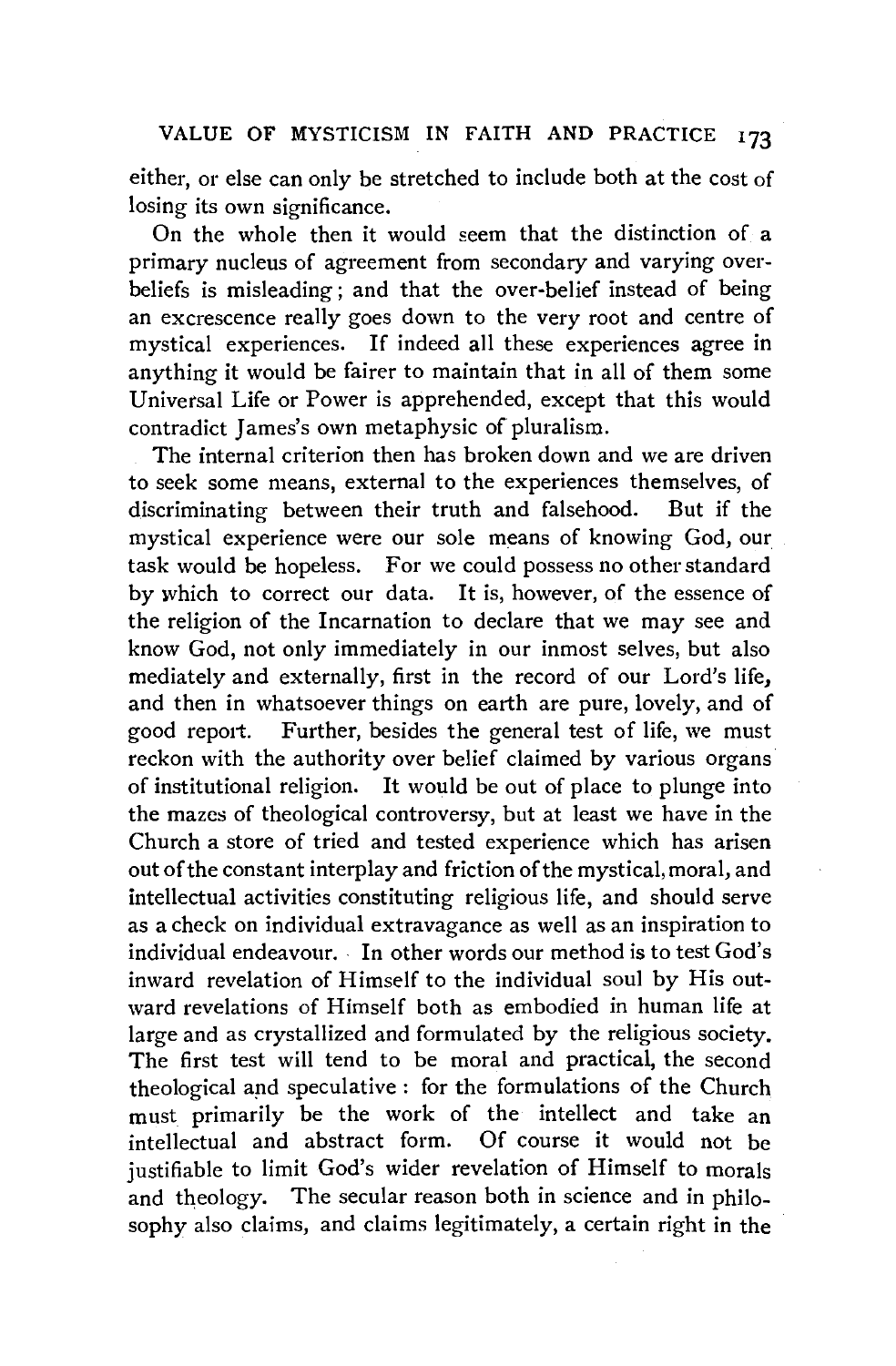either, or else can only be stretched to include both at the cost of losing its own significance.

On the whole then it would seem that the distinction of a primary nucleus of agreement from secondary and varying overbeliefs is misleading ; and that the over-belief instead of being an excrescence really goes down to the very root and centre of mystical experiences. If indeed all these experiences agree in anything it would be fairer to maintain that in all of them some Universal Life or Power is apprehended, except that this would contradict James's own metaphysic of pluralism.

The internal criterion then has broken down and we are driven to seek some means, external to the experiences themselves, of discriminating between their truth and falsehood. But if the mystical experience were our sole means of knowing God, our task would be hopeless. For we could possess no other standard by which to correct our data. It is, however, of the essence of the religion of the Incarnation to declare that we may see and know God, not only immediately in our inmost selves, but also mediately and externally, first in the record of our Lord's life, and then in whatsoever things on earth are pure, lovely, and of good report. Further, besides the general test of life, we must reckon with the authority over belief claimed by various organs of institutional religion. It would be out of place to plunge into the mazes of theological controversy, but at least we have in the Church a store of tried and tested experience which has arisen out of the constant interplay and friction of the mystical, moral, and intellectual activities constituting religious life, and should serve as a check on individual extravagance as well as an inspiration to individual endeavour. In other words our method is to test God's inward revelation of Himself to the individual soul by His outward revelations of Himself both as embodied in human life at large and as crystallized and formulated by the religious society. The first test will tend to be moral and practical, the second theological and speculative: for the formulations of the Church must primarily be the work of the intellect and take an intellectual and abstract form. Of course it would not be justifiable to limit God's wider revelation of Himself to morals and theology. The secular reason both in science and in philosophy also claims, and claims legitimately, a certain right in the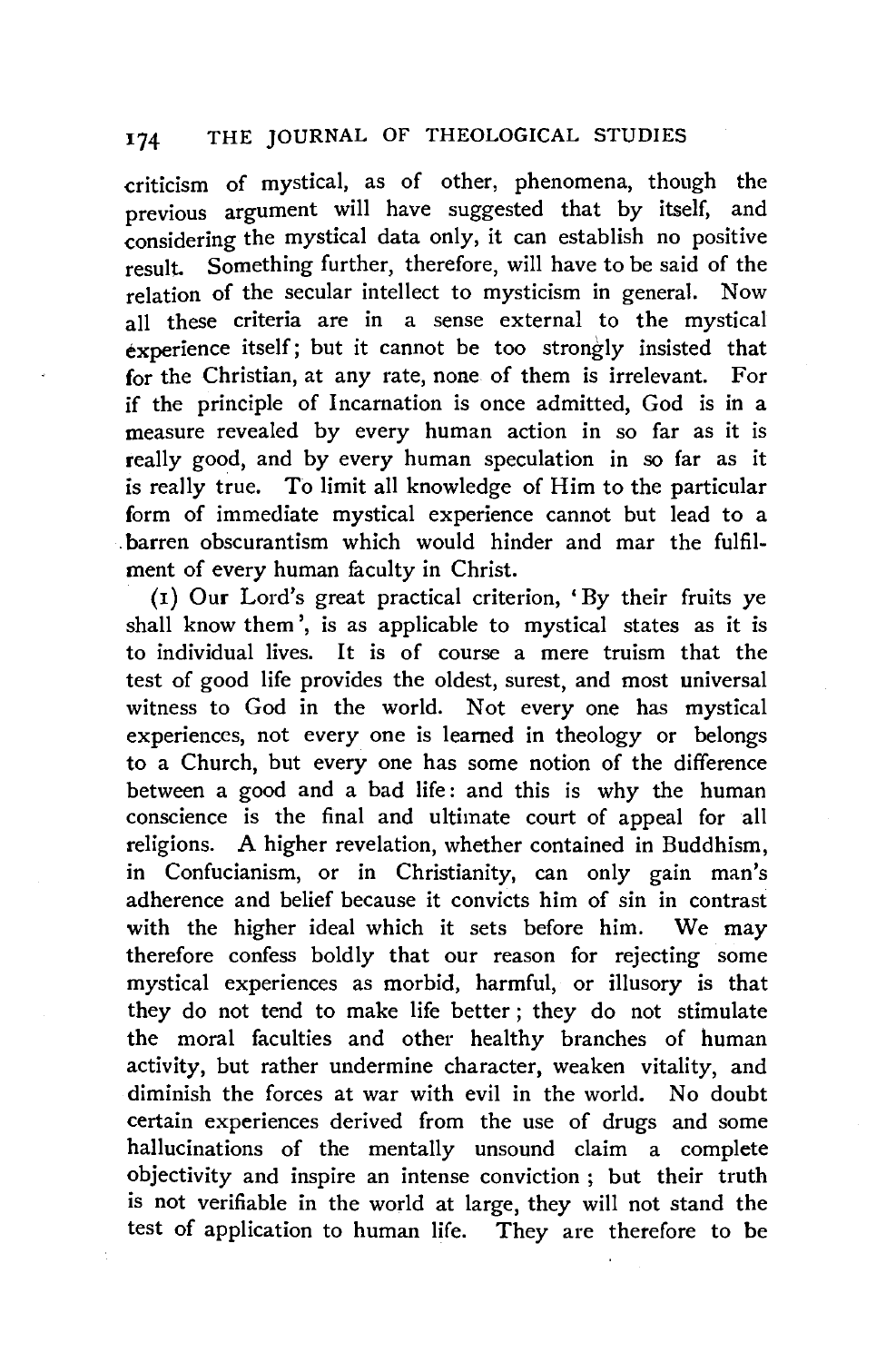criticism of mystical, as of other, phenomena, though the previous argument will have suggested that by itself, and considering the mystical data only, it can establish no positive result. Something further, therefore, will have to be said of the relation of the secular intellect to mysticism in general. Now all these criteria are in a sense external to the mystical experience itself; but it cannot be too strongly insisted that for the Christian, at any rate, none of them is irrelevant. For if the principle of Incarnation is once admitted, God is in a measure revealed by every human action in so far as it is really good, and by every human speculation in so far as it is really true. To limit all knowledge of Him to the particular form of immediate mystical experience cannot but lead to a . barren obscurantism which would hinder and mar the fulfilment of every human faculty in Christ.

(r) Our Lord's great practical criterion, 'By their fruits ye shall know them', is as applicable to mystical states as it is to individual lives. It is of course a mere truism that the test of good life provides the oldest, surest, and most universal witness to God in the world. Not every one has mystical experiences, not every one is learned in theology or belongs to a Church, but every one has some notion of the difference between a good and a bad life: and this is why the human conscience is the final and ultimate court of appeal for all religions. A higher revelation, whether contained in Buddhism, in Confucianism, or in Christianity, can only gain man's adherence and belief because it convicts him of sin in contrast with the higher ideal which it sets before him. We may therefore confess boldly that our reason for rejecting some mystical experiences as morbid, harmful, or illusory is that they do not tend to make life better ; they do not stimulate the moral faculties and other healthy branches of human activity, but rather undermine character, weaken vitality, and diminish the forces at war with evil in the world. No doubt certain experiences derived from the use of drugs and some hallucinations of the mentally unsound claim a complete objectivity and inspire an intense conviction ; but their truth is not verifiable in the world at large, they will not stand the test of application to human life. They are therefore to be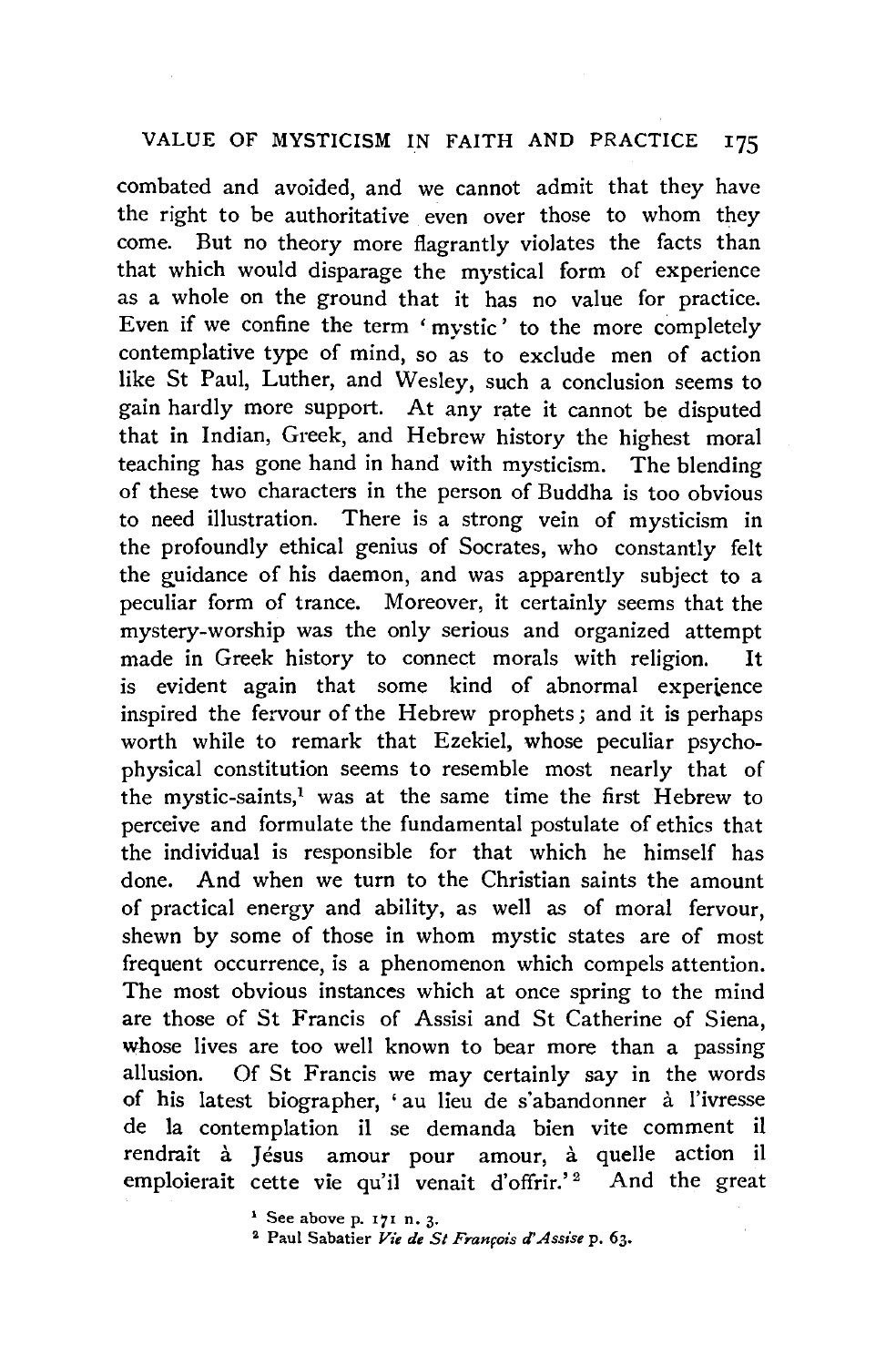combated and avoided, and we cannot admit that they have the right to be authoritative even over those to whom they come. But no theory more flagrantly violates the facts than that which would disparage the mystical form of experience as a whole on the ground that it has no value for practice. Even if we confine the term ' mystic' to the more completely contemplative type of mind, so as to exclude men of action like St Paul, Luther, and Wesley, such a conclusion seems to gain hardly more support. At any rate it cannot be disputed that in Indian, Greek, and Hebrew history the highest moral teaching has gone hand in hand with mysticism. The blending of these two characters in the person of Buddha is too obvious to need illustration. There is a strong vein of mysticism in the profoundly ethical genius of Socrates, who constantly felt the guidance of his daemon, and was apparently subject to a peculiar form of trance. Moreover, it certainly seems that the mystery-worship was the only serious and organized attempt made in Greek history to connect morals with religion. It is evident again that some kind of abnormal experience inspired the fervour of the Hebrew prophets; and it is perhaps worth while to remark that Ezekiel, whose peculiar psychophysical constitution seems to resemble most nearly that of the mystic-saints/ was at the same time the first Hebrew to perceive and formulate the fundamental postulate of ethics that the individual is responsible for that which he himself has done. And when we turn to the Christian saints the amount of practical energy and ability, as well as of moral fervour, shewn by some of those in whom mystic states are of most frequent occurrence, is a phenomenon which compels attention. The most obvious instances which at once spring to the mind are those of St Francis of Assisi and St Catherine of Siena, whose lives are too well known to bear more than a passing allusion. Of St Francis we may certainly say in the words of his latest biographer, 'au lieu de s'abandonner a l'ivresse de la contemplation il se demanda bien vite comment il rendrait à Jésus amour pour amour, à quelle action il emploierait cette vie qu'il venait d'offrir.'<sup>2</sup> And the great

<sup>1</sup> See above p. 171 n. 3.<br><sup>2</sup> Paul Sabatier *Vie de St Francois d'Assise* p. 63.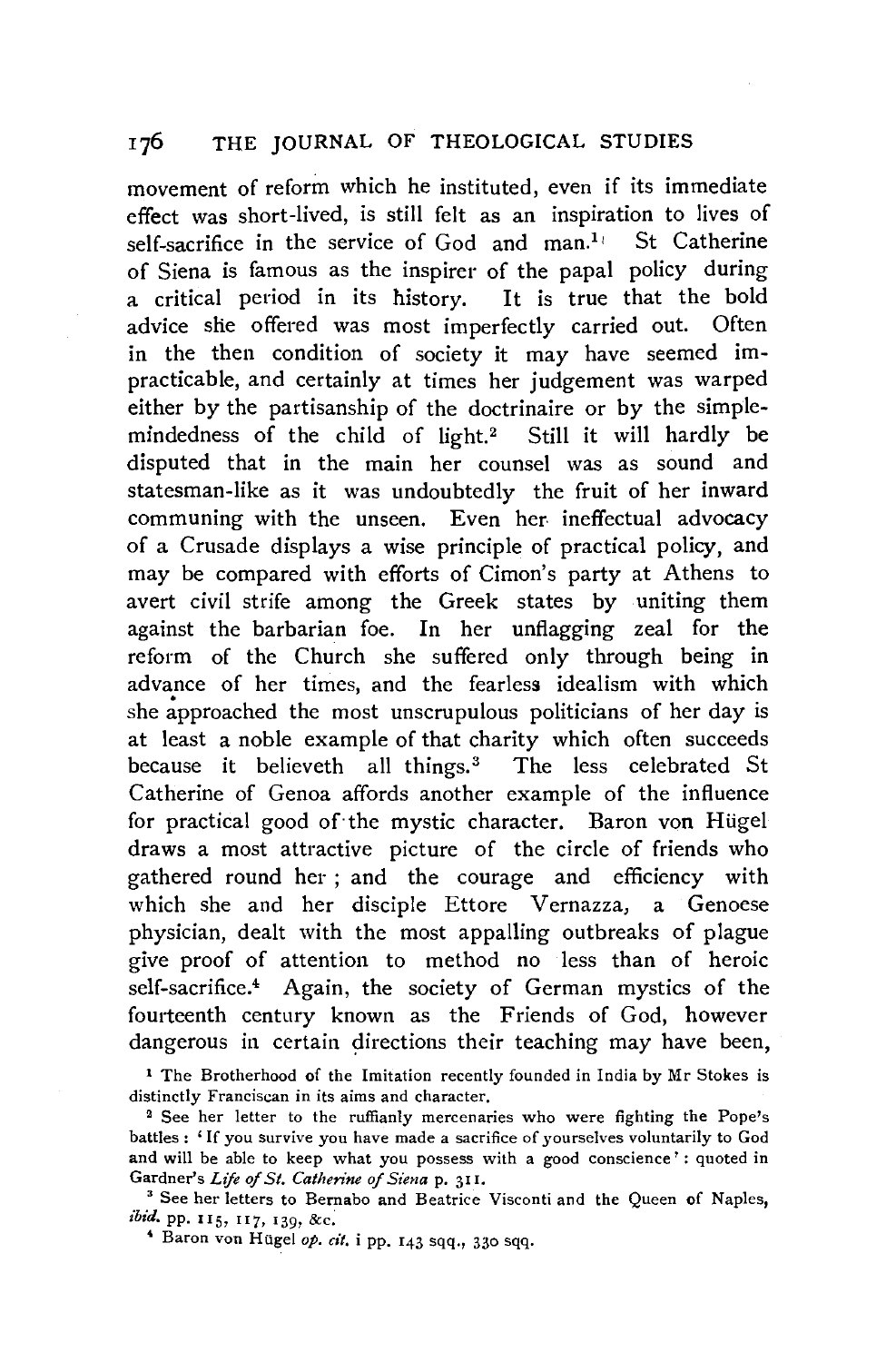movement of reform which he instituted, even if its immediate effect was short-lived, is still felt as an inspiration to lives of self-sacrifice in the service of God and man.<sup>11</sup> St Catherine of Siena is famous as the inspirer of the papal policy during a critical period in its history. It is true that the bold advice she offered was most imperfectly carried out. Often in the then condition of society it may have seemed impracticable, and certainly at times her judgement was warped either by the partisanship of the doctrinaire or by the simplemindedness of the child of light.<sup>2</sup> Still it will hardly be disputed that in the main her counsel was as sound and statesman-like as it was undoubtedly the fruit of her inward communing with the unseen. Even her ineffectual advocacy of a Crusade displays a wise principle of practical policy, and may be compared with efforts of Cimon's party at Athens to avert civil strife among the Greek states by uniting them against the barbarian foe. In her unflagging zeal for the reform of the Church she suffered only through being in advance of her times, and the fearless idealism with which  $s$ he approached the most unscrupulous politicians of her day is at least a noble example of that charity which often succeeds because it believeth all things.<sup>3</sup> The less celebrated St Catherine of Genoa affords another example of the influence for practical good of-the mystic character. Baron von Hiigel draws a most attractive picture of the circle of friends who gathered round her ; and the courage and efficiency with which she and her disciple Ettore Vernazza, a Genoese physician, dealt with the most appalling outbreaks of plague give proof of attention to method no less than of heroic self-sacrifice.4 Again, the society of German mystics of the fourteenth century known as the Friends of God, however dangerous in certain directions their teaching may have been,

1 The Brotherhood of the Imitation recently founded in India by Mr Stokes is distinctly Franciscan in its aims and character.

<sup>2</sup> See her letter to the ruffianly mercenaries who were fighting the Pope's battles : ' If you survive you have made a sacrifice of yourselves voluntarily to God and will be able to keep what you possess with a good conscience' : quoted in Gardner's *Life of St. Catherine of Siena* p. 311.<br><sup>3</sup> See her letters to Bernabo and Beatrice Visconti and the Queen of Naples,

*ibid.* pp. 115, 117, 139, &c. 4 Baron von Hügel op. cit. i pp. 143 sqq., 330 sqq.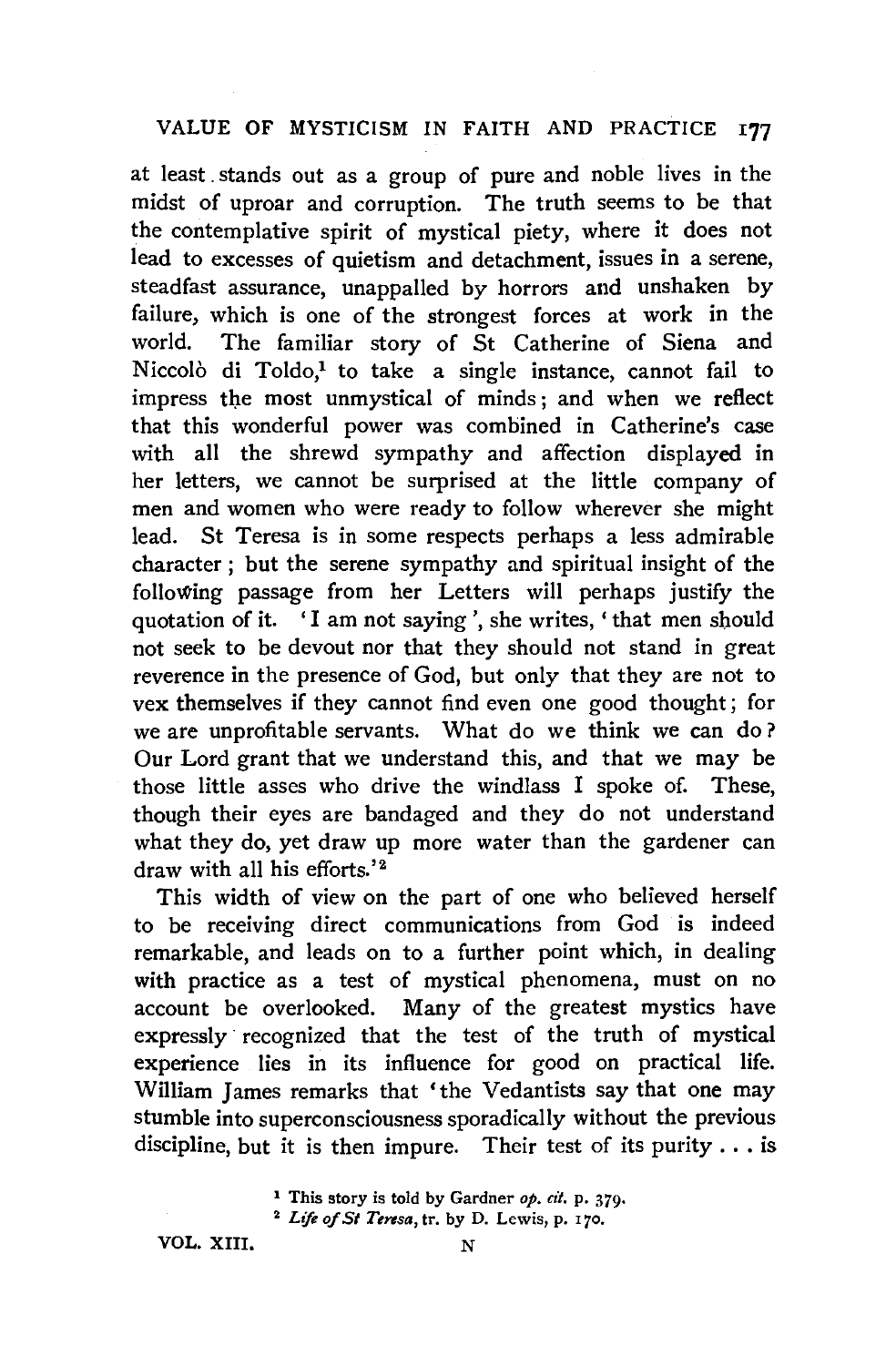at least . stands out as a group of pure and noble lives in the midst of uproar and corruption. The truth seems to be that the contemplative spirit of mystical piety, where it does not lead to excesses of quietism and detachment, issues in a serene, steadfast assurance, unappalled by horrors and unshaken by failure, which is one of the strongest forces at work in the world. The familiar story of St Catherine of Siena and Niccolò di Toldo,<sup>1</sup> to take a single instance, cannot fail to impress the most unmystical of minds; and when we reflect that this wonderful power was combined in Catherine's case with all the shrewd sympathy and affection displayed in her letters, we cannot be surprised at the little company of men and women who were ready to follow wherever she might lead. St Teresa is in some respects perhaps a less admirable character ; but the serene sympathy and spiritual insight of the following passage from her Letters will perhaps justify the quotation of it. 'I am not saying', she writes, 'that men should not seek to be devout nor that they should not stand in great reverence in the presence of God, but only that they are not to vex themselves if they cannot find even one good thought; for we are unprofitable servants. What do we think we can do ? Our Lord grant that we understand this, and that we may be those little asses who drive the windlass I spoke of. These, though their eyes are bandaged and they do not understand what they do, yet draw up more water than the gardener can draw with all his efforts.<sup>'2</sup>

This width of view on the part of one who believed herself to be receiving direct communications from God is indeed remarkable, and leads on to a further point which, in dealing with practice as a test of mystical phenomena, must on no account be overlooked. Many of the greatest mystics have expressly recognized that the test of the truth of mystical experience lies in its influence for good on practical life. William James remarks that 'the Vedantists say that one may stumble into superconsciousness sporadically without the previous discipline, but it is then impure. Their test of its purity ... is

1 This story is told by Gardner *op. cit.* p. 379.<br><sup>2</sup> *Life of St Teresa*, tr. by D. Lewis, p. 170.

VOL. XIII.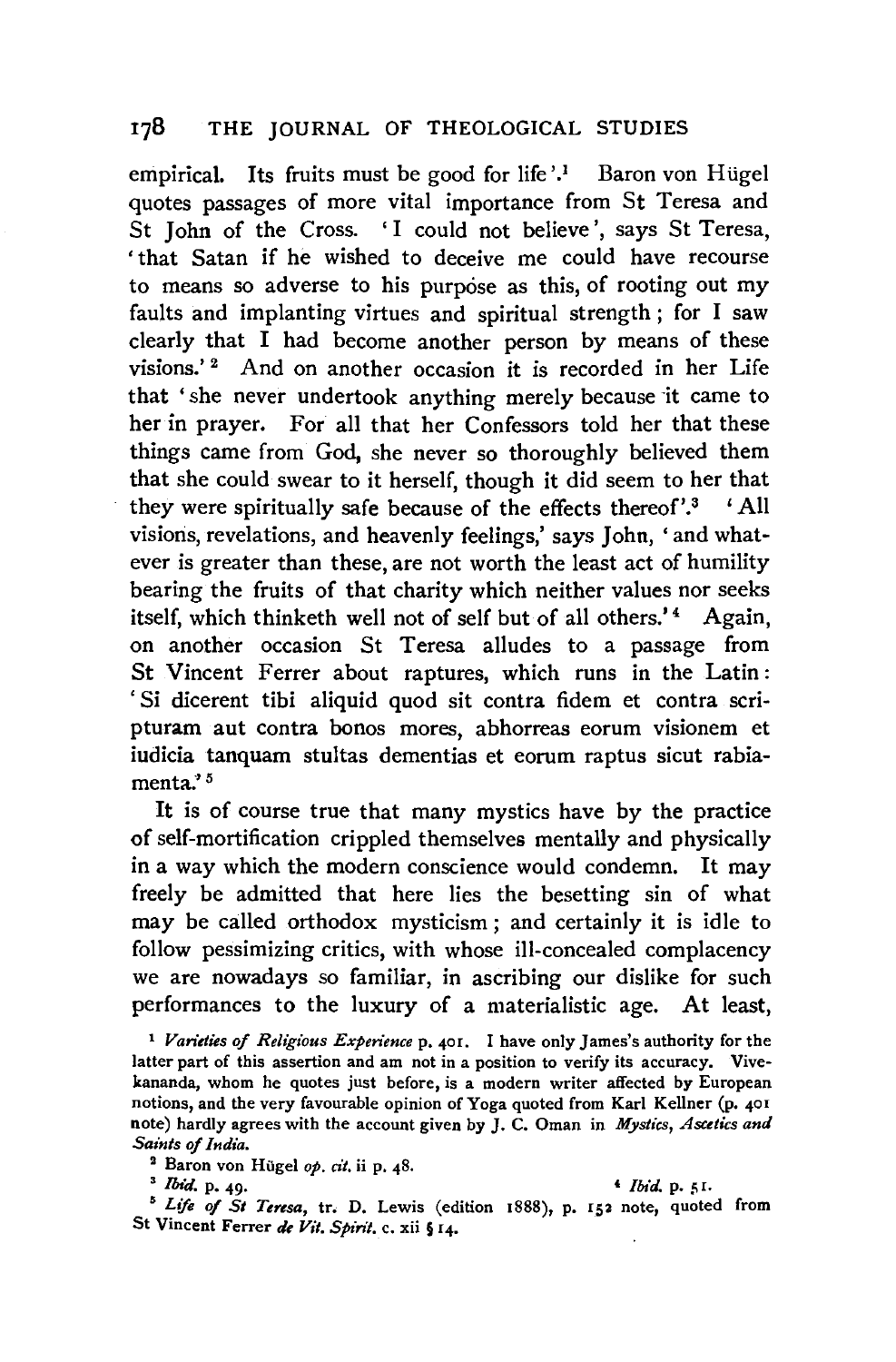empirical. Its fruits must be good for life'.<sup>1</sup> Baron von Hügel quotes passages of more vital importance from St Teresa and St John of the Cross. 'I could not believe', says St Teresa, 'that Satan if he wished to deceive me could have recourse to means so adverse to his purpose as this, of rooting out my faults and implanting virtues and spiritual strength ; for I saw clearly that I had become another person by means of these visions.'<sup>2</sup> And on another occasion it is recorded in her Life that 'she never undertook anything merely because it came to her in prayer. For all that her Confessors told her that these things came from God, she never so thoroughly believed them that she could swear to it herself, though it did seem to her that they were spiritually safe because of the effects thereof'. $3 \cdot A$ ll visions, revelations, and heavenly feelings,' says John, ' and whatever is greater than these, are not worth the least act of humility bearing the fruits of that charity which neither values nor seeks itself, which thinketh well not of self but of all others.'<sup>4</sup> Again, on another occasion St Teresa alludes to a passage from St Vincent Ferrer about raptures, which runs in the Latin: ' Si dicerent tibi aliquid quod sit contra fidem et contra scripturam aut contra bonos mores, abhorreas eorum visionem et iudicia tanquam stultas dementias et eorum raptus sicut rabiamenta.<sup>35</sup>

It is of course true that many mystics have by the practice of self-mortification crippled themselves mentally and physically in a way which the modern conscience would condemn. It may freely be admitted that here lies the besetting sin of what may be called orthodox mysticism; and certainly it is idle to follow pessimizing critics, with whose ill-concealed complacency we are nowadays so familiar, in ascribing our dislike for such performances to the luxury of a materialistic age. At least,

<sup>1</sup>*Varieties of Religious Experience* p. 401. I have only James's authority for the latter part of this assertion and am not in a position to verify its accuracy. Vivekananda, whom he quotes just before, is a modern writer affected by European notions, and the very favourable opinion of Yoga quoted from Karl Kellner (p. 401 note) hardly agrees with the account given by J. C. Oman in *Mystics, Ascetics and Saints of India.* 

<sup>2</sup> Baron von Hügel *op. cit.* ii p. 48. <sup>3</sup> *Ibid.* p. 49. <sup>4</sup> *Ibid.* p. 4. <sup>4</sup> *Ibid.* p. 4. <sup>5</sup> *Life of St Teresa*, *tr. D. Lewis* (edition 1888), p. 152 note, quoted from St Vincent Ferrer *de Vit. Spirit.* c. xii § 14.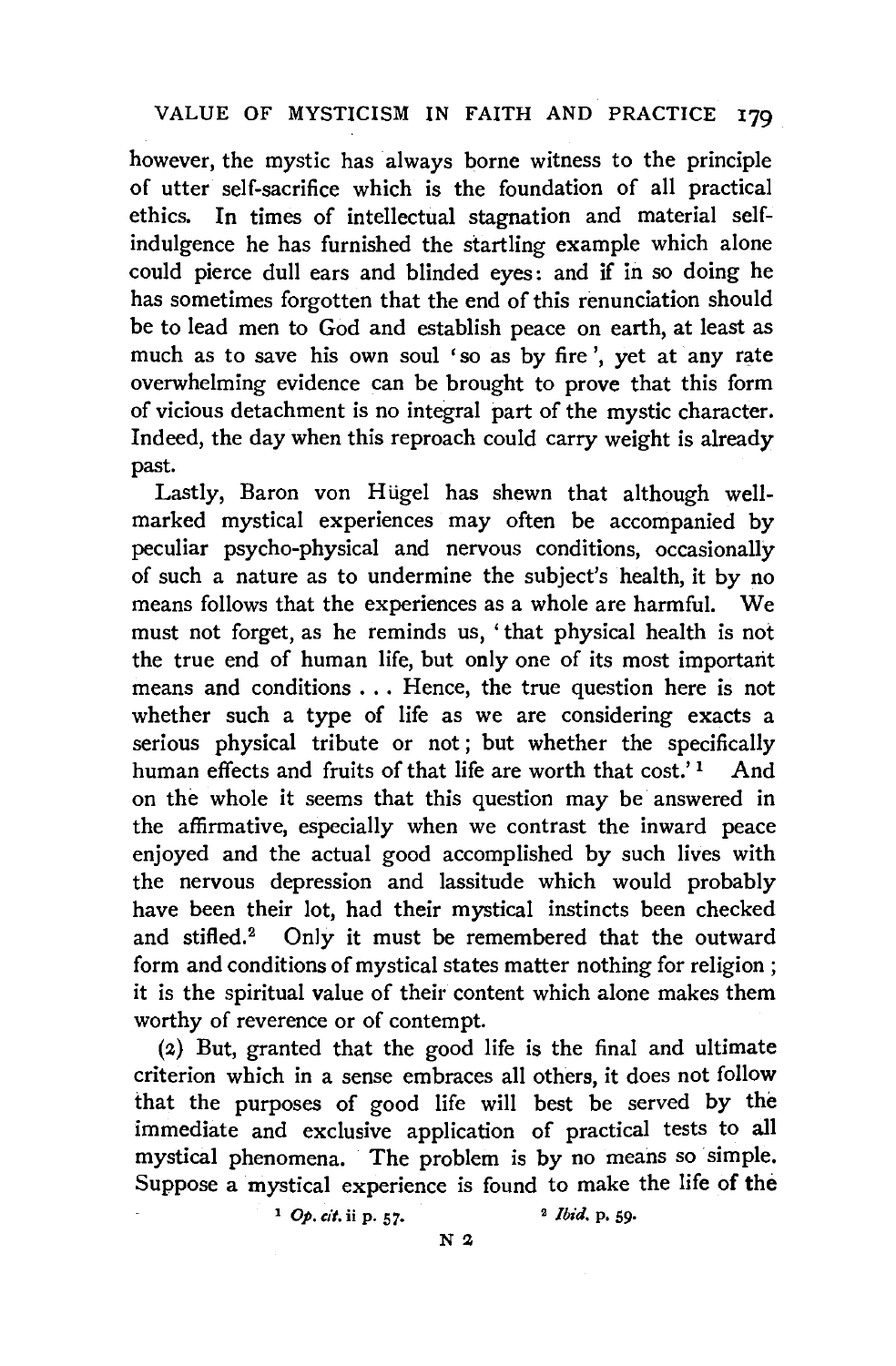however, the mystic has always borne witness to the principle of utter self-sacrifice which is the foundation of all practical ethics. In times of intellectual stagnation and material selfindulgence he has furnished the startling example which alone could pierce dull ears and blinded eyes: and if in so doing he has sometimes forgotten that the end of this renunciation should be to lead men to God and establish peace on earth, at least as much as to save his own soul 'so as by fire ', yet at any rate overwhelming evidence can be brought to prove that this form of vicious detachment is no integral part of the mystic character. Indeed, the day when this reproach could carry weight is already past.

Lastly, Baron von Hügel has shewn that although wellmarked mystical experiences may often be accompanied by peculiar psycho-physical and nervous conditions, occasionally of such a nature as to undermine the subject's health, it by no means follows that the experiences as a whole are harmful. We must not forget, as he reminds us, 'that physical health is not the true end of human life, but only one of its most important means and conditions ... Hence, the true question here is not whether such a type of life as we are considering exacts a serious physical tribute or not ; but whether the specifically human effects and fruits of that life are worth that  $cost.^{1}$  And on the whole it seems that this question may be answered in the affirmative, especially when we contrast the inward peace enjoyed and the actual good accomplished by such lives with the nervous depression and lassitude which would probably have been their lot, had their mystical instincts been checked and stifled.<sup>2</sup> Only it must be remembered that the outward form and conditions of mystical states matter nothing for religion ; it is the spiritual value of their content which alone makes them worthy of reverence or of contempt.

(2) But, granted that the good life is the final and ultimate criterion which in a sense embraces all others, it does not follow that the purposes of good life will best be served by the immediate and exclusive application of practical tests to all mystical phenomena. The problem is by no means so simple. Suppose a mystical experience is found to make the life of the

 $1$  Op. cit. ii p. 57.  $2$  *Ibid.* p. 59.

N 2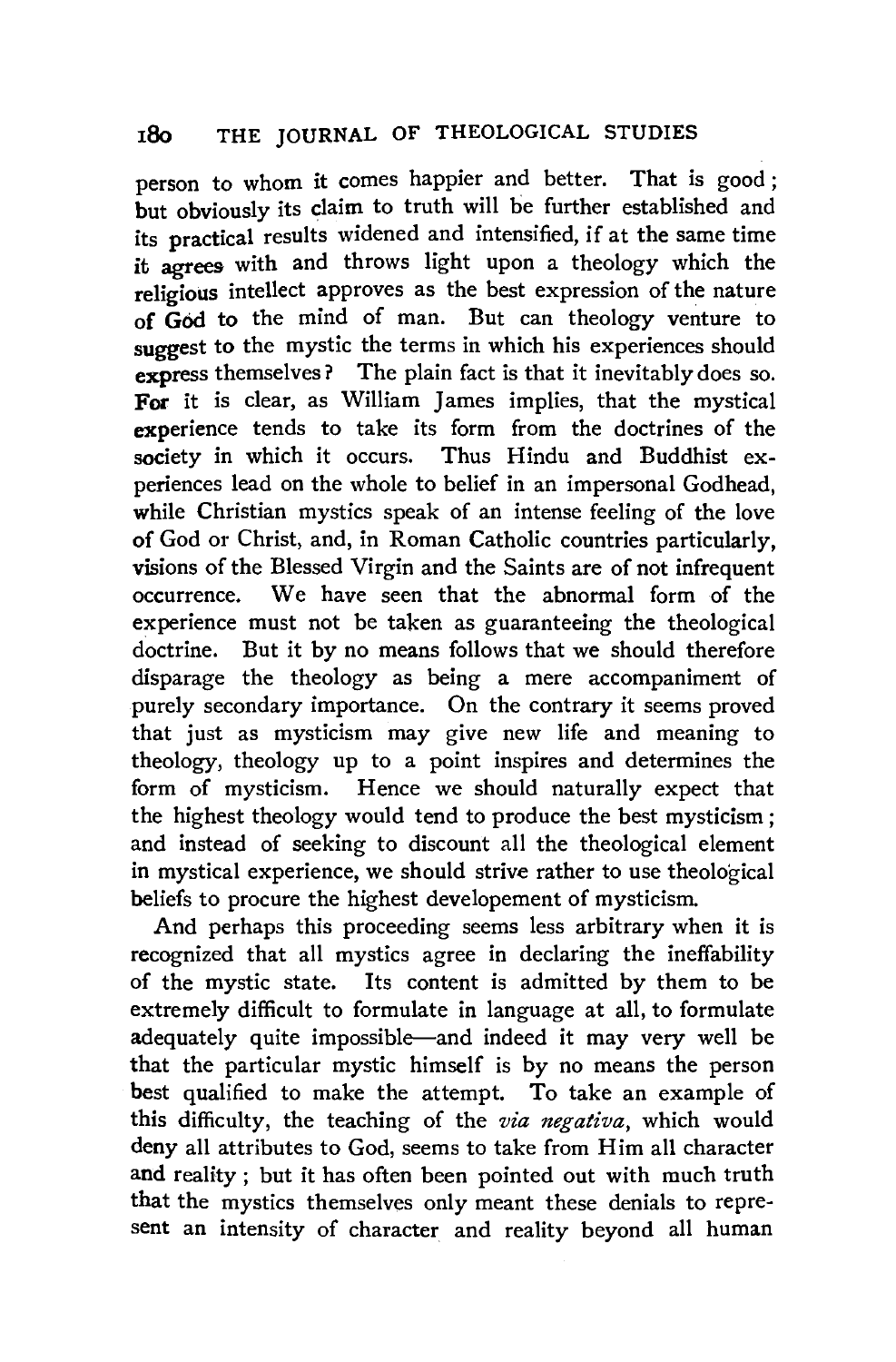person to whom it comes happier and better. That is good: but obviously its claim to truth will be further established and its practical results widened and intensified, if at the same time it agrees with and throws light upon a theology which the religious intellect approves as the best expression of the nature  $\overline{\text{of God}}$  to the mind of man. But can theology venture to suggest to the mystic the terms in which his experiences should express themselves? The plain fact is that it inevitably does so. For it is clear, as William James implies, that the mystical experience tends to take its form from the doctrines of the society in which it occurs. Thus Hindu and Buddhist experiences lead on the whole to belief in an impersonal Godhead, while Christian mystics speak of an intense feeling of the love of God or Christ, and, in Roman Catholic countries particularly, visions of the Blessed Virgin and the Saints are of not infrequent occurrence. We have seen that the abnormal form of the experience must not be taken as guaranteeing the theological doctrine. But it by no means follows that we should therefore disparage the theology as being a mere accompaniment of purely secondary importance. On the contrary it seems proved that just as mysticism may give new life and meaning to theology, theology up to a point inspires and determines the form of mysticism. Hence we should naturally expect that the highest theology would tend to produce the best mysticism; and instead of seeking to discount all the theological element in mystical experience, we should strive rather to use theological beliefs to procure the highest developement of mysticism.

And perhaps this proceeding seems less arbitrary when it is recognized that all mystics agree in declaring the ineffability of the mystic state. Its content is admitted by them to be extremely difficult to formulate in language at all, to formulate adequately quite impossible-and indeed it may very well be that the particular mystic himself is by no means the person best qualified to make the attempt. To take an example of this difficulty, the teaching of the *via negativa,* which would deny all attributes to God, seems to take from Him all character and reality ; but it has often been pointed out with much truth that the mystics themselves only meant these denials to represent an intensity of character and reality beyond all human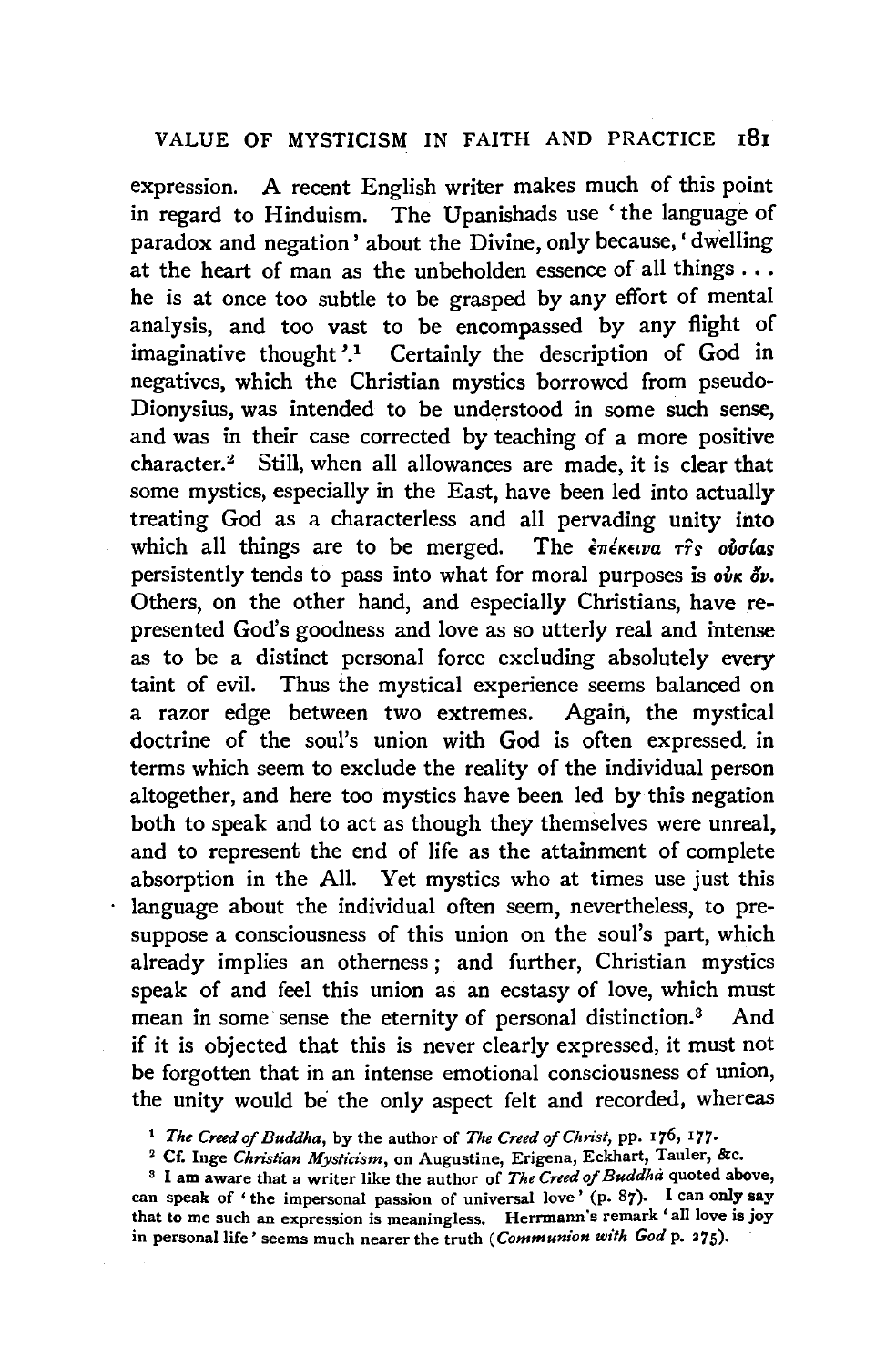expression. A recent English writer makes much of this point in regard to Hinduism. The Upanishads use 'the language of paradox and negation' about the Divine, only because,' dwelling at the heart of man as the unbeholden essence of all things ... he is at once too subtle to be grasped by any effort of mental analysis, and too vast to be encompassed by any flight of imaginative thought'.<sup>1</sup> Certainly the description of God in negatives, which the Christian mystics borrowed from pseudo-Dionysius, was intended to be understood in some such sense, and was in their case corrected by teaching of a more positive character.<sup>2</sup> Still, when all allowances are made, it is clear that some mystics, especially in the East, have been led into actually treating God as a characterless and all pervading unity into which all things are to be merged. The  $\epsilon \pi \epsilon \kappa \epsilon \nu \alpha$   $\tau \gamma$  ovolas persistently tends to pass into what for moral purposes is our  $\delta v$ . Others, on the other hand, and especially Christians, have represented God's goodness and love as so utterly real and intense as to be a distinct personal force excluding absolutely every taint of evil. Thus the mystical experience seems balanced on a razor edge between two extremes. Again, the mystical doctrine of the soul's union with God is often expressed. in terms which seem to exclude the reality of the individual person altogether, and here too mystics have been led by this negation both to speak and to act as though they themselves were unreal, and to represent the end of life as the attainment of complete absorption in the All. Yet mystics who at times use just this language about the individual often seem, nevertheless, to presuppose a consciousness of this union on the soul's part, which already implies an otherness ; and further, Christian mystics speak of and feel this union as an ecstasy of love, which must mean in some sense the eternity of personal distinction.<sup>3</sup> And if it is objected that this is never clearly expressed, it must not be forgotten that in an intense emotional consciousness of union, the unity would be' the only aspect felt and recorded, whereas

 $\ddot{\phantom{0}}$ 

<sup>1</sup> *The Creed of Buddha*, by the author of *The Creed of Christ*, pp. 176, 177.<br><sup>2</sup> Cf. Inge *Christian Mysticism*, on Augustine, Erigena, Eckhart, Tauler, &c.<br><sup>3</sup> I am aware that a writer like the author of *The Creed o* can speak of 'the impersonal passion of universal love' (p. 87). I can only say that to me such an expression is meaningless. Herrmann 's remark ' all love is joy in personal life' seems much nearer the truth *(Communion with God* p. 275).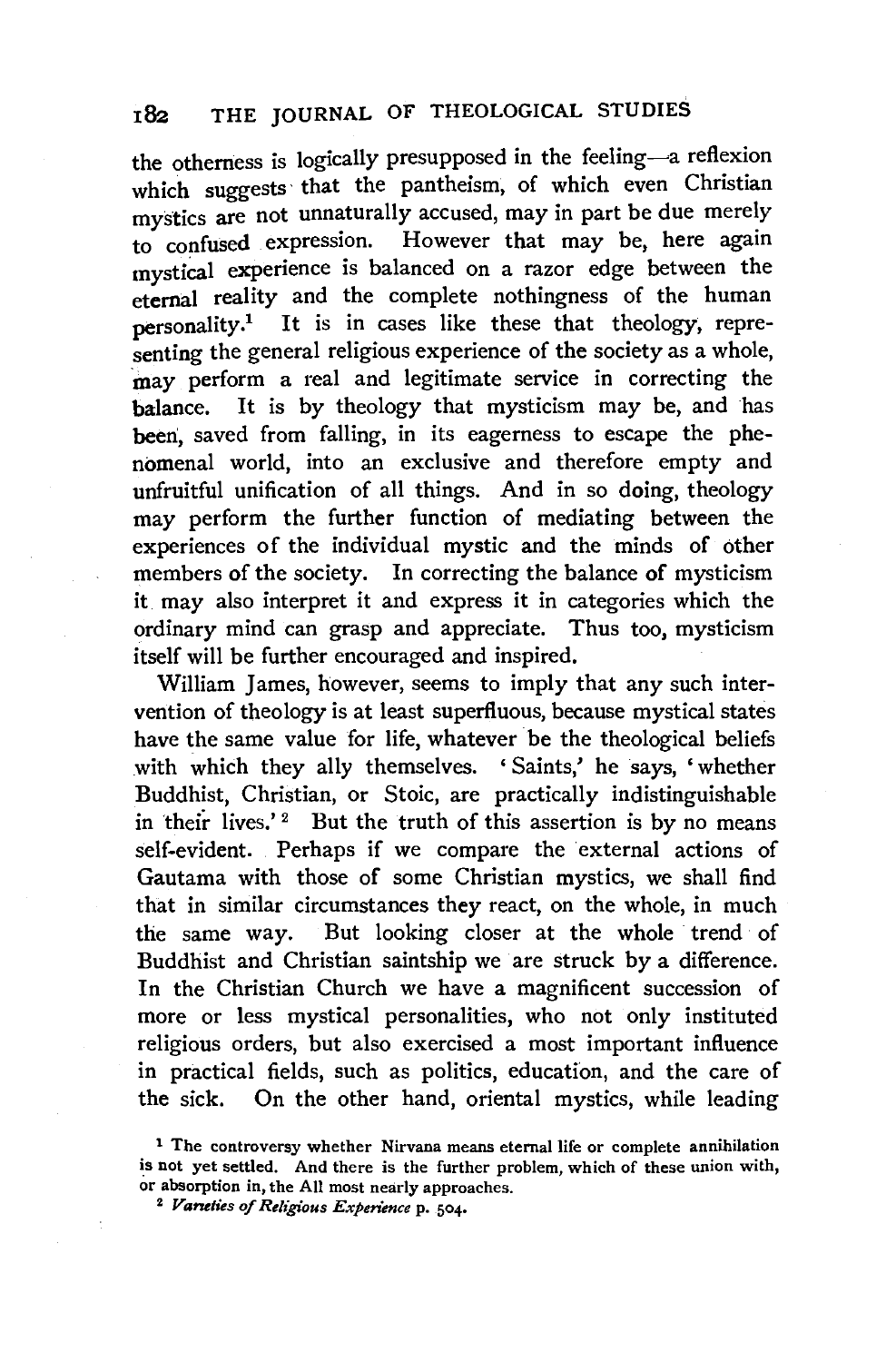the otherness is logically presupposed in the feeling-a reflexion which suggests that the pantheism, of which even Christian mystics are not unnaturally accused, may in part be due merely to confused expression. However that may be, here again mystical experience is balanced on a razor edge between the eternal reality and the complete nothingness of the human personality.1 It is in cases like these that theology, representing the general religious experience of the society as a whole, ·may perform a real and legitimate service in correcting the balance. It is by theology that mysticism may be, and has been, saved from falling, in its eagerness to escape the phenomenal world, into an exclusive and therefore empty and unfruitful unification of all things. And in so doing, theology may perform the further function of mediating between the experiences of the individual mystic and the minds of other members of the society. In correcting the balance of mysticism it may also interpret it and express it in categories which the ordinary mind can grasp and appreciate. Thus too, mysticism itself will be further encouraged and inspired.

William James, however, seems to imply that any such intervention of theology is at least superfluous, because mystical states have the same value for life, whatever be the theological beliefs with which they ally themselves. ' Saints,' he says, 'whether Buddhist, Christian, or Stoic, are practically indistinguishable in their lives.'<sup>2</sup> But the truth of this assertion is by no means self-evident. Perhaps if we compare the external actions of Gautama with those of some Christian mystics, we shall find that in similar circumstances they react, on the whole, in much the same way. But looking closer at the whole trend of Buddhist and Christian saintship we are struck by a difference. In the Christian Church we have a magnificent succession of more or less mystical personalities, who not only instituted religious orders, but also exercised a most important influence in practical fields, such as politics, education, and the care of the sick. On the other hand, oriental mystics, while leading

<sup>&</sup>lt;sup>1</sup> The controversy whether Nirvana means eternal life or complete annihilation is not yet settled. And there is the further problem, which of these union with, or absorption in, the All most nearly approaches.<br><sup>2</sup> *Vaneties of Religious Experience* p. 504.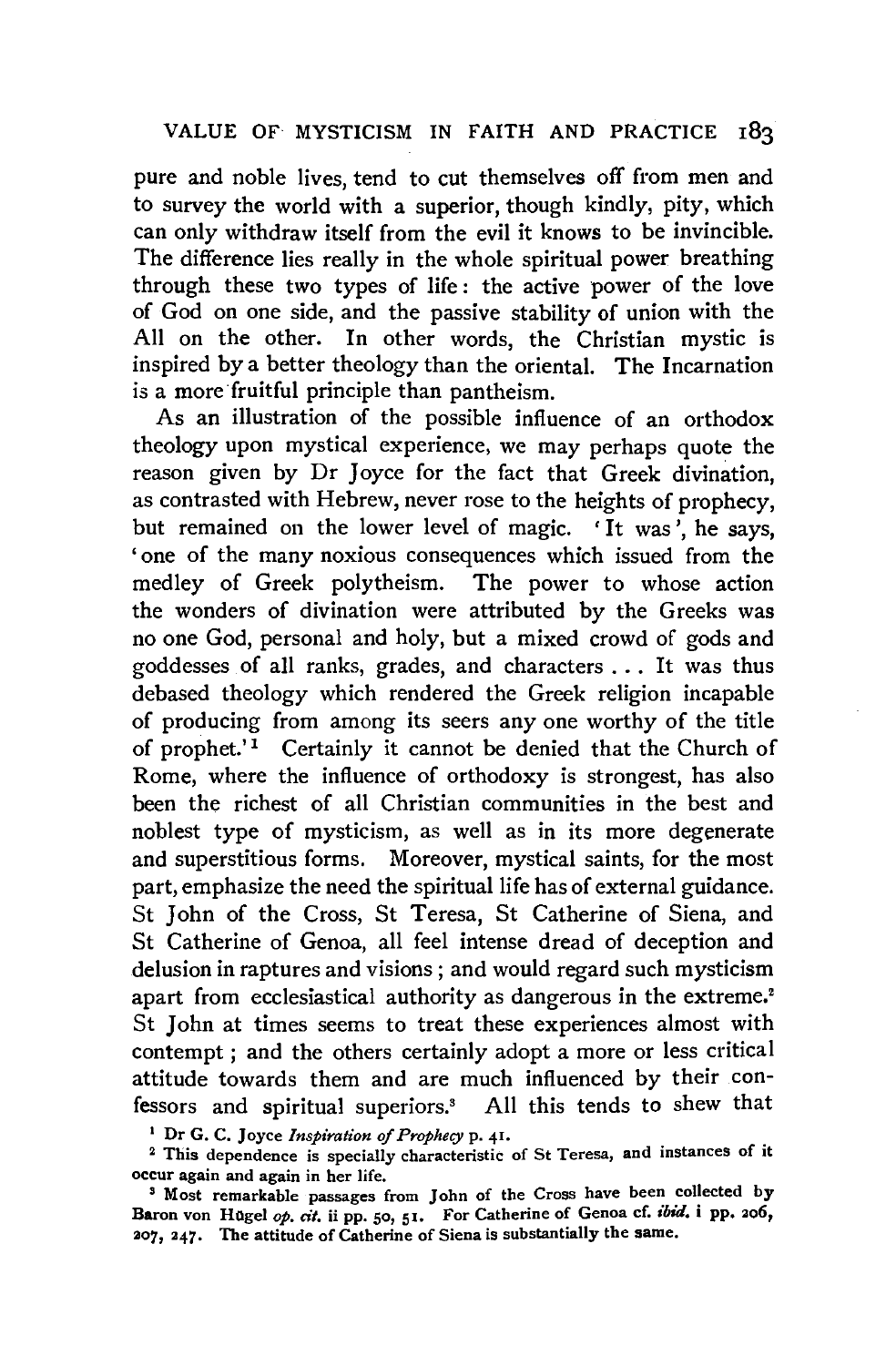pure and noble lives, tend to cut themselves off from men and to survey the world with a superior, though kindly, pity, which can only withdraw itself from the evil it knows to be invincible. The difference lies really in the whole spiritual power breathing through these two types of life: the active power of the love of God on one side, and the passive stability of union with the All on the other. In other words, the Christian mystic is inspired by a better theology than the oriental. The Incarnation is a more fruitful principle than pantheism.

As an illustration of the possible influence of an orthodox theology upon mystical experience, we may perhaps quote the reason given by Dr Joyce for the fact that Greek divination, as contrasted with Hebrew, never rose to the heights of prophecy, but remained on the lower level of magic. 'It was', he says, 'one of the many noxious consequences which issued from the medley of Greek polytheism. The power to whose action the wonders of divination were attributed by the Greeks was no one God, personal and holy, but a mixed crowd of gods and goddesses of all ranks, grades, and characters . . . It was thus debased theology which rendered the Greek religion incapable of producing from among its seers any one worthy of the title of prophet.'<sup>1</sup> Certainly it cannot be denied that the Church of Rome, where the influence of orthodoxy is strongest, has also been the richest of all Christian communities in the best and noblest type of mysticism, as well as in its more degenerate and superstitious forms. Moreover, mystical saints, for the most part, emphasize the need the spiritual life has of external guidance. St John of the Cross, St Teresa, St Catherine of Siena, and St Catherine of Genoa, all feel intense dread of deception and delusion in raptures and visions ; and would regard such mysticism apart from ecclesiastical authority as dangerous in the extreme.<sup>2</sup> St John at times seems to treat these experiences almost with contempt ; and the others certainly adopt a more or less critical attitude towards them and are much influenced by their confessors and spiritual superiors.<sup>3</sup> All this tends to shew that <sup>1</sup> Dr G. C. Joyce *Inspiration of Prophecy* p. 41. <sup>2</sup> This dependence is specially characteristic of St Teresa, and instances of it

occur again and again in her life.<br><sup>3</sup> Most remarkable passages from John of the Cross have been collected by Baron von Hugel *op. cit.* ii pp. 50, 51. For Catherine of Genoa cf. *ibid. i* pp. 206, 207, 247. The attitude of Catherine of Siena is substantially the same.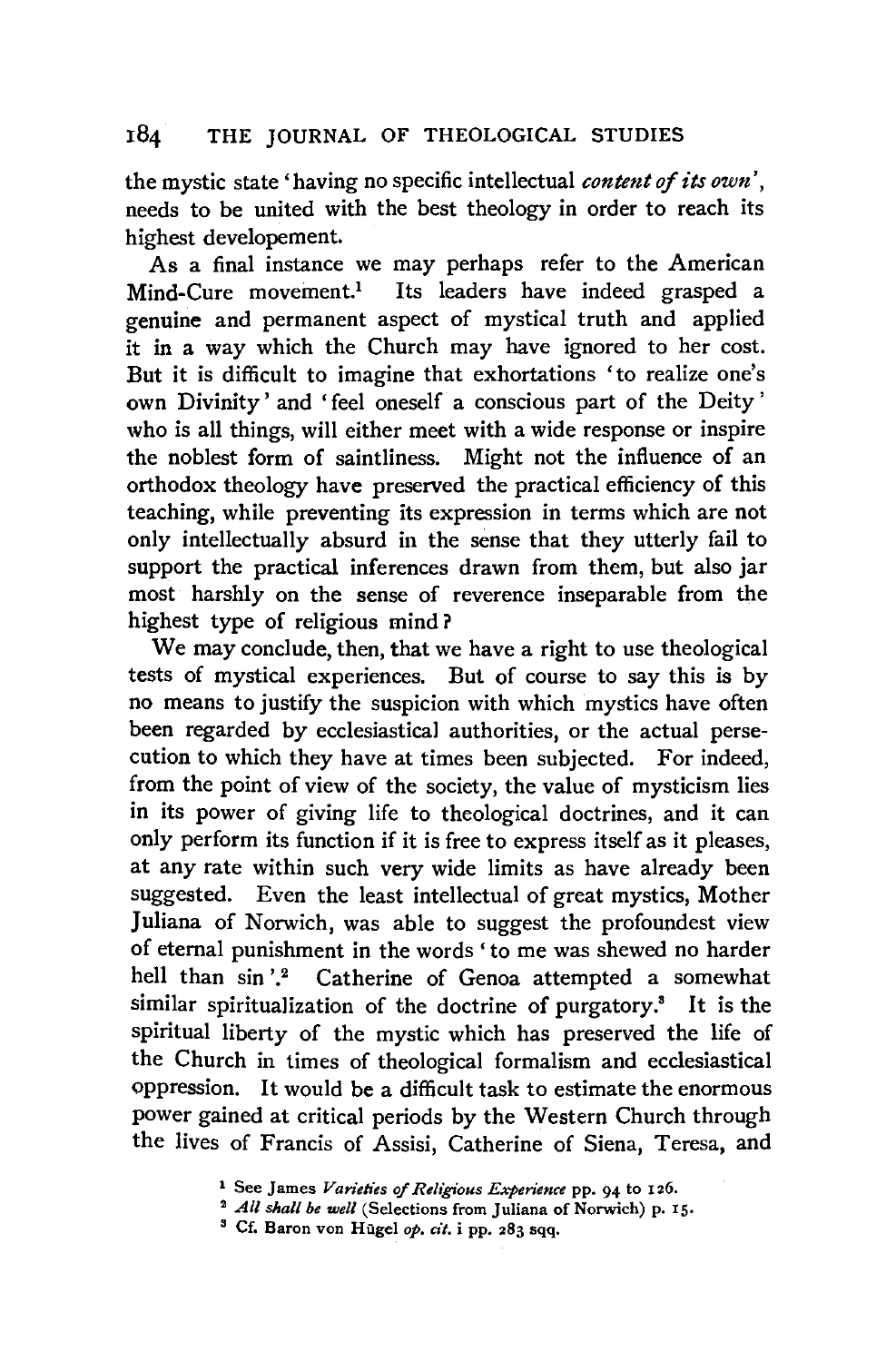the mystic state 'having no specific intellectual *content of its own',*  needs to be united with the best theology in order to reach its highest developement.

As a final instance we may perhaps refer to the American Mind-Cure movement.1 Its leaders have indeed grasped a genuine and permanent aspect of mystical truth and applied it in a way which the Church may have ignored to her cost. But it is difficult to imagine that exhortations 'to realize one's own Divinity ' and ' feel oneself a conscious part of the Deity ' who is all things, will either meet with a wide response or inspire the noblest form of saintliness. Might not the influence of an orthodox theology have preserved the practical efficiency of this teaching, while preventing its expression in terms which are not only intellectually absurd in the sense that they utterly fail to support the practical inferences drawn from them, but also jar most harshly on the sense of reverence inseparable from the highest type of religious mind ?

We may conclude, then, that we have a right to use theological tests of mystical experiences. But of course to say this is by no means to justify the suspicion with which mystics have often been regarded by ecclesiastical authorities, or the actual persecution to which they have at times been subjected. For indeed, from the point of view of the society, the value of mysticism lies in its power of giving life to theological doctrines, and it can only perform its function if it is free to express itself as it pleases, at any rate within such very wide limits as have already been suggested. Even the least intellectual of great mystics, Mother Juliana of Norwich, was able to suggest the profoundest view of eternal punishment in the words ' to me was shewed no harder hell than sin '.<sup>2</sup> Catherine of Genoa attempted a somewhat similar spiritualization of the doctrine of purgatory.8 It is the spiritual liberty of the mystic which has preserved the life of the Church in times of theological formalism and ecclesiastical oppression, It would be a difficult task to estimate the enormous power gained at critical periods by the Western Church through the lives of Francis of Assisi, Catherine of Siena, Teresa, and

<sup>1</sup> See James *Varieties of Religious Experience* pp. 94 to 126. 2 *All shall be well* (Selections from Juliana of Norwich) p. 15. 8 Cf. Baron van Huge! *op. cit.* i pp. 283 sqq.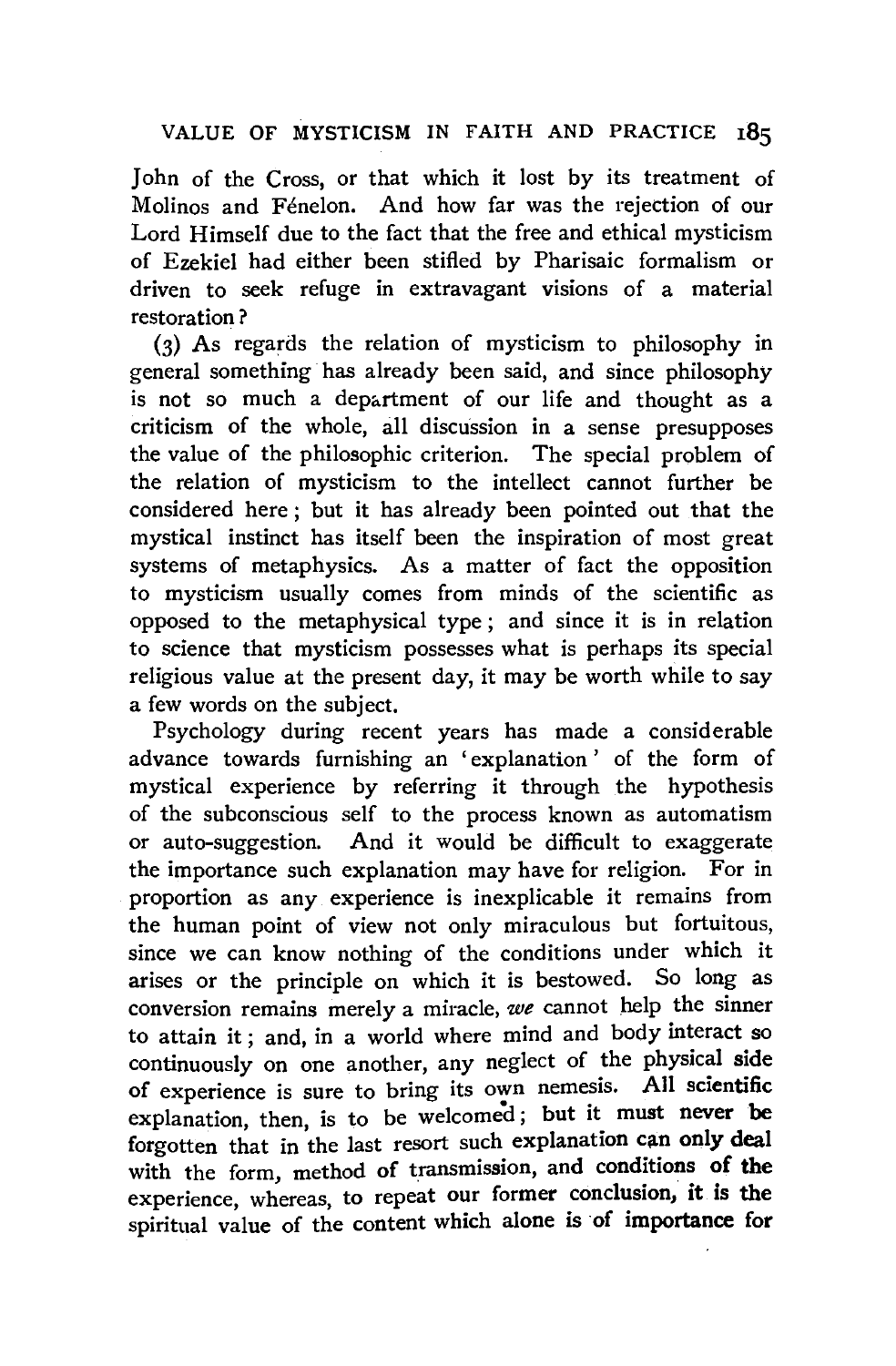John of the Cross, or that which it lost by its treatment of Molinos and Fénelon. And how far was the rejection of our Lord Himself due to the fact that the free and ethical mysticism of Ezekiel had either been stifled by Pharisaic formalism or driven to seek refuge in extravagant visions of a material restoration ?

(3) As regards the relation of mysticism to philosophy in general something has already been said, and since philosophy is not so much a department of our life and thought as a criticism of the whole, all discussion in a sense presupposes the value of the philosophic criterion. The special problem of the relation of mysticism to the intellect cannot further be considered here ; but it has already been pointed out that the mystical instinct has itself been the inspiration of most great systems of metaphysics. As a matter of fact the opposition to mysticism usually comes from minds of the scientific as opposed to the metaphysical type ; and since it is in relation to science that mysticism possesses what is perhaps its special religious value at the present day, it may be worth while to say a few words on the subject.

Psychology during recent years has made a considerable advance towards furnishing an 'explanation' of the form of mystical experience by referring it through the hypothesis of the subconscious self to the process known as automatism or auto-suggestion. And it would be difficult to exaggerate the importance such explanation may have for religion. For in proportion as any experience is inexplicable it remains from the human point of view not only miraculous but fortuitous, since we can know nothing of the conditions under which it arises or the principle on which it is bestowed. So long as conversion remains merely a miracle, *we* cannot help the sinner to attain it ; and, in a world where mind and body interact so continuously on one another, any neglect of the physical side of experience is sure to bring its own nemesis. All scientific explanation, then, is to be welcomed; but it must never be forgotten that in the last resort such explanation can only deal with the form, method of transmission, and conditions of the experience, whereas, to repeat our former conclusion, it is the spiritual value of the content which alone is of importance for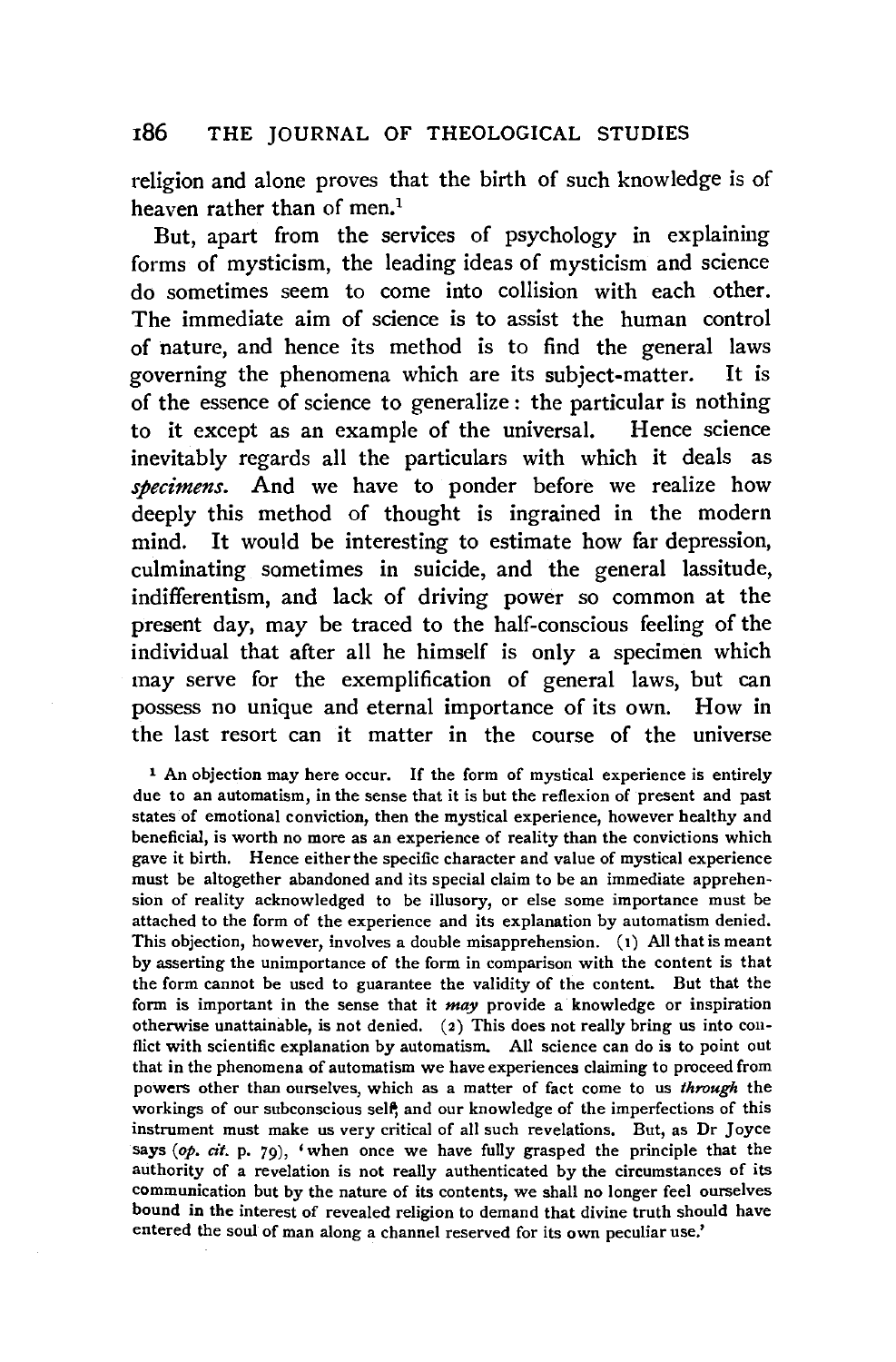religion and alone proves that the birth of such knowledge is of heaven rather than of men.<sup>1</sup>

But, apart from the services of psychology in explaining forms of mysticism, the leading ideas of mysticism and science do sometimes seem to come into collision with each other. The immediate aim of science is to assist the human control of nature, and hence its method is to find the general laws governing the phenomena which are its subject-matter. It is of the essence of science to generalize : the particular is nothing to it except as an example of the universal. Hence science inevitably regards all the particulars with which it deals as *specimens.* And we have to ponder before we realize how deeply this method of thought is ingrained in the modern mind. It would be interesting to estimate how far depression, culminating sometimes in suicide, and the general lassitude, indifferentism, and lack of driving power so common at the present day, may be traced to the half-conscious feeling of the individual that after all he himself is only a specimen which may serve for the exemplification of general laws, but can possess no unique and eternal importance of its own. How in the last resort can it matter in the course of the universe

1 An objection may here occur. If the form of mystical experience is entirely due to an automatism, in the sense that it is but the reflexion of present and past states of emotional conviction, then the mystical experience, however healthy and beneficial, is worth no more as an experience of reality than the convictions which gave it birth. Hence either the specific character and value of mystical experience must be altogether abandoned and its special claim to be an immediate apprehension of reality acknowledged to be illusory, or else some importance must be attached to the form of the experience and its explanation by automatism denied. This objection, however, involves a double misapprehension. ( 1) All that is meant by asserting the unimportance of the form in comparison with the content is that the form cannot be used to guarantee the validity of the content. But that the form is important in the sense that it *may* provide a knowledge or inspiration otherwise unattainable, is not denied. (2) This does not really bring us into conflict with scientific explanation by automatism. All science can do is to point out that in the phenomena of automatism we have experiences claiming to proceed from powers other than ourselves, which as a matter of fact come to us *through* the workings of our subconscious self, and our knowledge of the imperfections of this instrument must make us very critical of all such revelations. But, as Dr Joyce says (op. *cit.* p. 79), 'when once we have fully grasped the principle that the authority of a revelation is not really authenticated by the circumstances of its communication but by the nature of its contents, we shall no longer feel ourselves bound in the interest of revealed religion to demand that divine truth should have entered the soul of man along a channel reserved for its own peculiar use.'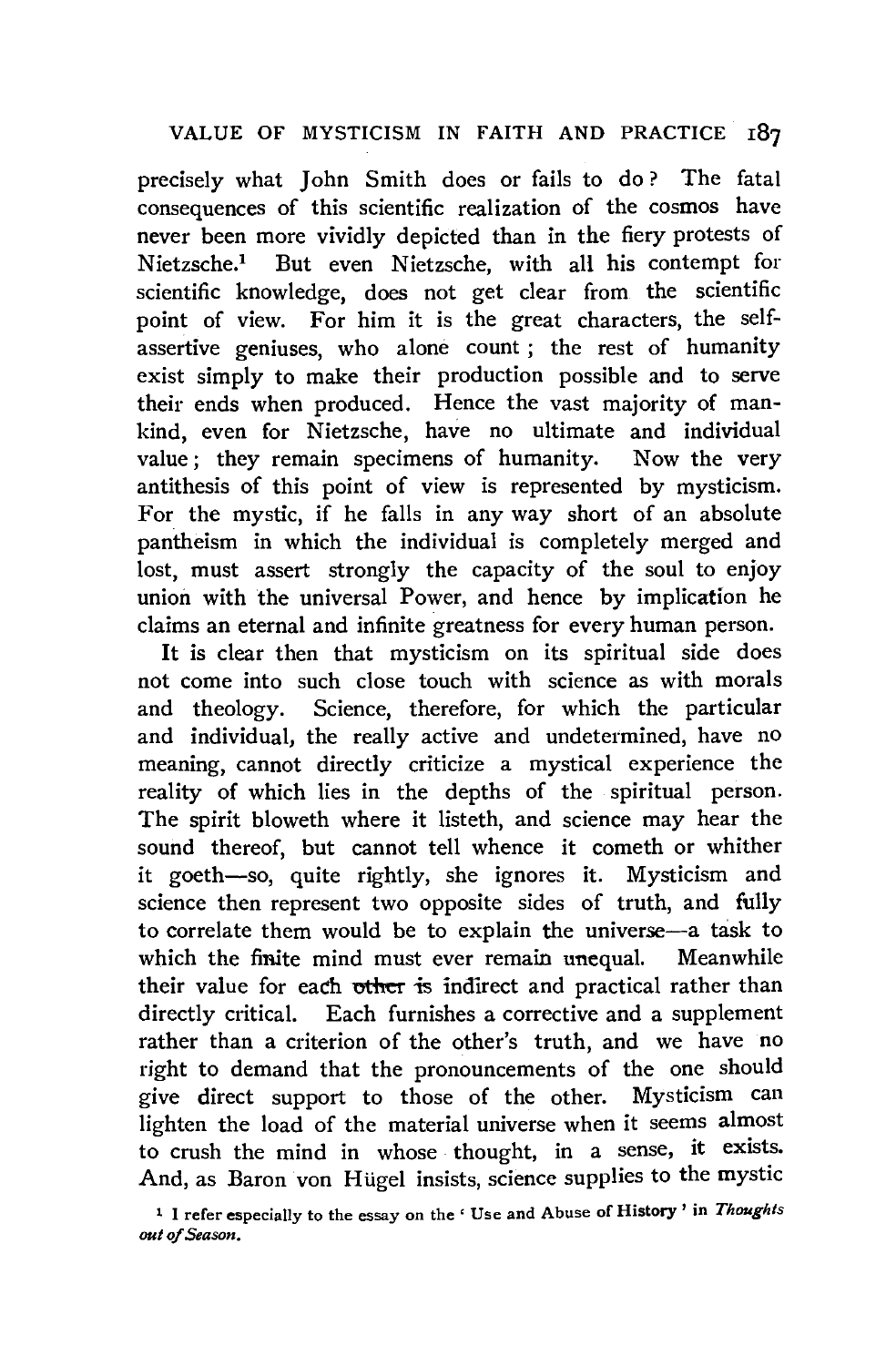precisely what John Smith does or fails to do ? The fatal consequences of this scientific realization of the cosmos have never been more vividly depicted than in the fiery protests of Nietzsche.1 But even Nietzsche, with all his contempt for scientific knowledge, does not get clear from the scientific point of view. For him it is the great characters, the selfassertive geniuses, who alone count ; the rest of humanity exist simply to make their production possible and to serve their ends when produced. Hence the vast majority of mankind, even for Nietzsche, have no ultimate and individual value; they remain specimens of humanity. Now the very antithesis of this point of view is represented by mysticism. For the mystic, if he falls in any way short of an absolute pantheism in which the individual is completely merged and lost, must assert strongly the capacity of the soul to enjoy union with the universal Power, and hence by implication he claims an eternal and infinite greatness for every human person.

It is clear then that mysticism on its spiritual side does not come into such close touch with science as with morals and theology. Science, therefore, for which the particular and individual, the really active and undetermined, have no meaning, cannot directly criticize a mystical experience the reality of which lies in the depths of the spiritual person. The spirit bloweth where it listeth, and science may hear the sound thereof, but cannot tell whence it cometh or whither it goeth-so, quite rightly, she ignores it. Mysticism and science then represent two opposite sides of truth, and fully to correlate them would be to explain the universe-a task to which the finite mind must ever remain unequal. Meanwhile their value for each other is indirect and practical rather than directly critical. Each furnishes a corrective and a supplement rather than a criterion of the other's truth, and we have no right to demand that the pronouncements of the one should give direct support to those of the other. Mysticism can lighten the load of the material universe when it seems almost to crush the mind in whose thought, in a sense, it exists. And, as Baron von Hügel insists, science supplies to the mystic

<sup>1</sup> I refer especially to the essay on the ' Use and Abuse of History' in *Thoughts out of Season.*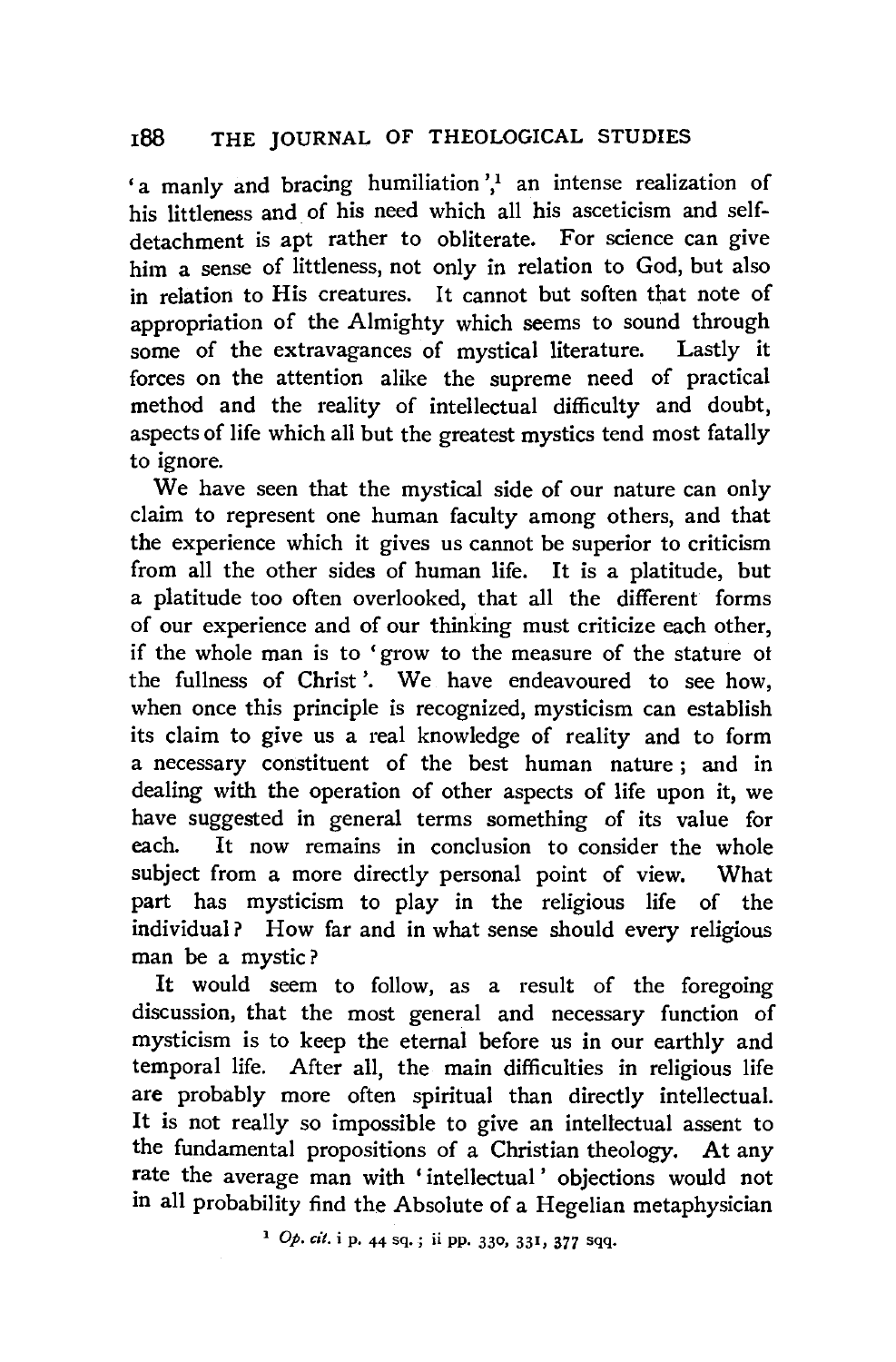$a$  manly and bracing humiliation<sup>',1</sup> an intense realization of his littleness and of his need which all his asceticism and selfdetachment is apt rather to obliterate. For science can give him a sense of littleness, not only in relation to God, but also in relation to His creatures. It cannot but soften that note of appropriation of the Almighty which seems to sound through some of the extravagances of mystical literature. Lastly it forces on the attention alike the supreme need of practical method and the reality of intellectual difficulty and doubt, aspects of life which all but the greatest mystics tend most fatally to ignore.

We have seen that the mystical side of our nature can only claim to represent one human faculty among others, and that the experience which it gives us cannot be superior to criticism from all the other sides of human life. It is a platitude, but a platitude too often overlooked, that all the different forms of our experience and of our thinking must criticize each other, if the whole man is to ' grow to the measure of the stature ot the fullness of Christ'. We have endeavoured to see how, when once this principle is recognized, mysticism can establish its claim to give us a real knowledge of reality and to form a necessary constituent of the best human nature; and in dealing with the operation of other aspects of life upon it, we have suggested in general terms something of its value for each. It now remains in conclusion to consider the whole subject from a more directly personal point of view. What part has mysticism to play in the religious life of the individual? How far and in what sense should every religious man be a mystic ?

It would seem to follow, as a result of the foregoing discussion, that the most general and necessary function of mysticism is to keep the eternal before us in our earthly and temporal life. After all, the main difficulties in religious life are probably more often spiritual than directly intellectual. It is not really so impossible to give an intellectual assent to the fundamental propositions of a Christian theology. At any rate the average man with 'intellectual' objections would not in all probability find the Absolute of a Hegelian metaphysician

 $1$  Op. cit. i p. 44 sq.; ii pp. 330, 331, 377 sqq.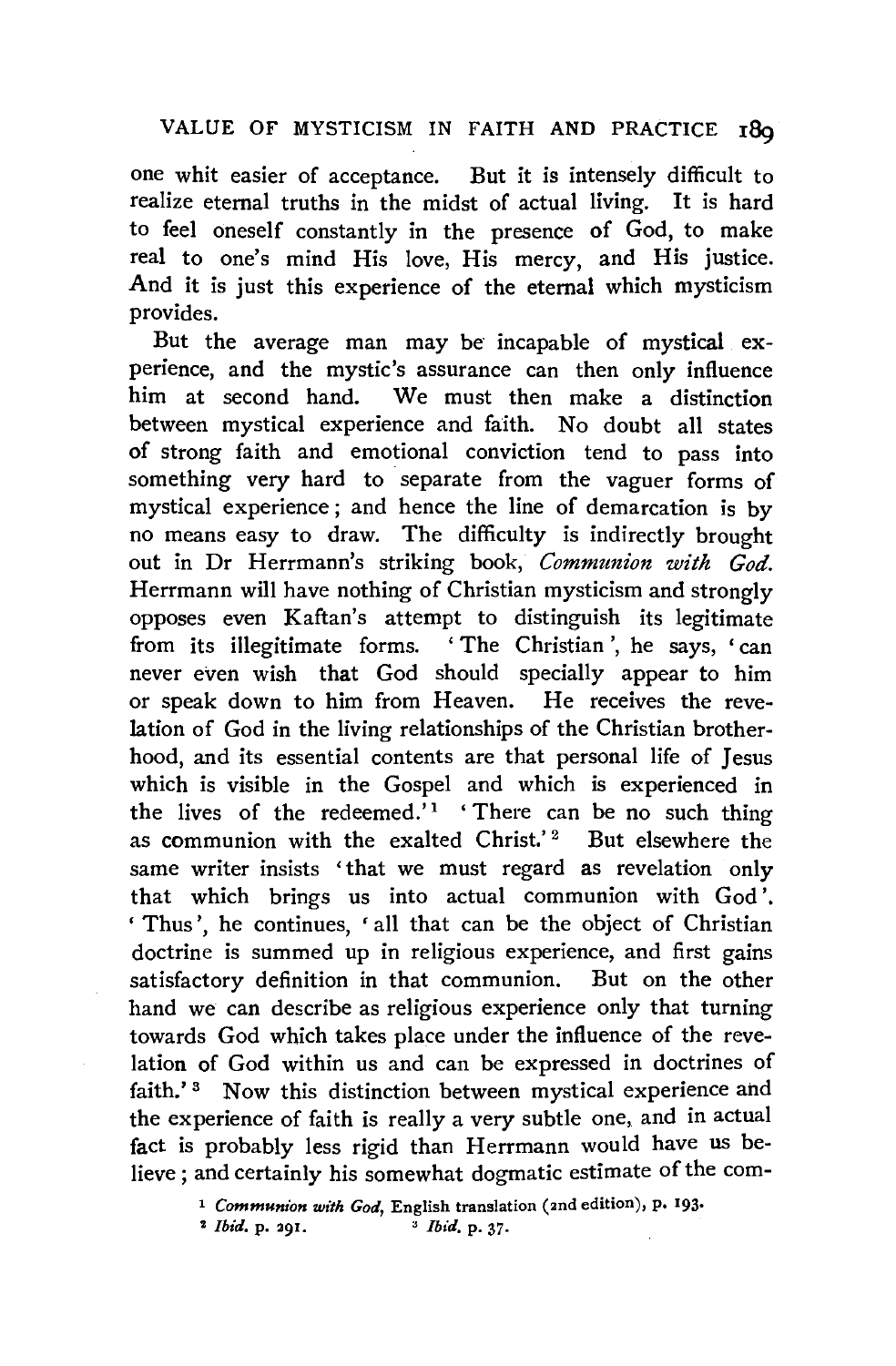one whit easier of acceptance. But it is intensely difficult to realize eternal truths in the midst of actual living. It is hard to feel oneself constantly in the presence of God, to make real to one's mind His love, His mercy, and His justice. And it is just this experience of the eternal which mysticism provides.

But the average man may be incapable of mystical experience, and the mystic's assurance can then only influence him at second hand. We must then make a distinction between mystical experience and faith. No doubt all states of strong faith and emotional conviction tend to pass into something very hard to separate from the vaguer forms of mystical experience ; and hence the line of demarcation is by no means easy to draw. The difficulty is indirectly brought out in Dr Herrmann's striking book, *Communion with God.*  Herrmann will have nothing of Christian mysticism and strongly opposes even Kaftan's attempt to distinguish its legitimate from its illegitimate forms. 'The Christian', he says, 'can never even wish that God should specially appear to him or speak down to him from Heaven. He receives the revelation of God in the living relationships of the Christian brotherhood, and its essential contents are that personal life of Jesus which is visible in the Gospel and which is experienced in the lives of the redeemed.<sup>'1</sup> 'There can be no such thing as communion with the exalted Christ.'<sup>2</sup> But elsewhere the same writer insists 'that we must regard as revelation only that which brings us into actual communion with God'. ' Thus', he continues, 'all that can be the object of Christian doctrine is summed up in religious experience, and first gains satisfactory definition in that communion. But on the other hand we can describe as religious experience only that turning towards God which takes place under the influence of the revelation of God within us and can be expressed in doctrines of faith.'<sup>3</sup> Now this distinction between mystical experience and the experience of faith is really a very subtle one, and in actual fact is probably less rigid than Herrmann would have us believe ; and certainly his somewhat dogmatic estimate of the com-

<sup>&</sup>lt;sup>1</sup> Communion with God, English translation (2nd edition), p. 193.

<sup>&</sup>lt;sup>2</sup> *Ibid.* **p.** 291. <sup>3</sup> *Ibid.* **p.** 37.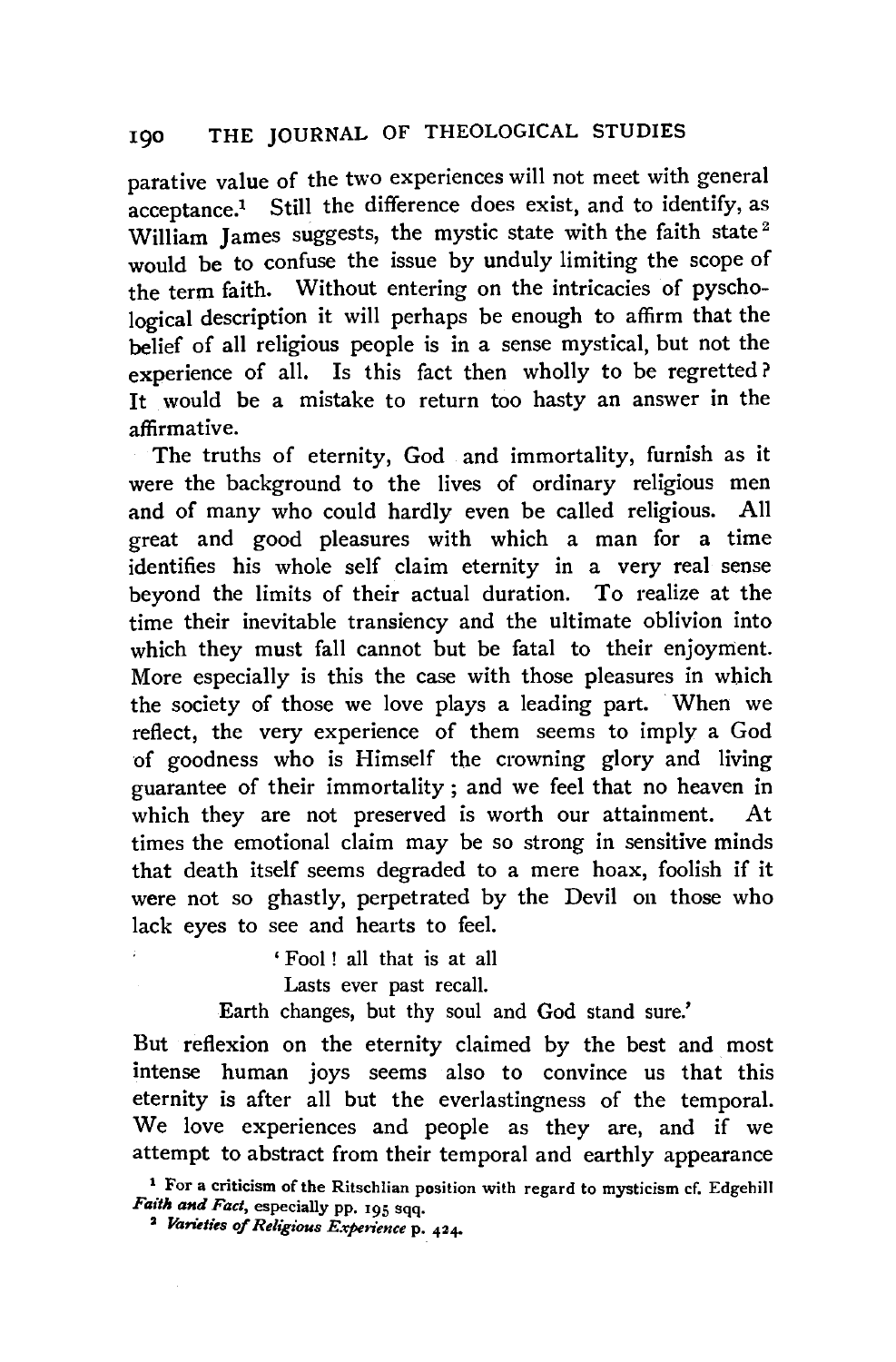parative value of the two experiences will not meet with general  $\frac{1}{\text{acceltance.}}$  Still the difference does exist, and to identify, as William James suggests, the mystic state with the faith state<sup>2</sup> would be to confuse the issue by unduly limiting the scope of the term faith. Without entering on the intricacies of pyschological description it will perhaps be enough to affirm that the belief of all religious people is in a sense mystical, but not the experience of all. Is this fact then wholly to be regretted? It would be a mistake to return too hasty an answer in the affirmative.

The truths of eternity, God and immortality, furnish as it were the background to the lives of ordinary religious men and of many who could hardly even be called religious. All great and good pleasures with which a man for a time identifies his whole self claim eternity in a very real sense beyond the limits of their actual duration. To realize at the time their inevitable transiency and the ultimate oblivion into which they must fall cannot but be fatal to their enjoyment. More especially is this the case with those pleasures in which the society of those we love plays a leading part. When we reflect, the very experience of them seems to imply a God of goodness who is Himself the crowning glory and living guarantee of their immortality ; and we feel that no heaven in which they are not preserved is worth our attainment. At times the emotional claim may be so strong in sensitive minds that death itself seems degraded to a mere hoax, foolish if it were not so ghastly, perpetrated by the Devil on those who lack eyes to see and hearts to feel.

> ' Fool ! all that is at all Lasts ever past recall.

Earth changes, but thy soul and God stand sure.'

But reflexion on the eternity claimed by the best and most intense human joys seems also to convince us that this eternity is after all but the everlastingness of the temporal. We love experiences and people as they are, and if we attempt to abstract from their temporal and earthly appearance

<sup>1</sup> For a criticism of the Ritschlian position with regard to mysticism cf. Edgehill *Faith and Fact*, especially pp. 105 sqq.

<sup>2</sup> Varieties of Religious Experience p. 424.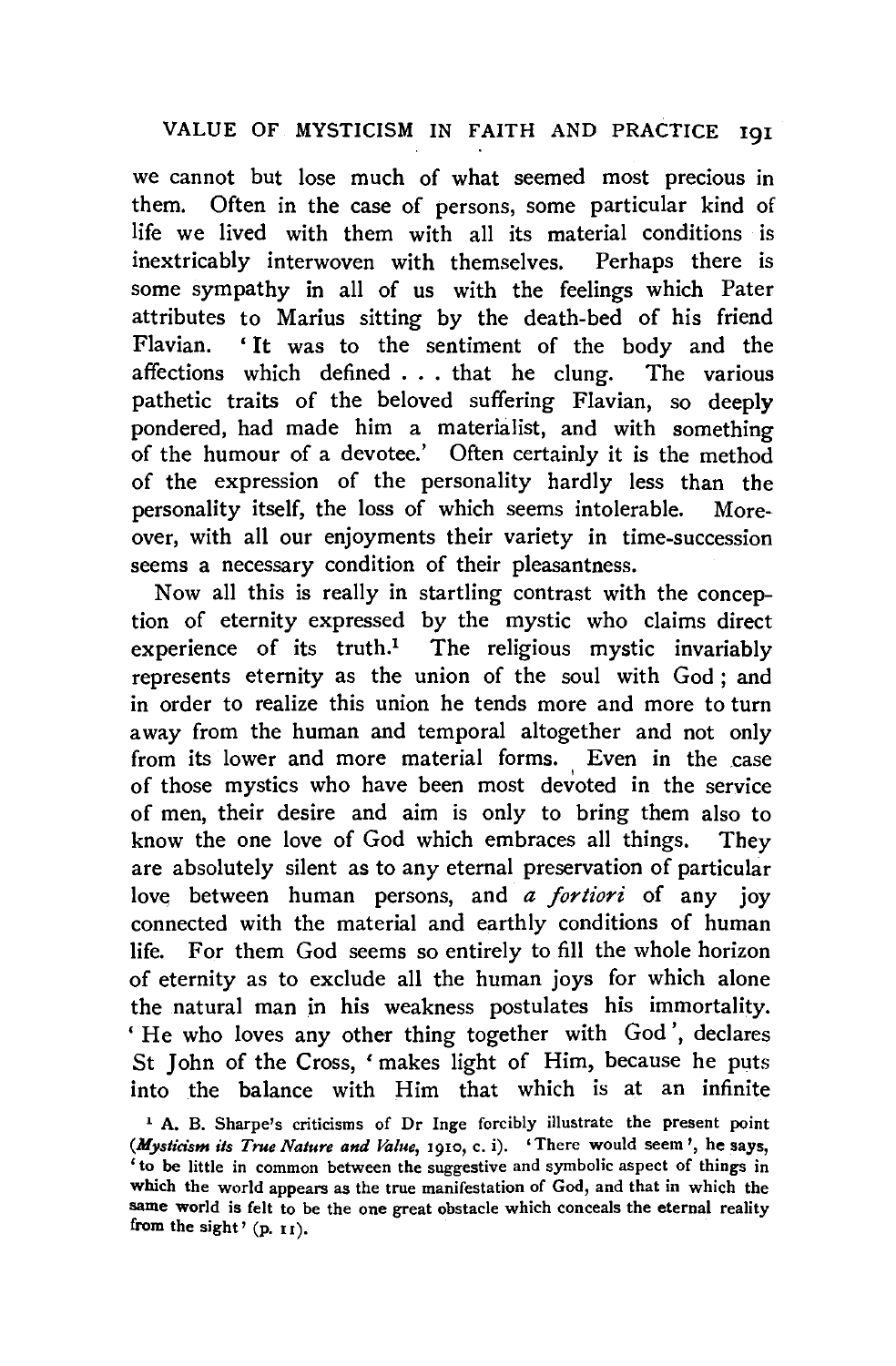we cannot but lose much of what seemed most precious in them. Often in the case of persons, some particular kind of life we lived with them with all its material conditions is inextricably interwoven with themselves. Perhaps there is some sympathy in all of us with the feelings which Pater attributes to Marius sitting by the death-bed of his friend Flavian. 'It was to the sentiment of the body and the affections which defined . . . that he clung. The various affections which defined  $\ldots$  that he clung. pathetic traits of the beloved suffering Flavian, so deeply pondered, had made him a materialist, and with something of the humour of a devotee.' Often certainly it is the method of the expression of the personality hardly less than the personality itself, the loss of which seems intolerable. Moreover, with all our enjoyments their variety in time-succession seems a necessary condition of their pleasantness.

Now all this is really in startling contrast with the conception of eternity expressed by the mystic who claims direct experience of its truth.<sup>1</sup> The religious mystic invariably represents eternity as the union of the soul with God ; and in order to realize this union he tends more and more to turn away from the human and temporal altogether and not only from its lower and more material forms. Even in the case of those mystics who have been most devoted in the service of men, their desire and aim is only to bring them also to know the one love of God which embraces all things. They are absolutely silent as to any eternal preservation of particular love between human persons, and *a fortiori* of any joy connected with the material and earthly conditions of human life. For them God seems so entirely to fill the whole horizon of eternity as to exclude all the human joys for which alone the natural man in his weakness postulates his immortality. 'He who loves any other thing together with God', declares St John of the Cross, ' makes light of Him, because he puts into the balance with Him that which is at an infinite

<sup>&</sup>lt;sup>1</sup> A. B. Sharpe's criticisms of Dr Inge forcibly illustrate the present point *(Mysticism its True Nature and Value, 1910, c. i).* 'There would seem', he says, ' to be little in common between the suggestive and symbolic aspect of things in which the world appears as the true manifestation of God, and that in which the same world is felt to be the one great obstacle which conceals the eternal reality from the sight' (p. 11).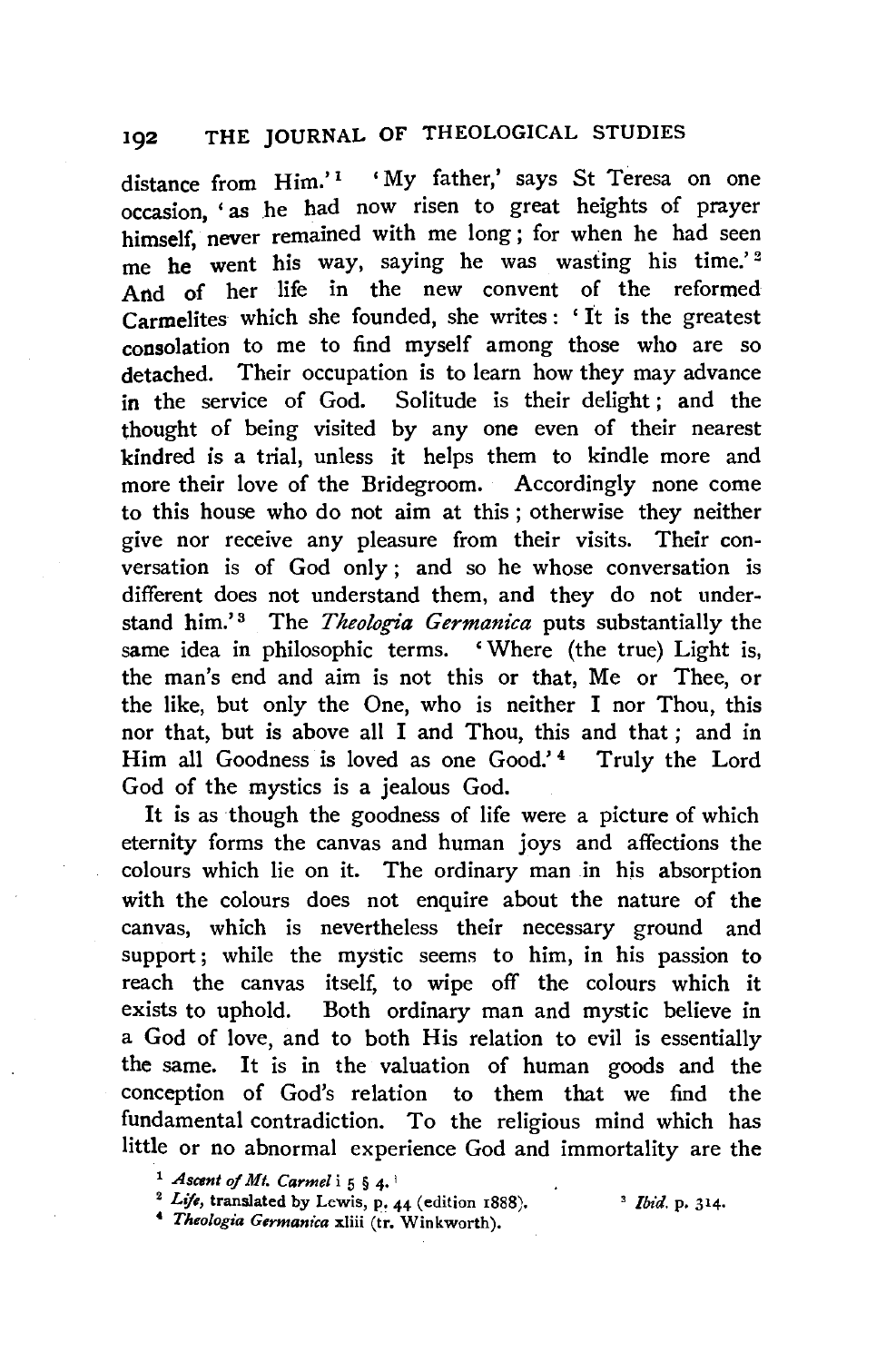distance from Him.'<sup>1</sup> 'My father,' says St Teresa on one occasion, ' as he had now risen to great heights of prayer himself, never remained with me long ; for when he had seen me he went his way, saying he was wasting his time.'<sup>2</sup> And of her life in the new convent of the reformed Carmelites which she founded, she writes : ' It is the greatest consolation to me to find myself among those who are so detached. Their occupation is to learn how they may advance in the service of God. Solitude is their delight ; and the thought of being visited by any one even of their nearest kindred is a trial, unless it helps them to kindle more and more their love of the Bridegroom. Accordingly none come to this house who do not aim at this ; otherwise they neither give nor receive any pleasure from their visits. Their conversation is of God only; and so he whose conversation is different does not understand them, and they do not understand him.'<sup>3</sup> The *Theologia Germanica* puts substantially the same idea in philosophic terms. 'Where (the true) Light is, the man's end and aim is not this or that, Me or Thee, or the like, but only the One, who is neither I nor Thou, this nor that, but is above all I and Thou, this and that ; and in Him all Goodness is loved as one Good.'<sup>4</sup> Truly the Lord God of the mystics is a jealous God.

It is as though the goodness of life were a picture of which eternity forms the canvas and human joys and affections the colours which lie on it. The ordinary man in his absorption with the colours does not enquire about the nature of the canvas, which is nevertheless their necessary ground and support; while the mystic seems to him, in his passion to reach the canvas itself, to wipe off the colours which it exists to uphold. Both ordinary man and mystic believe in a God of love, and to both His relation to evil is essentially the same. It is in the valuation of human goods and the conception of God's relation to them that we find the fundamental contradiction. To the religious mind which has little or no abnormal experience God and immortality are the

3 *Ibid.* p. 314.

<sup>1</sup>*Ascrnt of Mt. Carmel* i 5 § *4·* <sup>1</sup>

<sup>2</sup>*Life,* translated by Lewis, p. *44* (edition 1888). <sup>4</sup>*Theologia Germanica* xliii (tr. Winkworth).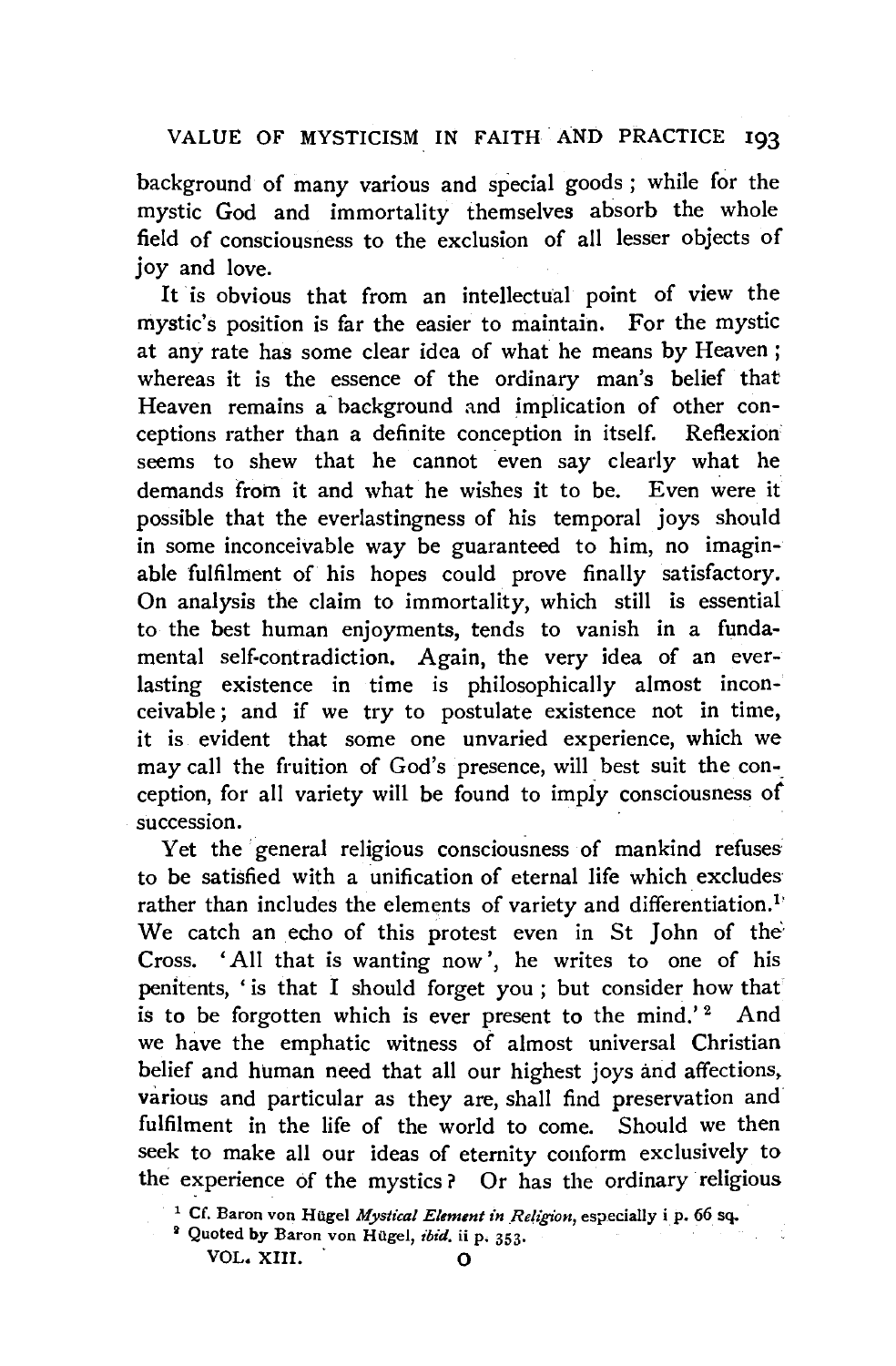background of many various and special goods ; while for the mystic God and immortality themselves absorb the whole field of consciousness to the exclusion of all lesser objects of joy and love.

It is obvious that from an intellectual point of view the mystic's position is far the easier to maintain. For the mystic at any rate has some clear idea of what he means by Heaven ; whereas it is the essence of the ordinary man's belief that Heaven remains a background and implication of other conceptions rather than a definite conception in itself. Reflexion seems to shew that he cannot even say clearly what he demands from it and what he wishes it to be. Even were it possible that the everlastingness of his temporal joys should in some inconceivable way be guaranteed to him, no imaginable fulfilment of his hopes could prove finally satisfactory. On analysis the claim to immortality, which still is essential to the best human enjoyments, tends to vanish in a fundamental self-contradiction. Again, the very idea of an everlasting existence in time is philosophically almost inconceivable ; and if we try to postulate existence not in time, it is evident that some one unvaried experience, which we may call the fruition of God's presence, will best suit the con-\_ ception, fot all variety will be found to imply consciousness of succession.

Yet the general religious consciousness of mankind refuses to be satisfied with a unification of eternal life which excludes rather than includes the elements of variety and differentiation.<sup>1</sup> We catch an echo of this protest even in St John of the Cross. 'All that is wanting now', he writes to one of his penitents, ' is that I should forget you ; but consider how that is to be forgotten which is ever present to the mind.' $2$  And we have the emphatic witness of almost universal Christian belief and human need that all our highest joys and affections, various and particular as they are, shall find preservation and fulfilment in the life of the world to come. Should we then seek to make all our ideas of eternity conform exclusively to the experience of the mystics? Or has the ordinary religious

VOL. XIII.  $\qquad \qquad$  0

<sup>&</sup>lt;sup>1</sup> Cf. Baron von Hügel *Mystical Element in Religion*, especially i p. 66 sq.

<sup>&</sup>lt;sup>2</sup> Quoted by Baron von Hügel, *ibid.* ii p. 353.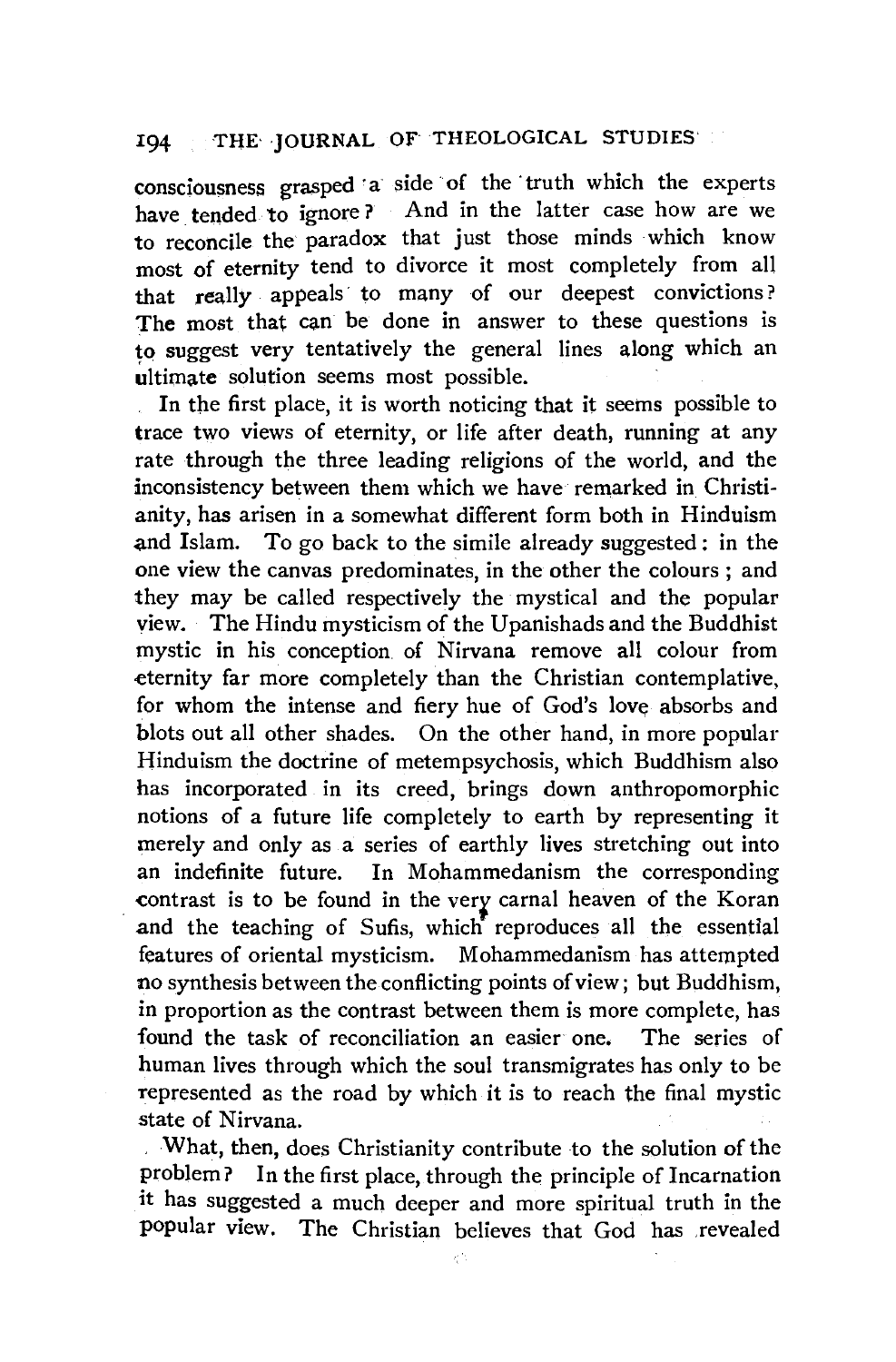consciousness grasped ·a side of the 'truth which the experts have tended to ignore? And in the latter case how are we to reconcile the paradox that just those minds which know most of eternity tend to divorce it most completely from all that really appeals to many of our deepest convictions? The most that can be done in answer to these questions is to suggest very tentatively the general lines along which an ultimate solution seems most possible.

In the first place, it is worth noticing that it seems possible to trace two views of eternity, or life after death, running at any rate through the three leading religions of the world, and the inconsistency between them which we have remarked in Christianity, has arisen in a somewhat different form both in Hinduism and Islam. To go back to the simile already suggested: in the one view the canvas predominates, in the other the colours ; and they may be called respectively the mystical and the popular view. The Hindu mysticism of the Upanishads and the Buddhist mystic in his conception of Nirvana remove all colour from eternity far more completely than the Christian contemplative, for whom the intense and fiery hue of God's love absorbs and blots out all other shades. On the other hand, in more popular Hinduism the doctrine of metempsychosis, which Buddhism also has incorporated in its creed, brings down anthropomorphic notions of a future life completely to earth by representing it merely and only as a series of earthly lives stretching out into an indefinite future. In Mohammedanism the corresponding contrast is to be found in the very carnal heaven of the Koran and the teaching of Sufis, which reproduces all the essential features of oriental mysticism. Mohammedanism has attempted no synthesis between the conflicting points of view; but Buddhism, in proportion as the contrast between them is more complete, has found the task of reconciliation an easier one. The series of human lives through which the soul transmigrates has only to be represented as the road by which it is to reach the final mystic state of Nirvana.

What, then, does Christianity contribute to the solution of the problem? In the first place, through the principle of Incarnation it has suggested a much deeper and more spiritual truth in the popular view. The Christian believes that God has .revealed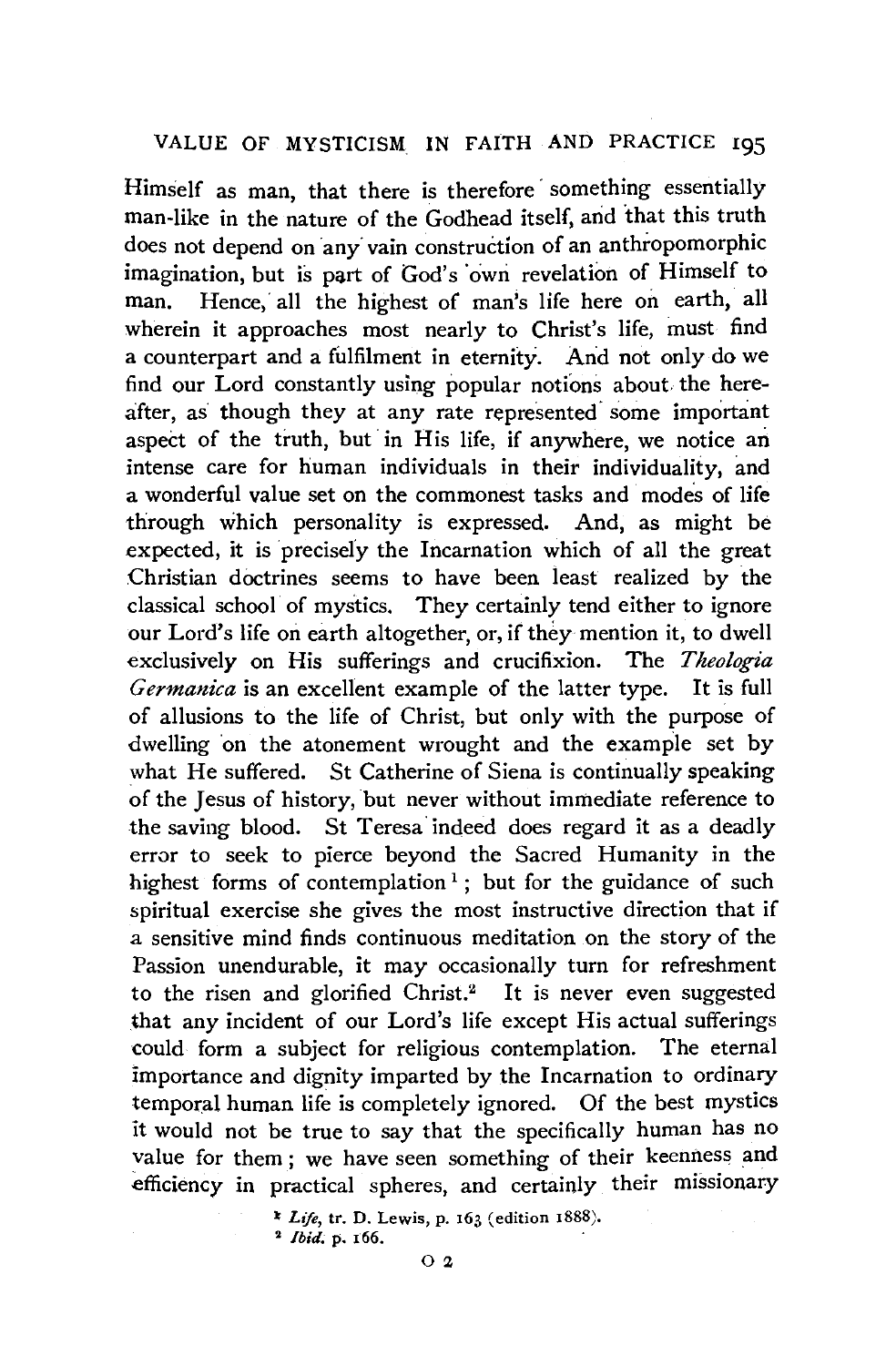Himself as man, that there is therefore something essentially man-like in the nature of the Godhead itself, and that this truth does not depend on any vain construction of an anthropomorphic imagination, but is part of God's own revelation of Himself to man. Hence, all the highest of man's life here on earth, all wherein it approaches most nearly to Christ's life, must find a counterpart and a fulfilment in eternity. And not only do we find our Lord constantly using popular notions about the hereafter, as though they at any rate represented some important aspect of the truth, but in His life, if anywhere, we notice an intense care for human individuals in their individuality, and a wonderful value set on the commonest tasks and modes of life through which personality is expressed. And, as might be expected, it is precisely the Incarnation which of all the great Christian doctrines seems to have been least realized by the classical school of mystics. They certainly tend either to ignore our Lord's life on earth altogether, or, if they mention it, to dwell exclusively on His sufferings and crucifixion. The *Theologia Germanica* is an excellent example of the latter type. It is full of allusions to the life of Christ, but only with the purpose of dwelling on the atonement wrought and the example set by what He suffered. St Catherine of Siena is continually speaking of the Jesus of history, but never without immediate reference to the saving blood. St Teresa indeed does regard it as a deadly error to seek to pierce beyond the Sacred Humanity in the highest forms of contemplation<sup>1</sup>; but for the guidance of such spiritual exercise she gives the most instructive direction that if a sensitive mind finds continuous meditation on the story of the Passion unendurable, it may occasionally turn for refreshment to the risen and glorified Christ.<sup>2</sup> It is never even suggested that any incident of our Lord's life except His actual sufferings could form a subject for religious contemplation. The eternal importance and dignity imparted by the Incarnation to ordinary temporal human life is completely ignored. Of the best mystics it would not be true to say that the specifically human has no value for them; we have seen something of their keenness and efficiency in practical spheres, and certainly their missionary

:t *Life,* tr. D. Lewis, p. 163 (edition 1888). 2 *Ibid.* P• I66.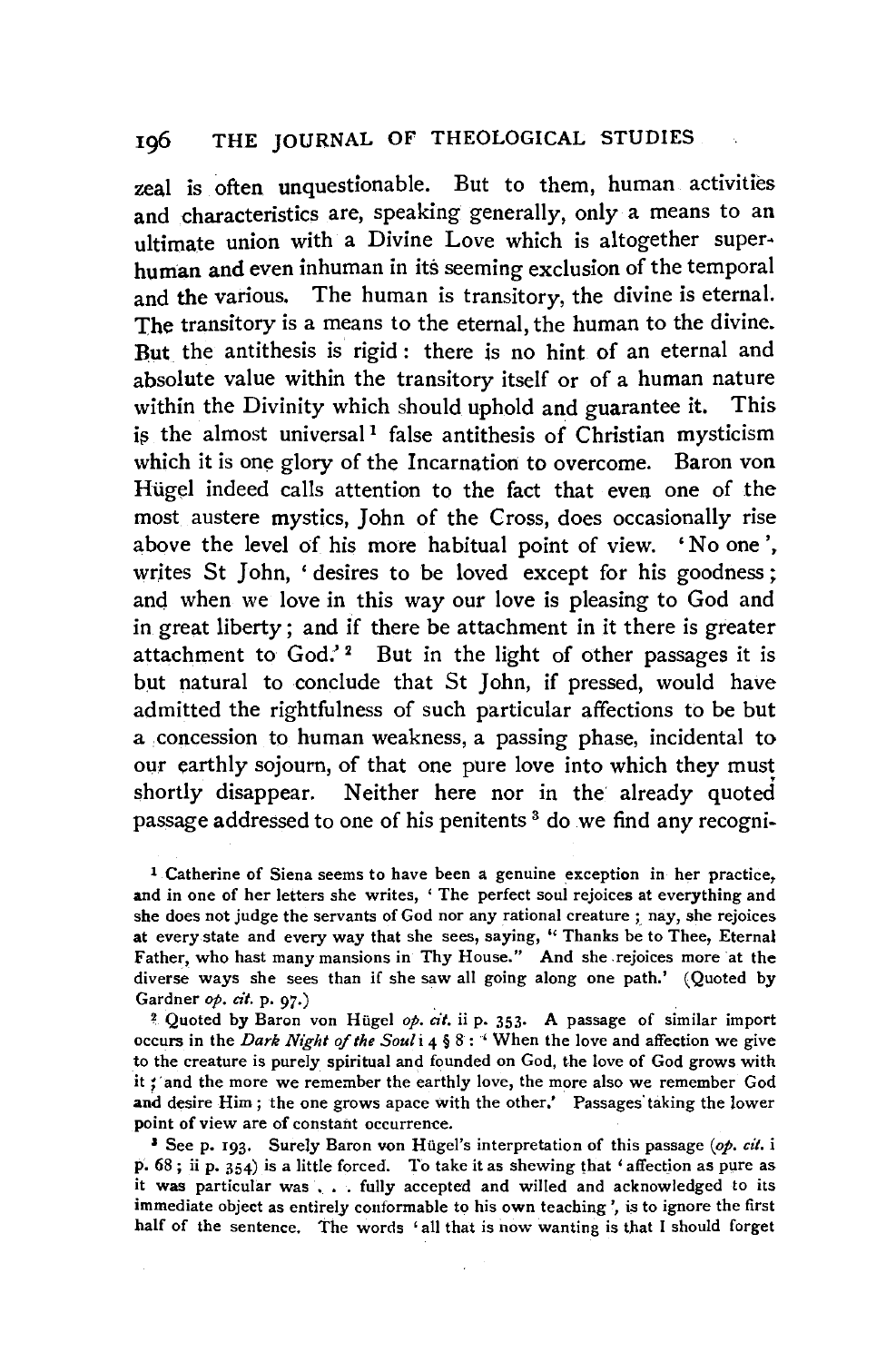zeal is often unquestionable. But to them, human activities and characteristics are, speaking generally, only a means to an ultimate union with a Divine Love which is altogether superhuman and even inhuman in its seeming exclusion of the temporal and the various. The human is transitory, the divine is eternal. The transitory is a means to the eternal, the human to the divine. But the antithesis is rigid : there is no hint of an eternal and absolute value within the transitory itself or of a human nature within the Divinity which should uphold and guarantee it. This is the almost universal<sup>1</sup> false antithesis of Christian mysticism which it is one glory of the Incarnation to overcome. Baron von Hügel indeed calls attention to the fact that even one of the most austere mystics, John of the Cross, does occasionally rise above the level of his more habitual point of view. 'No one ', writes St John, ' desires to be loved except for his goodness; and when we love in this way our love is pleasing to God and in great liberty; and if there be attachment in it there is greater attachment to God.'<sup>2</sup> But in the light of other passages it is but natural to conclude that St John, if pressed, would have admitted the rightfulness of such particular affections to be but a concession to human weakness, a passing phase, incidental to our earthly sojourn, of that one pure love into which they must shortly disappear. Neither here nor in the already quoted passage addressed to one of his penitents 3 do we find any recogni-

1 Catherine of Siena seems to have been a genuine exception in her practice, and in one of her letters she writes, ' The perfect soul rejoices at everything and she does not judge the servants of God nor any rational creature ;\_ nay, she rejoices at every state and every way that she sees, saying, " Thanks be to Thee, Eternal Father, who hast many mansions in Thy House." And she rejoices more at the diverse ways she sees than if she saw all going along one path.' (Quoted by Gardner  $op.$  cit. p. 97.)

<sup>~</sup>Quoted by Baron von Hiigel op. cif. ii p. 353· A passage of similar import occurs in the *Dark Night of the Soul* i 4 § 8: "When the love and affection we give to the creature is purely spiritual and founded on God, the love of God grows with it ; and the more we remember the earthly love, the more also we remember God and desire Him; the one grows apace with the other.' Passages taking the lower point of view are of constant occurrence.<br>1 See p. 193. Surely Baron von Hügel's interpretation of this passage (op. cit. i

p. 68 ; ii p. 354) is a little forced. To take it as shewing that 'affection as pure as it was particular was . . . fully accepted and willed and acknowledged to its immediate object as entirely conformable to his own teaching', is to ignore the first half of the sentence. The words 'all that is now wanting is that I should forget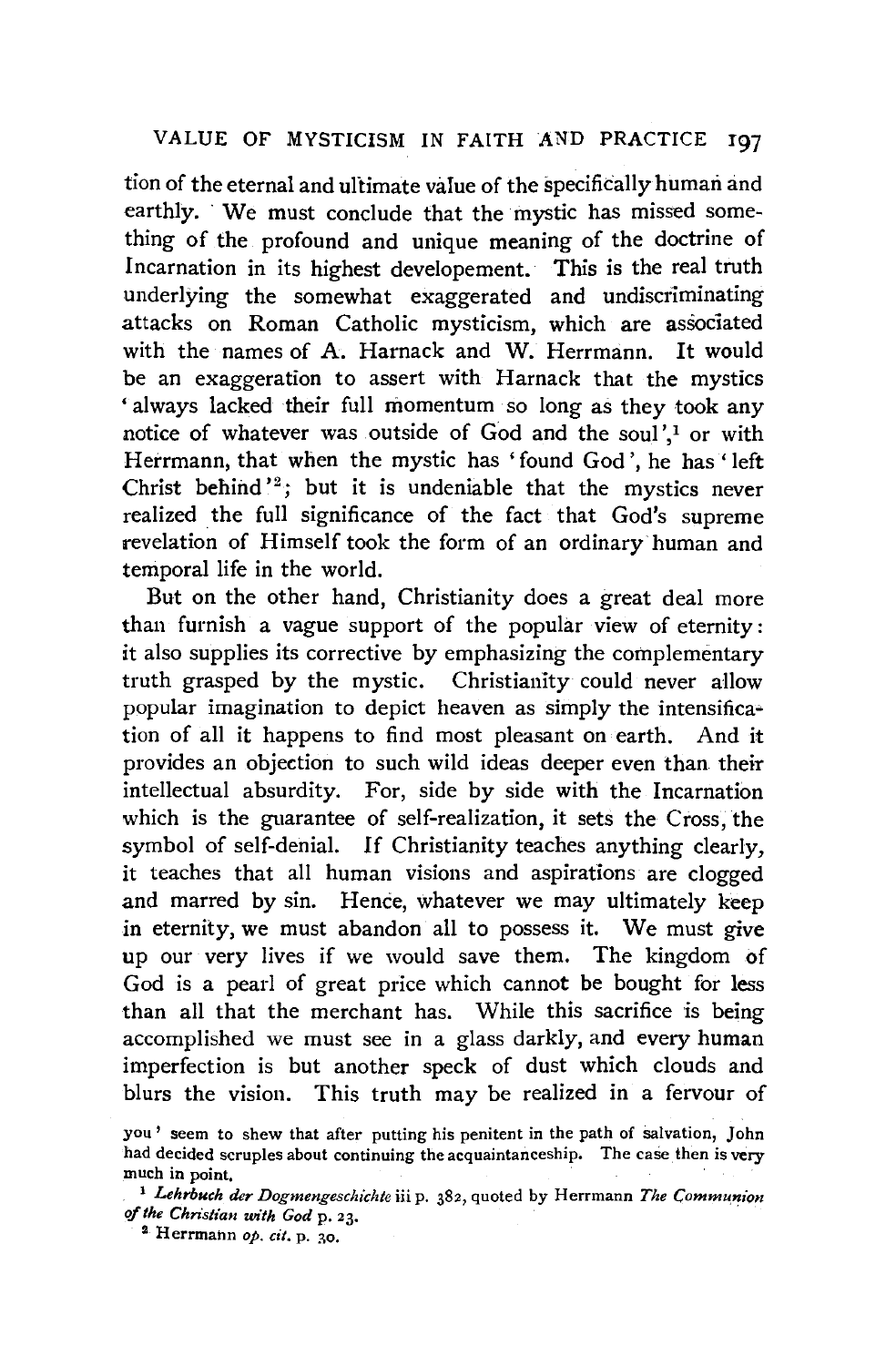tion of the eternal and ultimate value of the specifically human and earthly. We must conclude that the mystic has missed something of the profound and unique meaning of the doctrine of Incarnation in its highest developement. This is the real truth underlying the somewhat exaggerated and undiscriminating attacks on Roman Catholic mysticism, which are associated with the names of A. Harnack and W. Herrmann. It would be an exaggeration to assert with Harnack that the mystics ' always lacked their full momentum so long as they took any notice of whatever was outside of God and the soul'<sup>1</sup> or with Herrmann, that when the mystic has 'found God', he has 'left Christ behind<sup>'2</sup>; but it is undeniable that the mystics never realized the full significance of the fact that God's supreme revelation of Himself took the form of an ordinary human and temporal life in the world.

But on the other hand, Christianity does a great deal more than furnish a vague support of the popular view of eternity: it also supplies its corrective by emphasizing the complementary truth grasped by the mystic. Christianity could never allow popular imagination to depict heaven as simply the intensification of all it happens to find most pleasant on earth. And it provides an objection to such wild ideas deeper even than their intellectual absurdity. For, side by side with the Incarnation which is the guarantee of self-realization, it sets the Cross, the symbol of self-denial. If Christianity teaches anything clearly, it teaches that all human visions and aspirations are clogged and marred by sin. Hence, whatever we may ultimately keep in eternity, we must abandon all to possess it. We must give up our very lives if we would save them. The kingdom of God is a pearl of great price which cannot be bought for less than all that the merchant has. While this sacrifice is being accomplished we must see in a glass darkly, and every human imperfection is but another speck of dust which clouds and blurs the vision. This truth may be realized in a fervour of

you' seem to shew that after putting his penitent in the path of salvation, John had decided scruples about continuing the acquaintanceship. The case then is very much in point.<br><sup>1</sup> Lehrbuch der Dogmengeschichte iii p. 382, quoted by Herrmann *The Communion* 

*of the Christian with God* p. 23. 2 Herrmann *op. cit.* p. 30.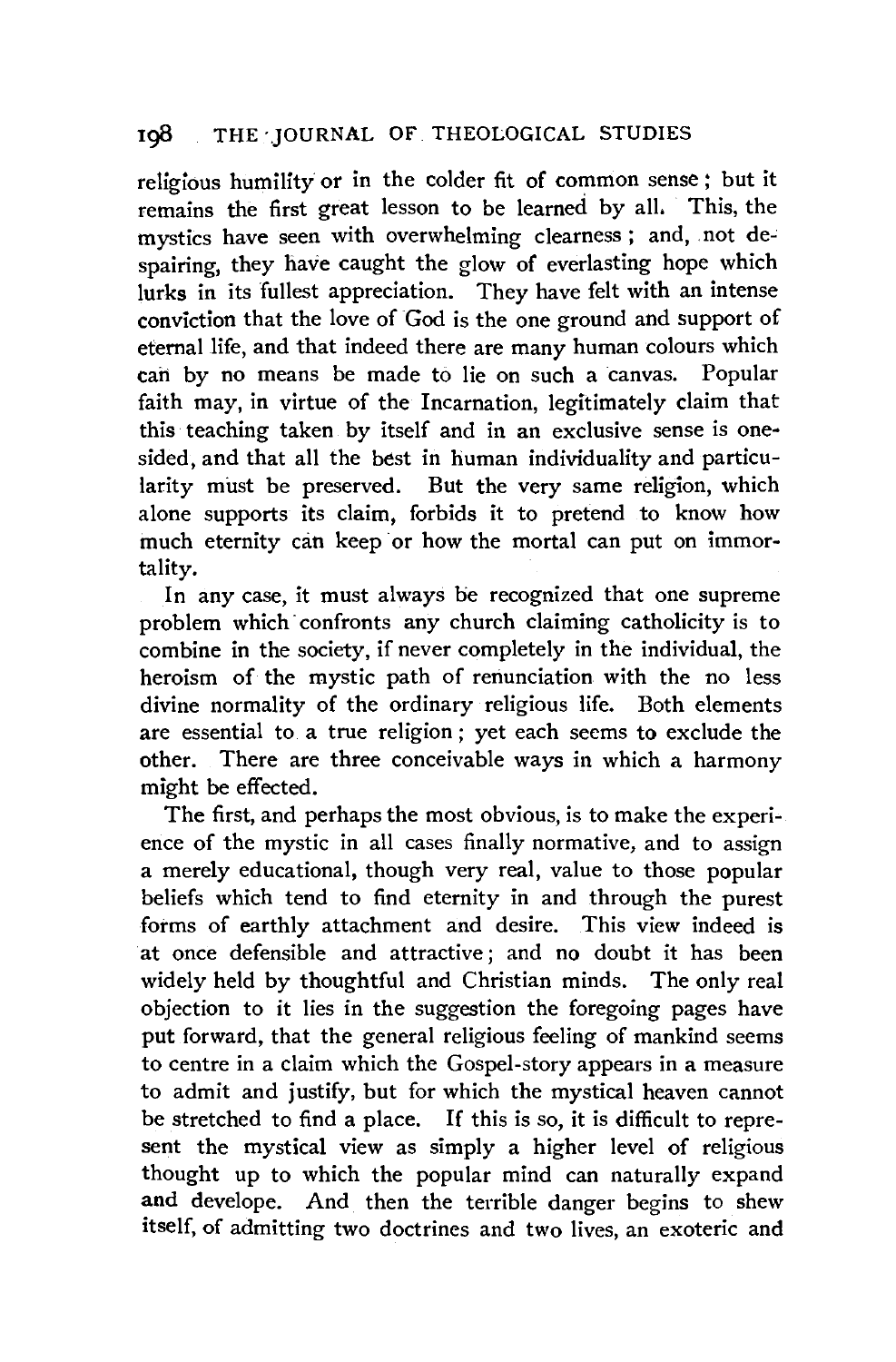#### Ig8 THE ·.jOURNAL OF THEOLOGICAL STUDIES

religious humility or in the colder fit of common sense; but it remains the first great lesson to be learned by all. This, the mystics have seen with overwhelming clearness; and, not despairing, they have caught the glow of everlasting hope which lurks in its fullest appreciation. They have felt with an intense conviction that the love of God is the one ground and support of eternal life, and that indeed there are many human colours which can by no means be made to lie on such a canvas. Popular faith may, in virtue of the Incarnation, legitimately claim that this teaching taken by itself and in an exclusive sense is onesided, and that all the best in human individuality and particularity must be preserved. But the very same religion, which alone supports its claim, forbids it to pretend to know how much eternity can keep or how the mortal can put on immortality.

In any case, it must always be recognized that one supreme problem which confronts any church claiming catholicity is to combine in the society, if never completely in the individual, the heroism of the mystic path of renunciation with the no less divine normality of the ordinary religious life. Both elements are essential to a true religion ; yet each seems to exclude the other. There are three conceivable ways in which a harmony might be effected.

The first, and perhaps the most obvious, is to make the experience of the mystic in all cases finally normative, and to assign a merely educational, though very real, value to those popular beliefs which tend to find eternity in and through the purest forms of earthly attachment and desire. This view indeed is at once defensible and attractive; and no doubt it has been widely held by thoughtful and Christian minds. The only real objection to it lies in the suggestion the foregoing pages have put forward, that the general religious feeling of mankind seems to centre in a claim which the Gospel-story appears in a measure to admit and justify, but for which the mystical heaven cannot be stretched to find a place. If this is so, it is difficult to represent the mystical view as simply a higher level of religious thought up to which the popular mind can naturally expand and develope. And then the terrible danger begins to shew itself, of admitting two doctrines and two lives, an exoteric and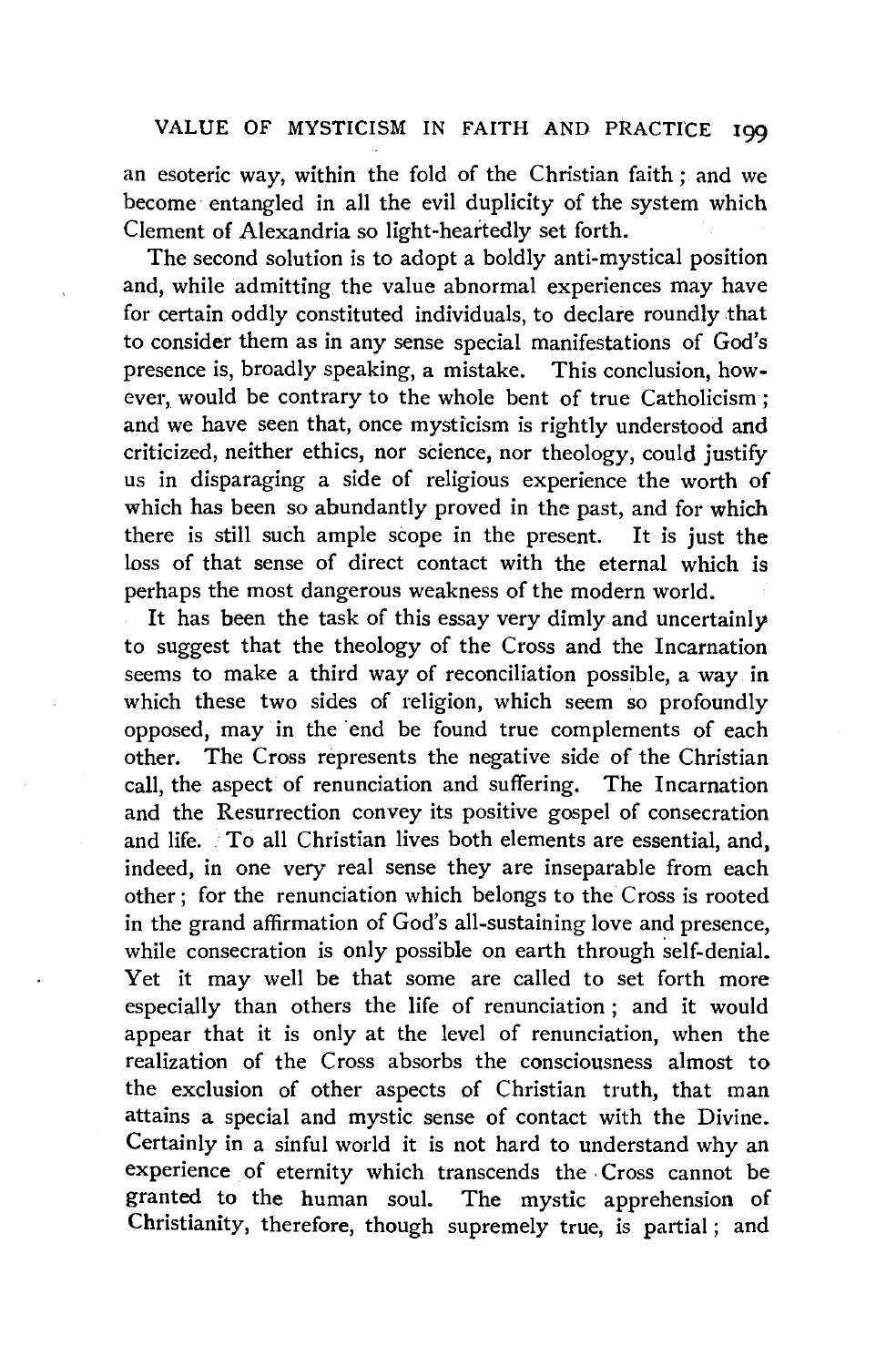an esoteric way, within the fold of the Christian faith ; and we become entangled in all the evil duplicity of the system which Clement of Alexandria so light-heartedly set forth.

The second solution is to adopt a boldly anti-mystical position and, while admitting the value abnormal experiences may have for certain oddly constituted individuals, to declare roundly that to consider them as in any sense special manifestations of God's presence is, broadly speaking, a mistake. This conclusion, however, would be contrary to the whole bent of true Catholicism ; and we have seen that, once mysticism is rightly understood and criticized, neither ethics, nor science, nor theology, could justify us in disparaging a side of religious experience the worth of which has been so abundantly proved in the past, and for which there is still such ample scope in the present. It is just the loss of that sense of direct contact with the eternal which is perhaps the most dangerous weakness of the modern world.

It has been the task of this essay very dimly and uncertainly to suggest that the theology of the Cross and the Incarnation seems to make a third way of reconciliation possible, a way in which these two sides of religion, which seem so profoundly opposed, may in the end be found true complements of each other. The Cross represents the negative side of the Christian call, the aspect of renunciation and suffering. The Incarnation and the Resurrection convey its positive gospel of consecration and life. To all Christian lives both elements are essential, and, indeed, in one very real sense they are inseparable from each other; for the renunciation which belongs to the Cross is rooted in the grand affirmation of God's all-sustaining love and presence, while consecration is only possible on earth through self-denial. Yet it may well be that some are called to set forth more especially than others the life of renunciation; and it would appear that it is only at the level of renunciation, when the realization of the Cross absorbs the consciousness almost to the exclusion of other aspects of Christian truth, that man attains a special and mystic sense of contact with the Divine. Certainly in a sinful world it is not hard to understand why an experience of eternity which transcends the . Cross cannot be granted to the human soul. The mystic apprehension of Christianity, therefore, though supremely true, is partial; and